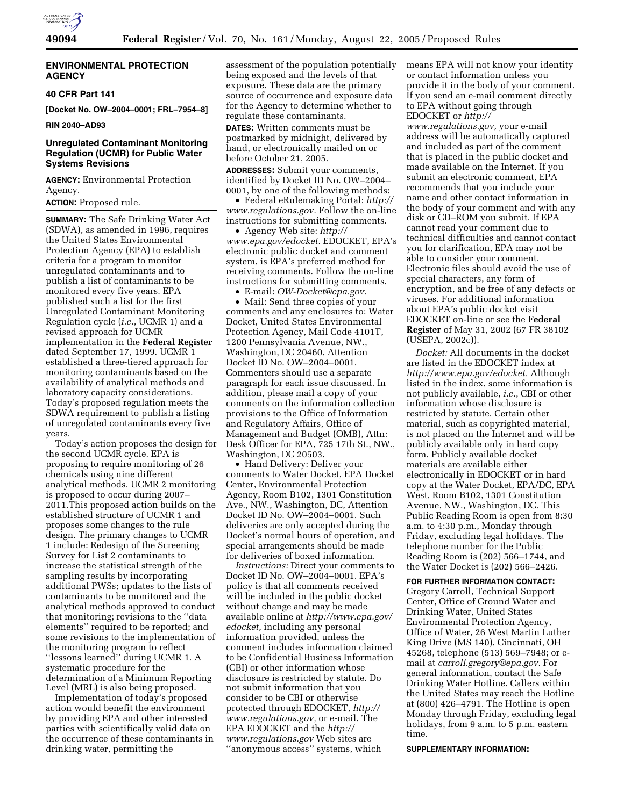

# **ENVIRONMENTAL PROTECTION AGENCY**

#### **40 CFR Part 141**

**[Docket No. OW–2004–0001; FRL–7954–8]** 

**RIN 2040–AD93** 

# **Unregulated Contaminant Monitoring Regulation (UCMR) for Public Water Systems Revisions**

**AGENCY:** Environmental Protection Agency.

#### **ACTION:** Proposed rule.

**SUMMARY:** The Safe Drinking Water Act (SDWA), as amended in 1996, requires the United States Environmental Protection Agency (EPA) to establish criteria for a program to monitor unregulated contaminants and to publish a list of contaminants to be monitored every five years. EPA published such a list for the first Unregulated Contaminant Monitoring Regulation cycle (*i.e.*, UCMR 1) and a revised approach for UCMR implementation in the **Federal Register** dated September 17, 1999. UCMR 1 established a three-tiered approach for monitoring contaminants based on the availability of analytical methods and laboratory capacity considerations. Today's proposed regulation meets the SDWA requirement to publish a listing of unregulated contaminants every five years.

Today's action proposes the design for the second UCMR cycle. EPA is proposing to require monitoring of 26 chemicals using nine different analytical methods. UCMR 2 monitoring is proposed to occur during 2007– 2011.This proposed action builds on the established structure of UCMR 1 and proposes some changes to the rule design. The primary changes to UCMR 1 include: Redesign of the Screening Survey for List 2 contaminants to increase the statistical strength of the sampling results by incorporating additional PWSs; updates to the lists of contaminants to be monitored and the analytical methods approved to conduct that monitoring; revisions to the ''data elements'' required to be reported; and some revisions to the implementation of the monitoring program to reflect ''lessons learned'' during UCMR 1. A systematic procedure for the determination of a Minimum Reporting Level (MRL) is also being proposed.

Implementation of today's proposed action would benefit the environment by providing EPA and other interested parties with scientifically valid data on the occurrence of these contaminants in drinking water, permitting the

assessment of the population potentially being exposed and the levels of that exposure. These data are the primary source of occurrence and exposure data for the Agency to determine whether to regulate these contaminants.

**DATES:** Written comments must be postmarked by midnight, delivered by hand, or electronically mailed on or before October 21, 2005.

**ADDRESSES:** Submit your comments, identified by Docket ID No. OW–2004– 0001, by one of the following methods:

• Federal eRulemaking Portal: *http:// www.regulations.gov.* Follow the on-line instructions for submitting comments.

• Agency Web site: *http:// www.epa.gov/edocket.* EDOCKET, EPA's electronic public docket and comment system, is EPA's preferred method for receiving comments. Follow the on-line instructions for submitting comments.

• E-mail: *OW-Docket@epa.gov.*

• Mail: Send three copies of your comments and any enclosures to: Water Docket, United States Environmental Protection Agency, Mail Code 4101T, 1200 Pennsylvania Avenue, NW., Washington, DC 20460, Attention Docket ID No. OW–2004–0001. Commenters should use a separate paragraph for each issue discussed. In addition, please mail a copy of your comments on the information collection provisions to the Office of Information and Regulatory Affairs, Office of Management and Budget (OMB), Attn: Desk Officer for EPA, 725 17th St., NW., Washington, DC 20503.

• Hand Delivery: Deliver your comments to Water Docket, EPA Docket Center, Environmental Protection Agency, Room B102, 1301 Constitution Ave., NW., Washington, DC, Attention Docket ID No. OW–2004–0001. Such deliveries are only accepted during the Docket's normal hours of operation, and special arrangements should be made for deliveries of boxed information.

*Instructions:* Direct your comments to Docket ID No. OW–2004–0001. EPA's policy is that all comments received will be included in the public docket without change and may be made available online at *http://www.epa.gov/ edocket,* including any personal information provided, unless the comment includes information claimed to be Confidential Business Information (CBI) or other information whose disclosure is restricted by statute. Do not submit information that you consider to be CBI or otherwise protected through EDOCKET, *http:// www.regulations.gov,* or e-mail. The EPA EDOCKET and the *http:// www.regulations.gov* Web sites are ''anonymous access'' systems, which

means EPA will not know your identity or contact information unless you provide it in the body of your comment. If you send an e-mail comment directly to EPA without going through EDOCKET or *http://*

*www.regulations.gov,* your e-mail address will be automatically captured and included as part of the comment that is placed in the public docket and made available on the Internet. If you submit an electronic comment, EPA recommends that you include your name and other contact information in the body of your comment and with any disk or CD–ROM you submit. If EPA cannot read your comment due to technical difficulties and cannot contact you for clarification, EPA may not be able to consider your comment. Electronic files should avoid the use of special characters, any form of encryption, and be free of any defects or viruses. For additional information about EPA's public docket visit EDOCKET on-line or see the **Federal Register** of May 31, 2002 (67 FR 38102 (USEPA, 2002c)).

*Docket:* All documents in the docket are listed in the EDOCKET index at *http://www.epa.gov/edocket.* Although listed in the index, some information is not publicly available, *i.e.*, CBI or other information whose disclosure is restricted by statute. Certain other material, such as copyrighted material, is not placed on the Internet and will be publicly available only in hard copy form. Publicly available docket materials are available either electronically in EDOCKET or in hard copy at the Water Docket, EPA/DC, EPA West, Room B102, 1301 Constitution Avenue, NW., Washington, DC. This Public Reading Room is open from 8:30 a.m. to 4:30 p.m., Monday through Friday, excluding legal holidays. The telephone number for the Public Reading Room is (202) 566–1744, and the Water Docket is (202) 566–2426.

#### **FOR FURTHER INFORMATION CONTACT:**

Gregory Carroll, Technical Support Center, Office of Ground Water and Drinking Water, United States Environmental Protection Agency, Office of Water, 26 West Martin Luther King Drive (MS 140), Cincinnati, OH 45268, telephone (513) 569–7948; or email at *carroll.gregory@epa.gov.* For general information, contact the Safe Drinking Water Hotline. Callers within the United States may reach the Hotline at (800) 426–4791. The Hotline is open Monday through Friday, excluding legal holidays, from 9 a.m. to 5 p.m. eastern time.

**SUPPLEMENTARY INFORMATION:**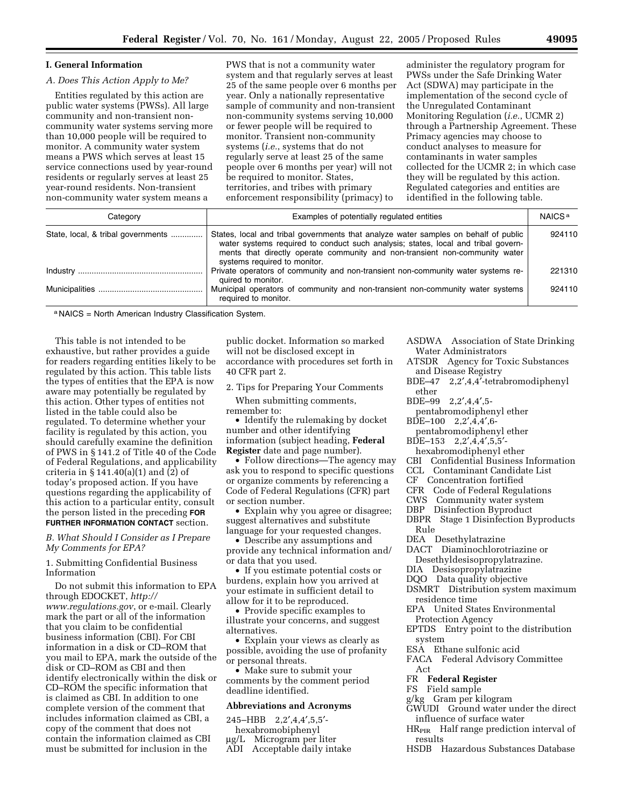#### **I. General Information**  *A. Does This Action Apply to Me?*  Entities regulated by this action are public water systems (PWSs). All large community and non-transient noncommunity water systems serving more than 10,000 people will be required to monitor. A community water system system and that regularly serves at least 25 of the same people over 6 months per year. Only a nationally representative sample of community and non-transient non-community systems serving 10,000 or fewer people will be required to monitor. Transient non-community PWSs under the Safe Drinking Water Act (SDWA) may participate in the implementation of the second cycle of the Unregulated Contaminant Monitoring Regulation (*i.e.*, UCMR 2) Primacy agencies may choose to

means a PWS which serves at least 15 service connections used by year-round residents or regularly serves at least 25 year-round residents. Non-transient non-community water system means a

PWS that is not a community water systems (*i.e.*, systems that do not regularly serve at least 25 of the same people over 6 months per year) will not be required to monitor. States, territories, and tribes with primary enforcement responsibility (primacy) to

administer the regulatory program for through a Partnership Agreement. These conduct analyses to measure for contaminants in water samples collected for the UCMR 2; in which case they will be regulated by this action. Regulated categories and entities are identified in the following table.

| Category                           | Examples of potentially regulated entities                                                                                                                                                                                                                                              | NAICS <sup>a</sup> |
|------------------------------------|-----------------------------------------------------------------------------------------------------------------------------------------------------------------------------------------------------------------------------------------------------------------------------------------|--------------------|
| State, local, & tribal governments | States, local and tribal governments that analyze water samples on behalf of public<br>water systems required to conduct such analysis; states, local and tribal govern-<br>ments that directly operate community and non-transient non-community water<br>systems required to monitor. | 924110             |
|                                    | Private operators of community and non-transient non-community water systems re-<br>quired to monitor.                                                                                                                                                                                  | 221310             |
|                                    | Municipal operators of community and non-transient non-community water systems<br>required to monitor.                                                                                                                                                                                  | 924110             |

a NAICS = North American Industry Classification System.

This table is not intended to be exhaustive, but rather provides a guide for readers regarding entities likely to be regulated by this action. This table lists the types of entities that the EPA is now aware may potentially be regulated by this action. Other types of entities not listed in the table could also be regulated. To determine whether your facility is regulated by this action, you should carefully examine the definition of PWS in § 141.2 of Title 40 of the Code of Federal Regulations, and applicability criteria in § 141.40(a)(1) and (2) of today's proposed action. If you have questions regarding the applicability of this action to a particular entity, consult the person listed in the preceding **FOR FURTHER INFORMATION CONTACT** section.

#### *B. What Should I Consider as I Prepare My Comments for EPA?*

1. Submitting Confidential Business Information

Do not submit this information to EPA through EDOCKET, *http:// www.regulations.gov*, or e-mail. Clearly mark the part or all of the information that you claim to be confidential business information (CBI). For CBI information in a disk or CD–ROM that you mail to EPA, mark the outside of the disk or CD–ROM as CBI and then identify electronically within the disk or CD–ROM the specific information that is claimed as CBI. In addition to one complete version of the comment that includes information claimed as CBI, a copy of the comment that does not contain the information claimed as CBI must be submitted for inclusion in the

public docket. Information so marked will not be disclosed except in accordance with procedures set forth in 40 CFR part 2.

- 2. Tips for Preparing Your Comments
- When submitting comments, remember to:

• Identify the rulemaking by docket number and other identifying information (subject heading, **Federal Register** date and page number).

• Follow directions—The agency may ask you to respond to specific questions or organize comments by referencing a Code of Federal Regulations (CFR) part or section number.

• Explain why you agree or disagree; suggest alternatives and substitute language for your requested changes.

• Describe any assumptions and provide any technical information and/ or data that you used.

• If you estimate potential costs or burdens, explain how you arrived at your estimate in sufficient detail to allow for it to be reproduced.

• Provide specific examples to illustrate your concerns, and suggest alternatives.

• Explain your views as clearly as possible, avoiding the use of profanity or personal threats.

• Make sure to submit your comments by the comment period deadline identified.

#### **Abbreviations and Acronyms**

245–HBB 2,2′,4,4′,5,5′-

- hexabromobiphenyl
- µg/L Microgram per liter
	- ADI Acceptable daily intake
- ASDWA Association of State Drinking Water Administrators
- ATSDR Agency for Toxic Substances and Disease Registry
- BDE–47 2,2′,4,4′-tetrabromodiphenyl ether
- BDE–99 2,2′,4,4′,5-
- pentabromodiphenyl ether BDE–100 2,2′,4,4′,6-
- pentabromodiphenyl ether
- BDE–153 2,2′,4,4′,5,5′-
- hexabromodiphenyl ether
- CBI Confidential Business Information
- CCL Contaminant Candidate List
- CF Concentration fortified
- CFR Code of Federal Regulations<br>CWS Community water system
- CWS Community water system
- Disinfection Byproduct
- DBPR Stage 1 Disinfection Byproducts Rule
- DEA Desethylatrazine
- DACT Diaminochlorotriazine or Desethyldesisopropylatrazine.
- DIA Desisopropylatrazine
- DQO Data quality objective
- DSMRT Distribution system maximum residence time
- EPA United States Environmental Protection Agency
- EPTDS Entry point to the distribution system
- ESA Ethane sulfonic acid
- FACA Federal Advisory Committee Act
- FR **Federal Register**
- FS Field sample
- g/kg Gram per kilogram
- GWUDI Ground water under the direct influence of surface water
- HR<sub>PIR</sub> Half range prediction interval of results
- HSDB Hazardous Substances Database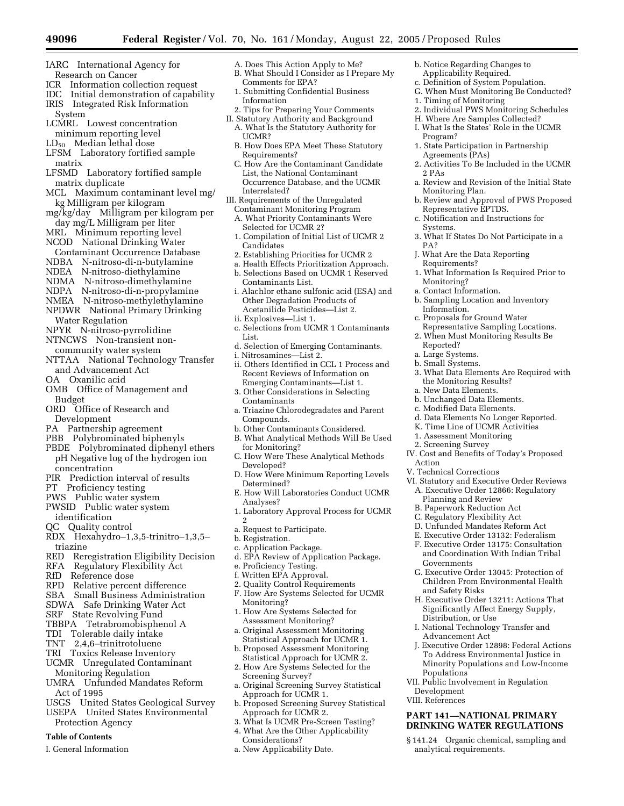- 
- IARC International Agency for Research on Cancer
- ICR Information collection request
- IDC Initial demonstration of capability
- IRIS Integrated Risk Information System
- LCMRL Lowest concentration minimum reporting level
- $LD_{50}$  Median lethal dose
- LFSM Laboratory fortified sample matrix
- LFSMD Laboratory fortified sample matrix duplicate
- MCL Maximum contaminant level mg/ kg Milligram per kilogram
- mg/kg/day Milligram per kilogram per day mg/L Milligram per liter
- MRL Minimum reporting level NCOD National Drinking Water
- Contaminant Occurrence Database
- NDBA N-nitroso-di-n-butylamine
- NDEA N-nitroso-diethylamine
- NDMA N-nitroso-dimethylamine
- NDPA N-nitroso-di-n-propylamine
- NMEA N-nitroso-methylethylamine NPDWR National Primary Drinking
- Water Regulation NPYR N-nitroso-pyrrolidine
- NTNCWS Non-transient non-
- community water system
- NTTAA National Technology Transfer and Advancement Act
- OA Oxanilic acid
- OMB Office of Management and Budget
- ORD Office of Research and Development
- PA Partnership agreement
- PBB Polybrominated biphenyls
- PBDE Polybrominated diphenyl ethers pH Negative log of the hydrogen ion concentration
- PIR Prediction interval of results
- PT Proficiency testing
- PWS Public water system
- PWSID Public water system identification
- QC Quality control
- RDX Hexahydro–1,3,5-trinitro–1,3,5– triazine
- RED Reregistration Eligibility Decision
- RFA Regulatory Flexibility Act
- RfD Reference dose
- RPD Relative percent difference
- SBA Small Business Administration
- SDWA Safe Drinking Water Act
- SRF State Revolving Fund
- TBBPA Tetrabromobisphenol A
- TDI Tolerable daily intake
- TNT 2,4,6–trinitrotoluene
- TRI Toxics Release Inventory
- UCMR Unregulated Contaminant Monitoring Regulation
- UMRA Unfunded Mandates Reform Act of 1995
- USGS United States Geological Survey USEPA United States Environmental
- Protection Agency

# **Table of Contents**

I. General Information

- A. Does This Action Apply to Me?
- B. What Should I Consider as I Prepare My Comments for EPA?
- 1. Submitting Confidential Business Information
- 2. Tips for Preparing Your Comments
- II. Statutory Authority and Background A. What Is the Statutory Authority for UCMR?
	- B. How Does EPA Meet These Statutory Requirements?
- C. How Are the Contaminant Candidate List, the National Contaminant Occurrence Database, and the UCMR Interrelated?
- III. Requirements of the Unregulated Contaminant Monitoring Program
- A. What Priority Contaminants Were Selected for UCMR 2?
- 1. Compilation of Initial List of UCMR 2 Candidates
- 2. Establishing Priorities for UCMR 2
- a. Health Effects Prioritization Approach.
- b. Selections Based on UCMR 1 Reserved Contaminants List.
- i. Alachlor ethane sulfonic acid (ESA) and Other Degradation Products of Acetanilide Pesticides—List 2.
- ii. Explosives—List 1.
- c. Selections from UCMR 1 Contaminants List.
- d. Selection of Emerging Contaminants. i. Nitrosamines—List 2.
- ii. Others Identified in CCL 1 Process and Recent Reviews of Information on Emerging Contaminants—List 1.
- 3. Other Considerations in Selecting Contaminants
- a. Triazine Chlorodegradates and Parent Compounds.
- b. Other Contaminants Considered.
- B. What Analytical Methods Will Be Used for Monitoring?
- C. How Were These Analytical Methods Developed?
- D. How Were Minimum Reporting Levels Determined?
- E. How Will Laboratories Conduct UCMR Analyses?
- 1. Laboratory Approval Process for UCMR  $\mathcal{L}$
- a. Request to Participate.
- b. Registration.
- c. Application Package.
- d. EPA Review of Application Package.
- e. Proficiency Testing.
- f. Written EPA Approval.
- 2. Quality Control Requirements
- F. How Are Systems Selected for UCMR Monitoring?
- 1. How Are Systems Selected for Assessment Monitoring?
- a. Original Assessment Monitoring Statistical Approach for UCMR 1.
- b. Proposed Assessment Monitoring Statistical Approach for UCMR 2.
- 2. How Are Systems Selected for the
- Screening Survey? a. Original Screening Survey Statistical Approach for UCMR 1.
- b. Proposed Screening Survey Statistical
- Approach for UCMR 2.
- 3. What Is UCMR Pre-Screen Testing?
- 4. What Are the Other Applicability
	- Considerations?
- a. New Applicability Date.
- b. Notice Regarding Changes to Applicability Required.
- c. Definition of System Population.

H. Where Are Samples Collected? I. What Is the States' Role in the UCMR

1. State Participation in Partnership

2. Activities To Be Included in the UCMR

a. Review and Revision of the Initial State

b. Review and Approval of PWS Proposed

3. What If States Do Not Participate in a

1. What Information Is Required Prior to

Representative Sampling Locations. 2. When Must Monitoring Results Be

3. What Data Elements Are Required with

d. Data Elements No Longer Reported. K. Time Line of UCMR Activities 1. Assessment Monitoring 2. Screening Survey

IV. Cost and Benefits of Today's Proposed

VI. Statutory and Executive Order Reviews A. Executive Order 12866: Regulatory

G. Executive Order 13045: Protection of Children From Environmental Health

H. Executive Order 13211: Actions That Significantly Affect Energy Supply,

J. Executive Order 12898: Federal Actions To Address Environmental Justice in Minority Populations and Low-Income

I. National Technology Transfer and

VII. Public Involvement in Regulation

**PART 141—NATIONAL PRIMARY DRINKING WATER REGULATIONS** § 141.24 Organic chemical, sampling and

b. Sampling Location and Inventory

1. Timing of Monitoring

Agreements (PAs)

Monitoring Plan.

Requirements?

Monitoring? a. Contact Information.

Information.

Reported? a. Large Systems. b. Small Systems.

Action

V. Technical Corrections

Governments

and Safety Risks

Distribution, or Use

Advancement Act

analytical requirements.

Populations

Development VIII. References

Planning and Review B. Paperwork Reduction Act C. Regulatory Flexibility Act D. Unfunded Mandates Reform Act E. Executive Order 13132: Federalism F. Executive Order 13175: Consultation and Coordination With Indian Tribal

Representative EPTDS. c. Notification and Instructions for

J. What Are the Data Reporting

c. Proposals for Ground Water

the Monitoring Results? a. New Data Elements. b. Unchanged Data Elements. c. Modified Data Elements.

Program?

2 PAs

**Systems** 

PA?

G. When Must Monitoring Be Conducted? 2. Individual PWS Monitoring Schedules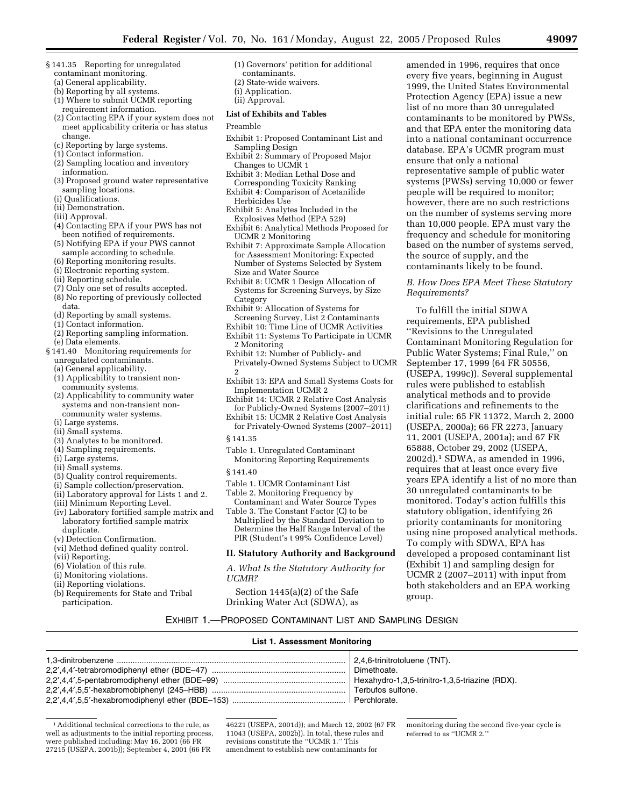- § 141.35 Reporting for unregulated contaminant monitoring.
	- (a) General applicability.
	- (b) Reporting by all systems.
	- (1) Where to submit UCMR reporting requirement information.
	- (2) Contacting EPA if your system does not meet applicability criteria or has status change.
	- (c) Reporting by large systems.
	- (1) Contact information.
	- (2) Sampling location and inventory information.
	- (3) Proposed ground water representative sampling locations.
	- (i) Qualifications.
	- (ii) Demonstration.
	- (iii) Approval.
	- (4) Contacting EPA if your PWS has not been notified of requirements.
	- (5) Notifying EPA if your PWS cannot sample according to schedule.
	- (6) Reporting monitoring results.
	- (i) Electronic reporting system.
	- (ii) Reporting schedule.
	- (7) Only one set of results accepted.
	- (8) No reporting of previously collected data.
	- (d) Reporting by small systems.
	- (1) Contact information.
	- (2) Reporting sampling information. (e) Data elements.
- § 141.40 Monitoring requirements for unregulated contaminants.
	- (a) General applicability.
	- (1) Applicability to transient non-
	- community systems. (2) Applicability to community water systems and non-transient non-
	- community water systems.
	- (i) Large systems.
	- (ii) Small systems.
	- (3) Analytes to be monitored.
	- (4) Sampling requirements.
	- (i) Large systems.
	- (ii) Small systems.
	- (5) Quality control requirements.
	- (i) Sample collection/preservation.
	- (ii) Laboratory approval for Lists 1 and 2.
	- (iii) Minimum Reporting Level.
	- (iv) Laboratory fortified sample matrix and laboratory fortified sample matrix duplicate.
	- (v) Detection Confirmation.
	- (vi) Method defined quality control.
	- (vii) Reporting.
	- (6) Violation of this rule.
	- (i) Monitoring violations.
	- (ii) Reporting violations.
	- (b) Requirements for State and Tribal participation.
- (1) Governors' petition for additional
- contaminants. (2) State-wide waivers.
- (i) Application.
- (ii) Approval.

# **List of Exhibits and Tables**

#### Preamble

- Exhibit 1: Proposed Contaminant List and Sampling Design
- Exhibit 2: Summary of Proposed Major Changes to UCMR 1
- Exhibit 3: Median Lethal Dose and Corresponding Toxicity Ranking
- Exhibit 4: Comparison of Acetanilide Herbicides Use
- Exhibit 5: Analytes Included in the Explosives Method (EPA 529)
- Exhibit 6: Analytical Methods Proposed for UCMR 2 Monitoring
- Exhibit 7: Approximate Sample Allocation for Assessment Monitoring: Expected Number of Systems Selected by System Size and Water Source
- Exhibit 8: UCMR 1 Design Allocation of Systems for Screening Surveys, by Size **Category**
- Exhibit 9: Allocation of Systems for Screening Survey, List 2 Contaminants
- Exhibit 10: Time Line of UCMR Activities
- Exhibit 11: Systems To Participate in UCMR 2 Monitoring
- Exhibit 12: Number of Publicly- and Privately-Owned Systems Subject to UCMR 2
- Exhibit 13: EPA and Small Systems Costs for Implementation UCMR 2
- Exhibit 14: UCMR 2 Relative Cost Analysis for Publicly-Owned Systems (2007–2011)
- Exhibit 15: UCMR 2 Relative Cost Analysis for Privately-Owned Systems (2007–2011)
- § 141.35
- Table 1. Unregulated Contaminant Monitoring Reporting Requirements
- § 141.40
- Table 1. UCMR Contaminant List
- Table 2. Monitoring Frequency by Contaminant and Water Source Types Table 3. The Constant Factor (C) to be
- Multiplied by the Standard Deviation to Determine the Half Range Interval of the PIR (Student's t 99% Confidence Level)

#### **II. Statutory Authority and Background**

*A. What Is the Statutory Authority for UCMR?* 

Section 1445(a)(2) of the Safe Drinking Water Act (SDWA), as

amended in 1996, requires that once every five years, beginning in August 1999, the United States Environmental Protection Agency (EPA) issue a new list of no more than 30 unregulated contaminants to be monitored by PWSs, and that EPA enter the monitoring data into a national contaminant occurrence database. EPA's UCMR program must ensure that only a national representative sample of public water systems (PWSs) serving 10,000 or fewer people will be required to monitor; however, there are no such restrictions on the number of systems serving more than 10,000 people. EPA must vary the frequency and schedule for monitoring based on the number of systems served, the source of supply, and the contaminants likely to be found.

### *B. How Does EPA Meet These Statutory Requirements?*

To fulfill the initial SDWA requirements, EPA published ''Revisions to the Unregulated Contaminant Monitoring Regulation for Public Water Systems; Final Rule,'' on September 17, 1999 (64 FR 50556, (USEPA, 1999c)). Several supplemental rules were published to establish analytical methods and to provide clarifications and refinements to the initial rule: 65 FR 11372, March 2, 2000 (USEPA, 2000a); 66 FR 2273, January 11, 2001 (USEPA, 2001a); and 67 FR 65888, October 29, 2002 (USEPA, 2002d).1 SDWA, as amended in 1996, requires that at least once every five years EPA identify a list of no more than 30 unregulated contaminants to be monitored. Today's action fulfills this statutory obligation, identifying 26 priority contaminants for monitoring using nine proposed analytical methods. To comply with SDWA, EPA has developed a proposed contaminant list (Exhibit 1) and sampling design for UCMR 2 (2007–2011) with input from both stakeholders and an EPA working group.

# EXHIBIT 1.—PROPOSED CONTAMINANT LIST AND SAMPLING DESIGN

# **List 1. Assessment Monitoring**

1Additional technical corrections to the rule, as well as adjustments to the initial reporting process, were published including: May 16, 2001 (66 FR 27215 (USEPA, 2001b)); September 4, 2001 (66 FR

46221 (USEPA, 2001d)); and March 12, 2002 (67 FR 11043 (USEPA, 2002b)). In total, these rules and revisions constitute the ''UCMR 1.'' This amendment to establish new contaminants for

monitoring during the second five-year cycle is referred to as ''UCMR 2.''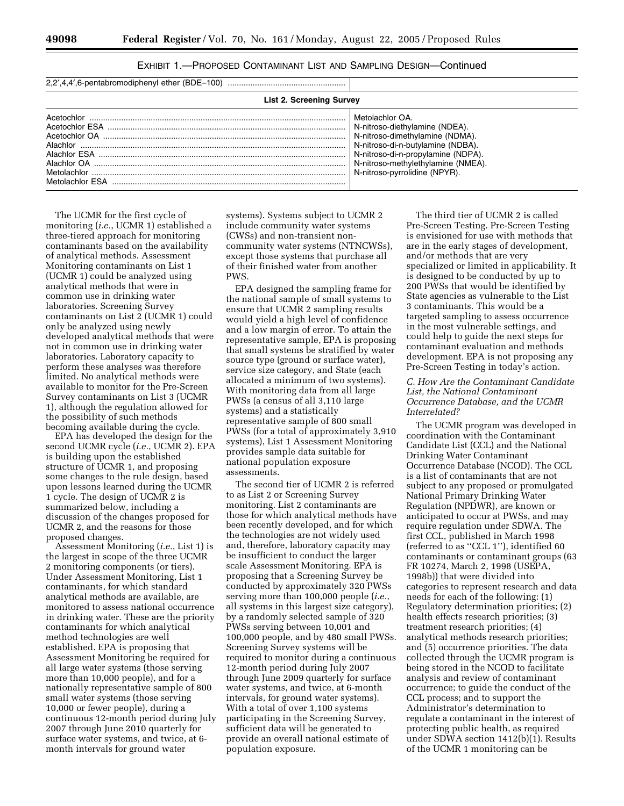| EXHIBIT 1.—PROPOSED CONTAMINANT LIST AND SAMPLING DESIGN—Continued |  |  |  |
|--------------------------------------------------------------------|--|--|--|
|--------------------------------------------------------------------|--|--|--|

| 2,2',4,4',6-pentabromodiphenyl ether (BDE-100) |  |
|------------------------------------------------|--|
|------------------------------------------------|--|

| <b>List 2. Screening Survey</b> |                                                                                                                                                                                                                                        |  |  |
|---------------------------------|----------------------------------------------------------------------------------------------------------------------------------------------------------------------------------------------------------------------------------------|--|--|
| Metolachlor<br>Metolachlor FSA  | Metolachlor OA.<br>N-nitroso-diethylamine (NDEA).<br>N-nitroso-dimethylamine (NDMA).<br>N-nitroso-di-n-butvlamine (NDBA).<br>N-nitroso-di-n-propylamine (NDPA).<br>N-nitroso-methylethylamine (NMEA).<br>N-nitroso-pyrrolidine (NPYR). |  |  |

The UCMR for the first cycle of monitoring (*i.e.*, UCMR 1) established a three-tiered approach for monitoring contaminants based on the availability of analytical methods. Assessment Monitoring contaminants on List 1 (UCMR 1) could be analyzed using analytical methods that were in common use in drinking water laboratories. Screening Survey contaminants on List 2 (UCMR 1) could only be analyzed using newly developed analytical methods that were not in common use in drinking water laboratories. Laboratory capacity to perform these analyses was therefore limited. No analytical methods were available to monitor for the Pre-Screen Survey contaminants on List 3 (UCMR 1), although the regulation allowed for the possibility of such methods becoming available during the cycle.

EPA has developed the design for the second UCMR cycle (*i.e.*, UCMR 2). EPA is building upon the established structure of UCMR 1, and proposing some changes to the rule design, based upon lessons learned during the UCMR 1 cycle. The design of UCMR 2 is summarized below, including a discussion of the changes proposed for UCMR 2, and the reasons for those proposed changes.

Assessment Monitoring (*i.e.*, List 1) is the largest in scope of the three UCMR 2 monitoring components (or tiers). Under Assessment Monitoring, List 1 contaminants, for which standard analytical methods are available, are monitored to assess national occurrence in drinking water. These are the priority contaminants for which analytical method technologies are well established. EPA is proposing that Assessment Monitoring be required for all large water systems (those serving more than 10,000 people), and for a nationally representative sample of 800 small water systems (those serving 10,000 or fewer people), during a continuous 12-month period during July 2007 through June 2010 quarterly for surface water systems, and twice, at 6 month intervals for ground water

systems). Systems subject to UCMR 2 include community water systems (CWSs) and non-transient noncommunity water systems (NTNCWSs), except those systems that purchase all of their finished water from another PWS.

EPA designed the sampling frame for the national sample of small systems to ensure that UCMR 2 sampling results would yield a high level of confidence and a low margin of error. To attain the representative sample, EPA is proposing that small systems be stratified by water source type (ground or surface water), service size category, and State (each allocated a minimum of two systems). With monitoring data from all large PWSs (a census of all 3,110 large systems) and a statistically representative sample of 800 small PWSs (for a total of approximately 3,910 systems), List 1 Assessment Monitoring provides sample data suitable for national population exposure assessments.

The second tier of UCMR 2 is referred to as List 2 or Screening Survey monitoring. List 2 contaminants are those for which analytical methods have been recently developed, and for which the technologies are not widely used and, therefore, laboratory capacity may be insufficient to conduct the larger scale Assessment Monitoring. EPA is proposing that a Screening Survey be conducted by approximately 320 PWSs serving more than 100,000 people (*i.e.*, all systems in this largest size category), by a randomly selected sample of 320 PWSs serving between 10,001 and 100,000 people, and by 480 small PWSs. Screening Survey systems will be required to monitor during a continuous 12-month period during July 2007 through June 2009 quarterly for surface water systems, and twice, at 6-month intervals, for ground water systems). With a total of over 1,100 systems participating in the Screening Survey, sufficient data will be generated to provide an overall national estimate of population exposure.

The third tier of UCMR 2 is called Pre-Screen Testing. Pre-Screen Testing is envisioned for use with methods that are in the early stages of development, and/or methods that are very specialized or limited in applicability. It is designed to be conducted by up to 200 PWSs that would be identified by State agencies as vulnerable to the List 3 contaminants. This would be a targeted sampling to assess occurrence in the most vulnerable settings, and could help to guide the next steps for contaminant evaluation and methods development. EPA is not proposing any Pre-Screen Testing in today's action.

# *C. How Are the Contaminant Candidate List, the National Contaminant Occurrence Database, and the UCMR Interrelated?*

The UCMR program was developed in coordination with the Contaminant Candidate List (CCL) and the National Drinking Water Contaminant Occurrence Database (NCOD). The CCL is a list of contaminants that are not subject to any proposed or promulgated National Primary Drinking Water Regulation (NPDWR), are known or anticipated to occur at PWSs, and may require regulation under SDWA. The first CCL, published in March 1998 (referred to as ''CCL 1''), identified 60 contaminants or contaminant groups (63 FR 10274, March 2, 1998 (USEPA, 1998b)) that were divided into categories to represent research and data needs for each of the following: (1) Regulatory determination priorities; (2) health effects research priorities; (3) treatment research priorities; (4) analytical methods research priorities; and (5) occurrence priorities. The data collected through the UCMR program is being stored in the NCOD to facilitate analysis and review of contaminant occurrence; to guide the conduct of the CCL process; and to support the Administrator's determination to regulate a contaminant in the interest of protecting public health, as required under SDWA section 1412(b)(1). Results of the UCMR 1 monitoring can be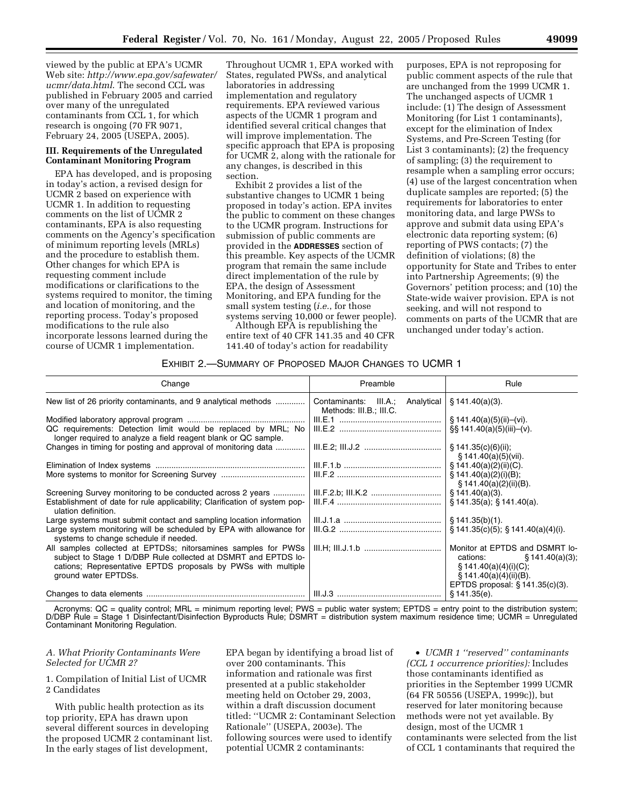viewed by the public at EPA's UCMR Web site: *http://www.epa.gov/safewater/ ucmr/data.html*. The second CCL was published in February 2005 and carried over many of the unregulated contaminants from CCL 1, for which research is ongoing (70 FR 9071, February 24, 2005 (USEPA, 2005).

# **III. Requirements of the Unregulated Contaminant Monitoring Program**

EPA has developed, and is proposing in today's action, a revised design for UCMR 2 based on experience with UCMR 1. In addition to requesting comments on the list of UCMR 2 contaminants, EPA is also requesting comments on the Agency's specification of minimum reporting levels (MRLs) and the procedure to establish them. Other changes for which EPA is requesting comment include modifications or clarifications to the systems required to monitor, the timing and location of monitoring, and the reporting process. Today's proposed modifications to the rule also incorporate lessons learned during the course of UCMR 1 implementation.

Throughout UCMR 1, EPA worked with States, regulated PWSs, and analytical laboratories in addressing implementation and regulatory requirements. EPA reviewed various aspects of the UCMR 1 program and identified several critical changes that will improve implementation. The specific approach that EPA is proposing for UCMR 2, along with the rationale for any changes, is described in this section.

Exhibit 2 provides a list of the substantive changes to UCMR 1 being proposed in today's action. EPA invites the public to comment on these changes to the UCMR program. Instructions for submission of public comments are provided in the **ADDRESSES** section of this preamble. Key aspects of the UCMR program that remain the same include direct implementation of the rule by EPA, the design of Assessment Monitoring, and EPA funding for the small system testing (*i.e.*, for those systems serving 10,000 or fewer people).

Although EPA is republishing the entire text of 40 CFR 141.35 and 40 CFR 141.40 of today's action for readability

purposes, EPA is not reproposing for public comment aspects of the rule that are unchanged from the 1999 UCMR 1. The unchanged aspects of UCMR 1 include: (1) The design of Assessment Monitoring (for List 1 contaminants), except for the elimination of Index Systems, and Pre-Screen Testing (for List 3 contaminants); (2) the frequency of sampling; (3) the requirement to resample when a sampling error occurs; (4) use of the largest concentration when duplicate samples are reported; (5) the requirements for laboratories to enter monitoring data, and large PWSs to approve and submit data using EPA's electronic data reporting system; (6) reporting of PWS contacts; (7) the definition of violations; (8) the opportunity for State and Tribes to enter into Partnership Agreements; (9) the Governors' petition process; and (10) the State-wide waiver provision. EPA is not seeking, and will not respond to comments on parts of the UCMR that are unchanged under today's action.

## EXHIBIT 2.—SUMMARY OF PROPOSED MAJOR CHANGES TO UCMR 1

| Change                                                                                                                                                                                                                    | Preamble                                                       | Rule                                                                                                                                                      |
|---------------------------------------------------------------------------------------------------------------------------------------------------------------------------------------------------------------------------|----------------------------------------------------------------|-----------------------------------------------------------------------------------------------------------------------------------------------------------|
| New list of 26 priority contaminants, and 9 analytical methods                                                                                                                                                            | Contaminants: III.A.;<br>Analytical<br>Methods: III.B.; III.C. | § 141.40(a)(3).                                                                                                                                           |
| QC requirements: Detection limit would be replaced by MRL; No<br>longer required to analyze a field reagent blank or QC sample.                                                                                           |                                                                | § 141.40(a)(5)(ii)–(vi).<br>$\S$ \$ 141.40(a)(5)(iii)–(v).                                                                                                |
| Changes in timing for posting and approval of monitoring data                                                                                                                                                             |                                                                | $\S$ 141.35(c)(6)(ii);<br>$\S$ 141.40(a)(5)(vii).                                                                                                         |
|                                                                                                                                                                                                                           |                                                                | § 141.40(a)(2)(ii)(C).                                                                                                                                    |
|                                                                                                                                                                                                                           |                                                                | $\S$ 141.40(a)(2)(i)(B);<br>$\S$ 141.40(a)(2)(ii)(B).                                                                                                     |
| Screening Survey monitoring to be conducted across 2 years                                                                                                                                                                |                                                                | $$141.40(a)(3)$ .                                                                                                                                         |
| Establishment of date for rule applicability; Clarification of system pop-<br>ulation definition.                                                                                                                         |                                                                | \$141.35(a); \$141.40(a).                                                                                                                                 |
| Large systems must submit contact and sampling location information                                                                                                                                                       |                                                                | \$141.35(b)(1).                                                                                                                                           |
| Large system monitoring will be scheduled by EPA with allowance for<br>systems to change schedule if needed.                                                                                                              |                                                                | $\S$ 141.35(c)(5); $\S$ 141.40(a)(4)(i).                                                                                                                  |
| All samples collected at EPTDSs; nitorsamines samples for PWSs<br>subject to Stage 1 D/DBP Rule collected at DSMRT and EPTDS lo-<br>cations; Representative EPTDS proposals by PWSs with multiple<br>ground water EPTDSs. |                                                                | Monitor at EPTDS and DSMRT lo-<br>cations:<br>$\S$ 141.40(a)(3);<br>§ 141.40(a)(4)(i)(C);<br>§ 141.40(a)(4)(ii)(B).<br>EPTDS proposal: $\S$ 141.35(c)(3). |
|                                                                                                                                                                                                                           |                                                                | § 141.35(e).                                                                                                                                              |

Acronyms: QC = quality control; MRL = minimum reporting level; PWS = public water system; EPTDS = entry point to the distribution system; D/DBP Rule = Stage 1 Disinfectant/Disinfection Byproducts Rule; DSMRT = distribution system maximum residence time; UCMR = Unregulated Contaminant Monitoring Regulation.

#### *A. What Priority Contaminants Were Selected for UCMR 2?*

1. Compilation of Initial List of UCMR 2 Candidates

With public health protection as its top priority, EPA has drawn upon several different sources in developing the proposed UCMR 2 contaminant list. In the early stages of list development,

EPA began by identifying a broad list of over 200 contaminants. This information and rationale was first presented at a public stakeholder meeting held on October 29, 2003, within a draft discussion document titled: ''UCMR 2: Contaminant Selection Rationale'' (USEPA, 2003e). The following sources were used to identify potential UCMR 2 contaminants:

• *UCMR 1 ''reserved'' contaminants (CCL 1 occurrence priorities):* Includes those contaminants identified as priorities in the September 1999 UCMR (64 FR 50556 (USEPA, 1999c)), but reserved for later monitoring because methods were not yet available. By design, most of the UCMR 1 contaminants were selected from the list of CCL 1 contaminants that required the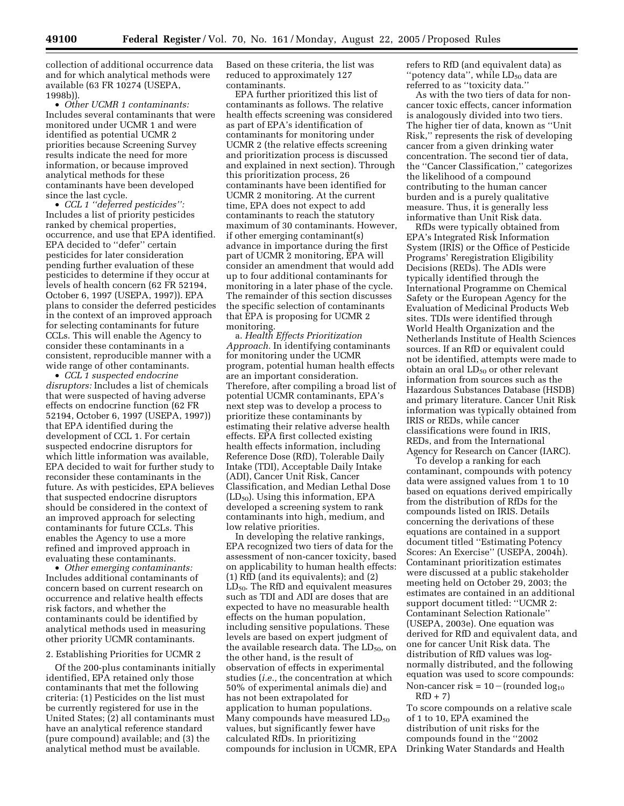collection of additional occurrence data and for which analytical methods were available (63 FR 10274 (USEPA, 1998b)).

• *Other UCMR 1 contaminants:* Includes several contaminants that were monitored under UCMR 1 and were identified as potential UCMR 2 priorities because Screening Survey results indicate the need for more information, or because improved analytical methods for these contaminants have been developed since the last cycle.

• *CCL 1 ''deferred pesticides'':* Includes a list of priority pesticides ranked by chemical properties, occurrence, and use that EPA identified. EPA decided to ''defer'' certain pesticides for later consideration pending further evaluation of these pesticides to determine if they occur at levels of health concern (62 FR 52194, October 6, 1997 (USEPA, 1997)). EPA plans to consider the deferred pesticides in the context of an improved approach for selecting contaminants for future CCLs. This will enable the Agency to consider these contaminants in a consistent, reproducible manner with a wide range of other contaminants.

• *CCL 1 suspected endocrine disruptors:* Includes a list of chemicals that were suspected of having adverse effects on endocrine function (62 FR 52194, October 6, 1997 (USEPA, 1997)) that EPA identified during the development of CCL 1. For certain suspected endocrine disruptors for which little information was available, EPA decided to wait for further study to reconsider these contaminants in the future. As with pesticides, EPA believes that suspected endocrine disruptors should be considered in the context of an improved approach for selecting contaminants for future CCLs. This enables the Agency to use a more refined and improved approach in evaluating these contaminants.

• *Other emerging contaminants:* Includes additional contaminants of concern based on current research on occurrence and relative health effects risk factors, and whether the contaminants could be identified by analytical methods used in measuring other priority UCMR contaminants.

#### 2. Establishing Priorities for UCMR 2

Of the 200-plus contaminants initially identified, EPA retained only those contaminants that met the following criteria: (1) Pesticides on the list must be currently registered for use in the United States; (2) all contaminants must have an analytical reference standard (pure compound) available; and (3) the analytical method must be available.

Based on these criteria, the list was reduced to approximately 127 contaminants.

EPA further prioritized this list of contaminants as follows. The relative health effects screening was considered as part of EPA's identification of contaminants for monitoring under UCMR 2 (the relative effects screening and prioritization process is discussed and explained in next section). Through this prioritization process, 26 contaminants have been identified for UCMR 2 monitoring. At the current time, EPA does not expect to add contaminants to reach the statutory maximum of 30 contaminants. However, if other emerging contaminant(s) advance in importance during the first part of UCMR 2 monitoring, EPA will consider an amendment that would add up to four additional contaminants for monitoring in a later phase of the cycle. The remainder of this section discusses the specific selection of contaminants that EPA is proposing for UCMR 2 monitoring.

a. *Health Effects Prioritization Approach.* In identifying contaminants for monitoring under the UCMR program, potential human health effects are an important consideration. Therefore, after compiling a broad list of potential UCMR contaminants, EPA's next step was to develop a process to prioritize these contaminants by estimating their relative adverse health effects. EPA first collected existing health effects information, including Reference Dose (RfD), Tolerable Daily Intake (TDI), Acceptable Daily Intake (ADI), Cancer Unit Risk, Cancer Classification, and Median Lethal Dose  $(LD_{50})$ . Using this information, EPA developed a screening system to rank contaminants into high, medium, and low relative priorities.

In developing the relative rankings, EPA recognized two tiers of data for the assessment of non-cancer toxicity, based on applicability to human health effects: (1) RfD (and its equivalents); and (2)  $LD_{50}$ . The RfD and equivalent measures such as TDI and ADI are doses that are expected to have no measurable health effects on the human population, including sensitive populations. These levels are based on expert judgment of the available research data. The  $LD_{50}$ , on the other hand, is the result of observation of effects in experimental studies (*i.e.,* the concentration at which 50% of experimental animals die) and has not been extrapolated for application to human populations. Many compounds have measured  $LD_{50}$ values, but significantly fewer have calculated RfDs. In prioritizing compounds for inclusion in UCMR, EPA refers to RfD (and equivalent data) as "potency data", while  $LD_{50}$  data are referred to as ''toxicity data.''

As with the two tiers of data for noncancer toxic effects, cancer information is analogously divided into two tiers. The higher tier of data, known as ''Unit Risk,'' represents the risk of developing cancer from a given drinking water concentration. The second tier of data, the ''Cancer Classification,'' categorizes the likelihood of a compound contributing to the human cancer burden and is a purely qualitative measure. Thus, it is generally less informative than Unit Risk data.

RfDs were typically obtained from EPA's Integrated Risk Information System (IRIS) or the Office of Pesticide Programs' Reregistration Eligibility Decisions (REDs). The ADIs were typically identified through the International Programme on Chemical Safety or the European Agency for the Evaluation of Medicinal Products Web sites. TDIs were identified through World Health Organization and the Netherlands Institute of Health Sciences sources. If an RfD or equivalent could not be identified, attempts were made to obtain an oral LD<sub>50</sub> or other relevant information from sources such as the Hazardous Substances Database (HSDB) and primary literature. Cancer Unit Risk information was typically obtained from IRIS or REDs, while cancer classifications were found in IRIS, REDs, and from the International Agency for Research on Cancer (IARC).

To develop a ranking for each contaminant, compounds with potency data were assigned values from 1 to 10 based on equations derived empirically from the distribution of RfDs for the compounds listed on IRIS. Details concerning the derivations of these equations are contained in a support document titled ''Estimating Potency Scores: An Exercise'' (USEPA, 2004h). Contaminant prioritization estimates were discussed at a public stakeholder meeting held on October 29, 2003; the estimates are contained in an additional support document titled: ''UCMR 2: Contaminant Selection Rationale'' (USEPA, 2003e). One equation was derived for RfD and equivalent data, and one for cancer Unit Risk data. The distribution of RfD values was lognormally distributed, and the following equation was used to score compounds: Non-cancer risk =  $10$  – (rounded log<sub>10</sub>)  $RfD + 7$ 

To score compounds on a relative scale of 1 to 10, EPA examined the distribution of unit risks for the compounds found in the ''2002 Drinking Water Standards and Health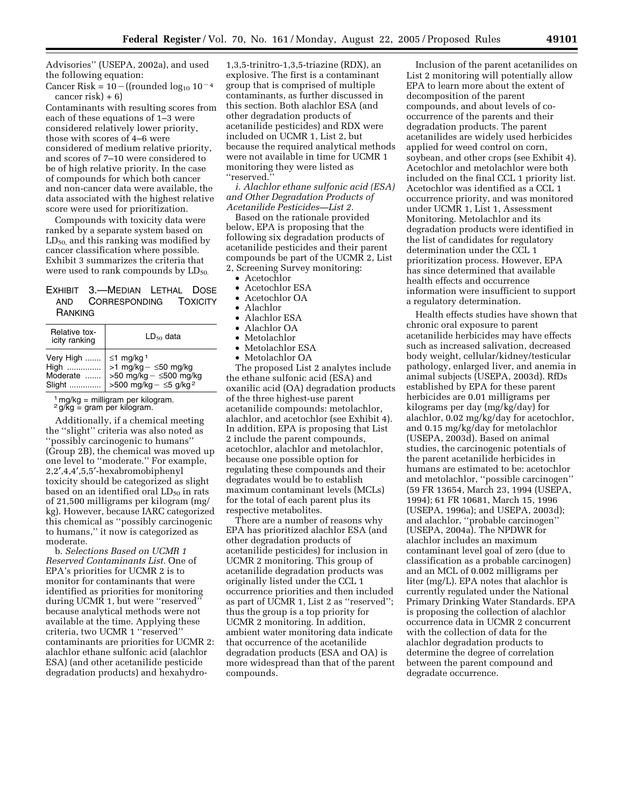Advisories'' (USEPA, 2002a), and used the following equation:

Cancer Risk =  $10 - ((rounded log<sub>10</sub> 10<sup>-4</sup>$ cancer risk $+6$ 

Contaminants with resulting scores from each of these equations of 1–3 were considered relatively lower priority, those with scores of 4–6 were considered of medium relative priority, and scores of 7–10 were considered to be of high relative priority. In the case of compounds for which both cancer and non-cancer data were available, the data associated with the highest relative score were used for prioritization.

Compounds with toxicity data were ranked by a separate system based on  $LD_{50}$  and this ranking was modified by cancer classification where possible. Exhibit 3 summarizes the criteria that were used to rank compounds by  $LD_{50}$ .

# EXHIBIT 3.—MEDIAN LETHAL DOSE AND CORRESPONDING TOXICITY **RANKING**

| Relative tox-<br>icity ranking | $LD_{50}$ data |
|--------------------------------|----------------|
| Very High    ≤1 mg/kg 1        |                |

 $1$  mg/kg = milligram per kilogram.

 $2$  g/kg  $\leq$  gram per kilogram.

Additionally, if a chemical meeting the ''slight'' criteria was also noted as ''possibly carcinogenic to humans'' (Group 2B), the chemical was moved up one level to ''moderate.'' For example, 2,2′,4,4′,5,5′-hexabromobiphenyl toxicity should be categorized as slight based on an identified oral  $LD_{50}$  in rats of 21,500 milligrams per kilogram (mg/ kg). However, because IARC categorized this chemical as ''possibly carcinogenic to humans,'' it now is categorized as moderate.

b. *Selections Based on UCMR 1 Reserved Contaminants List.* One of EPA's priorities for UCMR 2 is to monitor for contaminants that were identified as priorities for monitoring during UCMR 1, but were ''reserved'' because analytical methods were not available at the time. Applying these criteria, two UCMR 1 ''reserved'' contaminants are priorities for UCMR 2: alachlor ethane sulfonic acid (alachlor ESA) (and other acetanilide pesticide degradation products) and hexahydro-

1,3,5-trinitro-1,3,5-triazine (RDX), an explosive. The first is a contaminant group that is comprised of multiple contaminants, as further discussed in this section. Both alachlor ESA (and other degradation products of acetanilide pesticides) and RDX were included on UCMR 1, List 2, but because the required analytical methods were not available in time for UCMR 1 monitoring they were listed as ''reserved.''

*i. Alachlor ethane sulfonic acid (ESA) and Other Degradation Products of Acetanilide Pesticides—List 2.*

Based on the rationale provided below, EPA is proposing that the following six degradation products of acetanilide pesticides and their parent compounds be part of the UCMR 2, List 2, Screening Survey monitoring:

• Acetochlor

- Acetochlor ESA
- Acetochlor OA
- Alachlor
- Alachlor ESA
- Alachlor OA
- Metolachlor
- Metolachlor ESA
- Metolachlor OA

The proposed List 2 analytes include the ethane sulfonic acid (ESA) and oxanilic acid (OA) degradation products of the three highest-use parent acetanilide compounds: metolachlor, alachlor, and acetochlor (see Exhibit 4). In addition, EPA is proposing that List 2 include the parent compounds, acetochlor, alachlor and metolachlor, because one possible option for regulating these compounds and their degradates would be to establish maximum contaminant levels (MCLs) for the total of each parent plus its respective metabolites.

There are a number of reasons why EPA has prioritized alachlor ESA (and other degradation products of acetanilide pesticides) for inclusion in UCMR 2 monitoring. This group of acetanilide degradation products was originally listed under the CCL 1 occurrence priorities and then included as part of UCMR 1, List 2 as ''reserved''; thus the group is a top priority for UCMR 2 monitoring. In addition, ambient water monitoring data indicate that occurrence of the acetanilide degradation products (ESA and OA) is more widespread than that of the parent compounds.

Inclusion of the parent acetanilides on List 2 monitoring will potentially allow EPA to learn more about the extent of decomposition of the parent compounds, and about levels of cooccurrence of the parents and their degradation products. The parent acetanilides are widely used herbicides applied for weed control on corn, soybean, and other crops (see Exhibit 4). Acetochlor and metolachlor were both included on the final CCL 1 priority list. Acetochlor was identified as a CCL 1 occurrence priority, and was monitored under UCMR 1, List 1, Assessment Monitoring. Metolachlor and its degradation products were identified in the list of candidates for regulatory determination under the CCL 1 prioritization process. However, EPA has since determined that available health effects and occurrence information were insufficient to support a regulatory determination.

Health effects studies have shown that chronic oral exposure to parent acetanilide herbicides may have effects such as increased salivation, decreased body weight, cellular/kidney/testicular pathology, enlarged liver, and anemia in animal subjects (USEPA, 2003d). RfDs established by EPA for these parent herbicides are 0.01 milligrams per kilograms per day (mg/kg/day) for alachlor, 0.02 mg/kg/day for acetochlor, and 0.15 mg/kg/day for metolachlor (USEPA, 2003d). Based on animal studies, the carcinogenic potentials of the parent acetanilide herbicides in humans are estimated to be: acetochlor and metolachlor, ''possible carcinogen'' (59 FR 13654, March 23, 1994 (USEPA, 1994); 61 FR 10681, March 15, 1996 (USEPA, 1996a); and USEPA, 2003d); and alachlor, ''probable carcinogen'' (USEPA, 2004a). The NPDWR for alachlor includes an maximum contaminant level goal of zero (due to classification as a probable carcinogen) and an MCL of 0.002 milligrams per liter (mg/L). EPA notes that alachlor is currently regulated under the National Primary Drinking Water Standards. EPA is proposing the collection of alachlor occurrence data in UCMR 2 concurrent with the collection of data for the alachlor degradation products to determine the degree of correlation between the parent compound and degradate occurrence.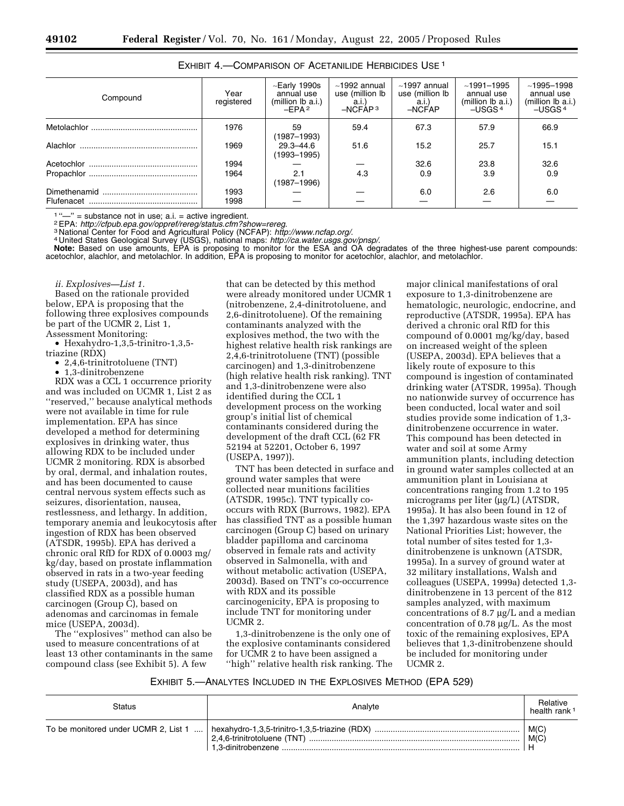| Compound | Year<br>registered | $\sim$ Early 1990s<br>annual use<br>(million lb a.i.)<br>-EPA $2$ | $~1992$ annual<br>use (million lb<br>a.i.)<br>$-NCFAP3$ | $~1997$ annual<br>use (million lb<br>a.i.<br>$-$ NCFAP | $~1991 - 1995$<br>annual use<br>(million lb a.i.)<br>$-USGS4$ | $~1995 - 1998$<br>annual use<br>(million lb a.i.)<br>-USGS <sup>4</sup> |
|----------|--------------------|-------------------------------------------------------------------|---------------------------------------------------------|--------------------------------------------------------|---------------------------------------------------------------|-------------------------------------------------------------------------|
|          | 1976               | 59<br>(1987–1993)                                                 | 59.4                                                    | 67.3                                                   | 57.9                                                          | 66.9                                                                    |
| Alachlor | 1969               | $29.3 - 44.6$<br>(1993–1995)                                      | 51.6                                                    | 15.2                                                   | 25.7                                                          | 15.1                                                                    |
|          | 1994               |                                                                   |                                                         | 32.6                                                   | 23.8                                                          | 32.6                                                                    |
|          | 1964               | 2.1<br>(1987–1996)                                                | 4.3                                                     | 0.9                                                    | 3.9                                                           | 0.9                                                                     |
|          | 1993<br>1998       |                                                                   |                                                         | 6.0                                                    | 2.6                                                           | 6.0                                                                     |
|          |                    |                                                                   |                                                         |                                                        |                                                               |                                                                         |

| EXHIBIT 4. - COMPARISON OF ACETANILIDE HERBICIDES USE <sup>1</sup> |  |
|--------------------------------------------------------------------|--|
|--------------------------------------------------------------------|--|

<sup>1</sup>"-" = substance not in use; a.i. = active ingredient.<br><sup>2</sup> EPA: http://cfpub.epa.gov/oppref/rereg/status.cfm?show=rereg.<br><sup>3</sup> National Center for Food and Agricultural Policy (NCFAP): http://www.ncfap.org/.

**Note:** Based on use amounts, EPA is proposing to monitor for the ESA and OA degradates of the three highest-use parent compounds: acetochlor, alachlor, and metolachlor. In addition, EPA is proposing to monitor for acetochlor, alachlor, and metolachlor.

*ii. Explosives—List 1.*

Based on the rationale provided below, EPA is proposing that the following three explosives compounds be part of the UCMR 2, List 1, Assessment Monitoring:

• Hexahydro-1,3,5-trinitro-1,3,5 triazine (RDX)

• 2,4,6-trinitrotoluene (TNT)

• 1,3-dinitrobenzene

RDX was a CCL 1 occurrence priority and was included on UCMR 1, List 2 as ''reserved,'' because analytical methods were not available in time for rule implementation. EPA has since developed a method for determining explosives in drinking water, thus allowing RDX to be included under UCMR 2 monitoring. RDX is absorbed by oral, dermal, and inhalation routes, and has been documented to cause central nervous system effects such as seizures, disorientation, nausea, restlessness, and lethargy. In addition, temporary anemia and leukocytosis after ingestion of RDX has been observed (ATSDR, 1995b). EPA has derived a chronic oral RfD for RDX of 0.0003 mg/ kg/day, based on prostate inflammation observed in rats in a two-year feeding study (USEPA, 2003d), and has classified RDX as a possible human carcinogen (Group C), based on adenomas and carcinomas in female mice (USEPA, 2003d).

The ''explosives'' method can also be used to measure concentrations of at least 13 other contaminants in the same compound class (see Exhibit 5). A few

that can be detected by this method were already monitored under UCMR 1 (nitrobenzene, 2,4-dinitrotoluene, and 2,6-dinitrotoluene). Of the remaining contaminants analyzed with the explosives method, the two with the highest relative health risk rankings are 2,4,6-trinitrotoluene (TNT) (possible carcinogen) and 1,3-dinitrobenzene (high relative health risk ranking). TNT and 1,3-dinitrobenzene were also identified during the CCL 1 development process on the working group's initial list of chemical contaminants considered during the development of the draft CCL (62 FR 52194 at 52201, October 6, 1997 (USEPA, 1997)).

TNT has been detected in surface and ground water samples that were collected near munitions facilities (ATSDR, 1995c). TNT typically cooccurs with RDX (Burrows, 1982). EPA has classified TNT as a possible human carcinogen (Group C) based on urinary bladder papilloma and carcinoma observed in female rats and activity observed in Salmonella, with and without metabolic activation (USEPA, 2003d). Based on TNT's co-occurrence with RDX and its possible carcinogenicity, EPA is proposing to include TNT for monitoring under UCMR 2.

1,3-dinitrobenzene is the only one of the explosive contaminants considered for UCMR 2 to have been assigned a ''high'' relative health risk ranking. The

major clinical manifestations of oral exposure to 1,3-dinitrobenzene are hematologic, neurologic, endocrine, and reproductive (ATSDR, 1995a). EPA has derived a chronic oral RfD for this compound of 0.0001 mg/kg/day, based on increased weight of the spleen (USEPA, 2003d). EPA believes that a likely route of exposure to this compound is ingestion of contaminated drinking water (ATSDR, 1995a). Though no nationwide survey of occurrence has been conducted, local water and soil studies provide some indication of 1,3 dinitrobenzene occurrence in water. This compound has been detected in water and soil at some Army ammunition plants, including detection in ground water samples collected at an ammunition plant in Louisiana at concentrations ranging from 1.2 to 195 micrograms per liter (µg/L) (ATSDR, 1995a). It has also been found in 12 of the 1,397 hazardous waste sites on the National Priorities List; however, the total number of sites tested for 1,3 dinitrobenzene is unknown (ATSDR, 1995a). In a survey of ground water at 32 military installations, Walsh and colleagues (USEPA, 1999a) detected 1,3 dinitrobenzene in 13 percent of the 812 samples analyzed, with maximum concentrations of 8.7 µg/L and a median concentration of 0.78 µg/L. As the most toxic of the remaining explosives, EPA believes that 1,3-dinitrobenzene should be included for monitoring under UCMR 2.

EXHIBIT 5.—ANALYTES INCLUDED IN THE EXPLOSIVES METHOD (EPA 529)

| Status                               | Analyte | Relative<br>health rank <sup>1</sup> |
|--------------------------------------|---------|--------------------------------------|
| To be monitored under UCMR 2, List 1 |         | M(C)<br>M(C)                         |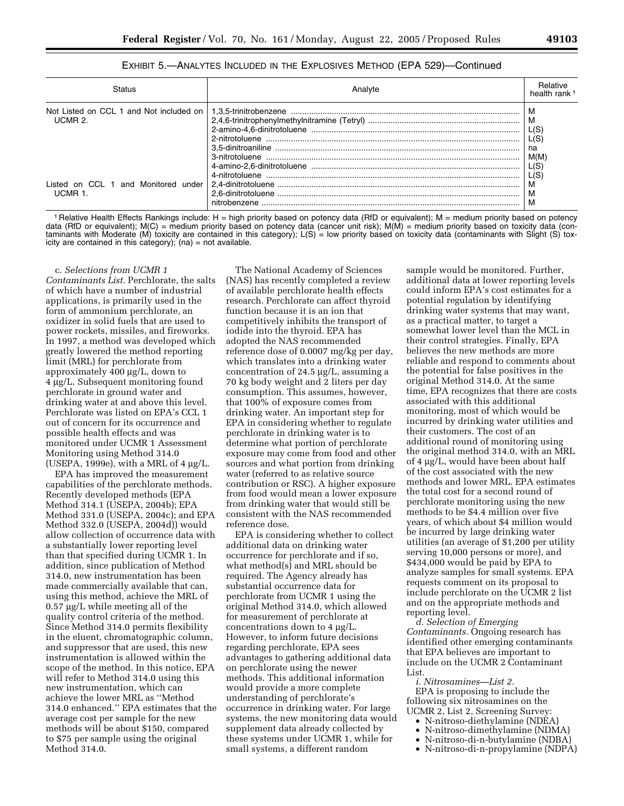| EXHIBIT 5.—ANALYTES INCLUDED IN THE EXPLOSIVES METHOD (EPA 529)—Continued |  |
|---------------------------------------------------------------------------|--|
|---------------------------------------------------------------------------|--|

| <b>Status</b>                                     | Analvte      | <b>Helative</b><br>health rank                       |
|---------------------------------------------------|--------------|------------------------------------------------------|
| UCMR 2.                                           |              | M<br>M<br>L(S)<br>L(S)<br>na<br>M(M)<br>L(S)<br>L(S) |
| Listed on CCL 1<br>and Monitored under<br>UCMR 1. | nitrobenzene | M<br>M<br>M                                          |

1 Relative Health Effects Rankings include: H = high priority based on potency data (RfD or equivalent); M = medium priority based on potency data (RfD or equivalent); M(C) = medium priority based on potency data (cancer unit risk); M(M) = medium priority based on toxicity data (contaminants with Moderate (M) toxicity are contained in this category); L(S) = low priority based on toxicity data (contaminants with Slight (S) toxicity are contained in this category);  $(na) = \text{not available}$ .

c. *Selections from UCMR 1 Contaminants List.* Perchlorate, the salts of which have a number of industrial applications, is primarily used in the form of ammonium perchlorate, an oxidizer in solid fuels that are used to power rockets, missiles, and fireworks. In 1997, a method was developed which greatly lowered the method reporting limit (MRL) for perchlorate from approximately 400 µg/L, down to 4 µg/L. Subsequent monitoring found perchlorate in ground water and drinking water at and above this level. Perchlorate was listed on EPA's CCL 1 out of concern for its occurrence and possible health effects and was monitored under UCMR 1 Assessment Monitoring using Method 314.0 (USEPA, 1999e), with a MRL of  $4 \mu g/L$ .

EPA has improved the measurement capabilities of the perchlorate methods. Recently developed methods (EPA Method 314.1 (USEPA, 2004b); EPA Method 331.0 (USEPA, 2004c); and EPA Method 332.0 (USEPA, 2004d)) would allow collection of occurrence data with a substantially lower reporting level than that specified during UCMR 1. In addition, since publication of Method 314.0, new instrumentation has been made commercially available that can, using this method, achieve the MRL of 0.57 µg/L while meeting all of the quality control criteria of the method. Since Method 314.0 permits flexibility in the eluent, chromatographic column, and suppressor that are used, this new instrumentation is allowed within the scope of the method. In this notice, EPA will refer to Method 314.0 using this new instrumentation, which can achieve the lower MRL as ''Method 314.0 enhanced.'' EPA estimates that the average cost per sample for the new methods will be about \$150, compared to \$75 per sample using the original Method 314.0.

The National Academy of Sciences (NAS) has recently completed a review of available perchlorate health effects research. Perchlorate can affect thyroid function because it is an ion that competitively inhibits the transport of iodide into the thyroid. EPA has adopted the NAS recommended reference dose of 0.0007 mg/kg per day, which translates into a drinking water concentration of 24.5 µg/L, assuming a 70 kg body weight and 2 liters per day consumption. This assumes, however, that 100% of exposure comes from drinking water. An important step for EPA in considering whether to regulate perchlorate in drinking water is to determine what portion of perchlorate exposure may come from food and other sources and what portion from drinking water (referred to as relative source contribution or RSC). A higher exposure from food would mean a lower exposure from drinking water that would still be consistent with the NAS recommended reference dose.

EPA is considering whether to collect additional data on drinking water occurrence for perchlorate and if so, what method(s) and MRL should be required. The Agency already has substantial occurrence data for perchlorate from UCMR 1 using the original Method 314.0, which allowed for measurement of perchlorate at concentrations down to 4 µg/L. However, to inform future decisions regarding perchlorate, EPA sees advantages to gathering additional data on perchlorate using the newer methods. This additional information would provide a more complete understanding of perchlorate's occurrence in drinking water. For large systems, the new monitoring data would supplement data already collected by these systems under UCMR 1, while for small systems, a different random

sample would be monitored. Further, additional data at lower reporting levels could inform EPA's cost estimates for a potential regulation by identifying drinking water systems that may want, as a practical matter, to target a somewhat lower level than the MCL in their control strategies. Finally, EPA believes the new methods are more reliable and respond to comments about the potential for false positives in the original Method 314.0. At the same time, EPA recognizes that there are costs associated with this additional monitoring, most of which would be incurred by drinking water utilities and their customers. The cost of an additional round of monitoring using the original method 314.0, with an MRL of 4 µg/L, would have been about half of the cost associated with the new methods and lower MRL. EPA estimates the total cost for a second round of perchlorate monitoring using the new methods to be \$4.4 million over five years, of which about \$4 million would be incurred by large drinking water utilities (an average of \$1,200 per utility serving 10,000 persons or more), and \$434,000 would be paid by EPA to analyze samples for small systems. EPA requests comment on its proposal to include perchlorate on the UCMR 2 list and on the appropriate methods and reporting level.

*d. Selection of Emerging Contaminants.* Ongoing research has identified other emerging contaminants that EPA believes are important to include on the UCMR 2 Contaminant List.

*i. Nitrosamines—List 2.*

EPA is proposing to include the following six nitrosamines on the UCMR 2, List 2, Screening Survey:

- N-nitroso-diethylamine (NDEA)
- N-nitroso-dimethylamine (NDMA)
- N-nitroso-di-n-butylamine (NDBA)
- N-nitroso-di-n-propylamine (NDPA)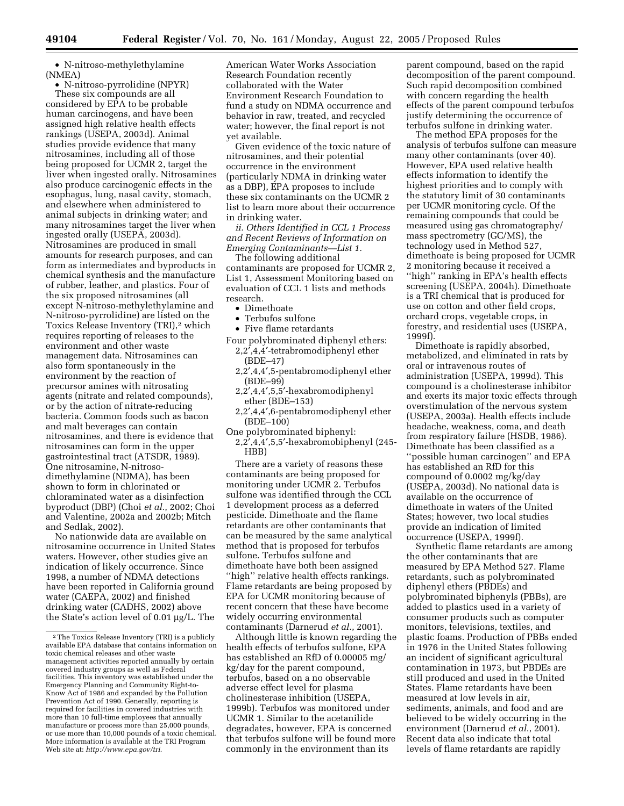• N-nitroso-methylethylamine (NMEA)

• N-nitroso-pyrrolidine (NPYR) These six compounds are all considered by EPA to be probable human carcinogens, and have been assigned high relative health effects rankings (USEPA, 2003d). Animal studies provide evidence that many nitrosamines, including all of those being proposed for UCMR 2, target the liver when ingested orally. Nitrosamines also produce carcinogenic effects in the esophagus, lung, nasal cavity, stomach, and elsewhere when administered to animal subjects in drinking water; and many nitrosamines target the liver when ingested orally (USEPA, 2003d). Nitrosamines are produced in small amounts for research purposes, and can form as intermediates and byproducts in chemical synthesis and the manufacture of rubber, leather, and plastics. Four of the six proposed nitrosamines (all except N-nitroso-methylethylamine and N-nitroso-pyrrolidine) are listed on the Toxics Release Inventory (TRI),<sup>2</sup> which requires reporting of releases to the environment and other waste management data. Nitrosamines can also form spontaneously in the environment by the reaction of precursor amines with nitrosating agents (nitrate and related compounds), or by the action of nitrate-reducing bacteria. Common foods such as bacon and malt beverages can contain nitrosamines, and there is evidence that nitrosamines can form in the upper gastrointestinal tract (ATSDR, 1989). One nitrosamine, N-nitrosodimethylamine (NDMA), has been shown to form in chlorinated or chloraminated water as a disinfection byproduct (DBP) (Choi *et al.*, 2002; Choi and Valentine, 2002a and 2002b; Mitch and Sedlak, 2002).

No nationwide data are available on nitrosamine occurrence in United States waters. However, other studies give an indication of likely occurrence. Since 1998, a number of NDMA detections have been reported in California ground water (CAEPA, 2002) and finished drinking water (CADHS, 2002) above the State's action level of 0.01 µg/L. The

American Water Works Association Research Foundation recently collaborated with the Water Environment Research Foundation to fund a study on NDMA occurrence and behavior in raw, treated, and recycled water; however, the final report is not yet available.

Given evidence of the toxic nature of nitrosamines, and their potential occurrence in the environment (particularly NDMA in drinking water as a DBP), EPA proposes to include these six contaminants on the UCMR 2 list to learn more about their occurrence in drinking water.

*ii. Others Identified in CCL 1 Process and Recent Reviews of Information on Emerging Contaminants—List 1.*

The following additional contaminants are proposed for UCMR 2, List 1, Assessment Monitoring based on evaluation of CCL 1 lists and methods research.

- Dimethoate
- Terbufos sulfone
- Five flame retardants

Four polybrominated diphenyl ethers: 2,2′,4,4′-tetrabromodiphenyl ether

- (BDE–47)
- 2,2′,4,4′,5-pentabromodiphenyl ether (BDE–99)
- 2,2′,4,4′,5,5′-hexabromodiphenyl ether (BDE–153)
- 2,2′,4,4′,6-pentabromodiphenyl ether (BDE–100)
- One polybrominated biphenyl:
- 2,2′,4,4′,5,5′-hexabromobiphenyl (245- H<sub>BB</sub>

There are a variety of reasons these contaminants are being proposed for monitoring under UCMR 2. Terbufos sulfone was identified through the CCL 1 development process as a deferred pesticide. Dimethoate and the flame retardants are other contaminants that can be measured by the same analytical method that is proposed for terbufos sulfone. Terbufos sulfone and dimethoate have both been assigned ''high'' relative health effects rankings. Flame retardants are being proposed by EPA for UCMR monitoring because of recent concern that these have become widely occurring environmental contaminants (Darnerud *et al.*, 2001).

Although little is known regarding the health effects of terbufos sulfone, EPA has established an RfD of 0.00005 mg/ kg/day for the parent compound, terbufos, based on a no observable adverse effect level for plasma cholinesterase inhibition (USEPA, 1999b). Terbufos was monitored under UCMR 1. Similar to the acetanilide degradates, however, EPA is concerned that terbufos sulfone will be found more commonly in the environment than its

parent compound, based on the rapid decomposition of the parent compound. Such rapid decomposition combined with concern regarding the health effects of the parent compound terbufos justify determining the occurrence of terbufos sulfone in drinking water.

The method EPA proposes for the analysis of terbufos sulfone can measure many other contaminants (over 40). However, EPA used relative health effects information to identify the highest priorities and to comply with the statutory limit of 30 contaminants per UCMR monitoring cycle. Of the remaining compounds that could be measured using gas chromatography/ mass spectrometry (GC/MS), the technology used in Method 527, dimethoate is being proposed for UCMR 2 monitoring because it received a ''high'' ranking in EPA's health effects screening (USEPA, 2004h). Dimethoate is a TRI chemical that is produced for use on cotton and other field crops, orchard crops, vegetable crops, in forestry, and residential uses (USEPA, 1999f).

Dimethoate is rapidly absorbed, metabolized, and eliminated in rats by oral or intravenous routes of administration (USEPA, 1999d). This compound is a cholinesterase inhibitor and exerts its major toxic effects through overstimulation of the nervous system (USEPA, 2003a). Health effects include headache, weakness, coma, and death from respiratory failure (HSDB, 1986). Dimethoate has been classified as a ''possible human carcinogen'' and EPA has established an RfD for this compound of 0.0002 mg/kg/day (USEPA, 2003d). No national data is available on the occurrence of dimethoate in waters of the United States; however, two local studies provide an indication of limited occurrence (USEPA, 1999f).

Synthetic flame retardants are among the other contaminants that are measured by EPA Method 527. Flame retardants, such as polybrominated diphenyl ethers (PBDEs) and polybrominated biphenyls (PBBs), are added to plastics used in a variety of consumer products such as computer monitors, televisions, textiles, and plastic foams. Production of PBBs ended in 1976 in the United States following an incident of significant agricultural contamination in 1973, but PBDEs are still produced and used in the United States. Flame retardants have been measured at low levels in air, sediments, animals, and food and are believed to be widely occurring in the environment (Darnerud *et al.*, 2001). Recent data also indicate that total levels of flame retardants are rapidly

<sup>2</sup>The Toxics Release Inventory (TRI) is a publicly available EPA database that contains information on toxic chemical releases and other waste management activities reported annually by certain covered industry groups as well as Federal facilities. This inventory was established under the Emergency Planning and Community Right-to-Know Act of 1986 and expanded by the Pollution Prevention Act of 1990. Generally, reporting is required for facilities in covered industries with more than 10 full-time employees that annually manufacture or process more than 25,000 pounds, or use more than 10,000 pounds of a toxic chemical. More information is available at the TRI Program Web site at: *http://www.epa.gov/tri*.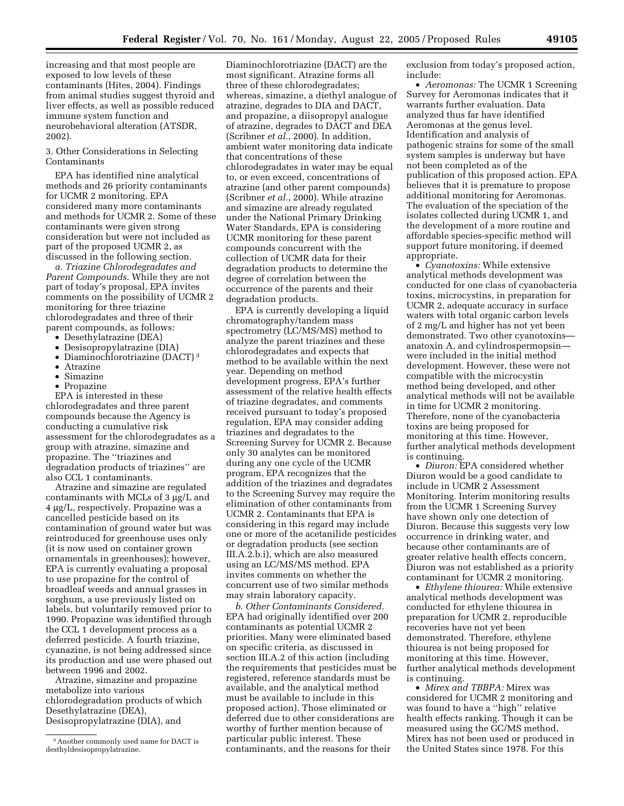increasing and that most people are exposed to low levels of these contaminants (Hites, 2004). Findings from animal studies suggest thyroid and liver effects, as well as possible reduced immune system function and neurobehavioral alteration (ATSDR, 2002).

3. Other Considerations in Selecting Contaminants

EPA has identified nine analytical methods and 26 priority contaminants for UCMR 2 monitoring. EPA considered many more contaminants and methods for UCMR 2. Some of these contaminants were given strong consideration but were not included as part of the proposed UCMR 2, as discussed in the following section.

*a. Triazine Chlorodegradates and Parent Compounds.* While they are not part of today's proposal, EPA invites comments on the possibility of UCMR 2 monitoring for three triazine chlorodegradates and three of their parent compounds, as follows:

- Desethylatrazine (DEA)
- Desisopropylatrazine (DIA)
- Diaminochlorotriazine (DACT) 3
- Atrazine
- Simazine
- Propazine

EPA is interested in these chlorodegradates and three parent compounds because the Agency is conducting a cumulative risk assessment for the chlorodegradates as a group with atrazine, simazine and propazine. The ''triazines and degradation products of triazines'' are also CCL 1 contaminants.

Atrazine and simazine are regulated contaminants with MCLs of 3 µg/L and 4 µg/L, respectively. Propazine was a cancelled pesticide based on its contamination of ground water but was reintroduced for greenhouse uses only (it is now used on container grown ornamentals in greenhouses); however, EPA is currently evaluating a proposal to use propazine for the control of broadleaf weeds and annual grasses in sorghum, a use previously listed on labels, but voluntarily removed prior to 1990. Propazine was identified through the CCL 1 development process as a deferred pesticide. A fourth triazine, cyanazine, is not being addressed since its production and use were phased out between 1996 and 2002.

Atrazine, simazine and propazine metabolize into various chlorodegradation products of which Desethylatrazine (DEA), Desisopropylatrazine (DIA), and

Diaminochlorotriazine (DACT) are the most significant. Atrazine forms all three of these chlorodegradates; whereas, simazine, a diethyl analogue of atrazine, degrades to DIA and DACT, and propazine, a diisopropyl analogue of atrazine, degrades to DACT and DEA (Scribner *et al.*, 2000). In addition, ambient water monitoring data indicate that concentrations of these chlorodegradates in water may be equal to, or even exceed, concentrations of atrazine (and other parent compounds) (Scribner *et al.*, 2000). While atrazine and simazine are already regulated under the National Primary Drinking Water Standards, EPA is considering UCMR monitoring for these parent compounds concurrent with the collection of UCMR data for their degradation products to determine the degree of correlation between the occurrence of the parents and their degradation products.

EPA is currently developing a liquid chromatography/tandem mass spectrometry (LC/MS/MS) method to analyze the parent triazines and these chlorodegradates and expects that method to be available within the next year. Depending on method development progress, EPA's further assessment of the relative health effects of triazine degradates, and comments received pursuant to today's proposed regulation, EPA may consider adding triazines and degradates to the Screening Survey for UCMR 2. Because only 30 analytes can be monitored during any one cycle of the UCMR program, EPA recognizes that the addition of the triazines and degradates to the Screening Survey may require the elimination of other contaminants from UCMR 2. Contaminants that EPA is considering in this regard may include one or more of the acetanilide pesticides or degradation products (see section III.A.2.b.i), which are also measured using an LC/MS/MS method. EPA invites comments on whether the concurrent use of two similar methods may strain laboratory capacity.

*b. Other Contaminants Considered.* EPA had originally identified over 200 contaminants as potential UCMR 2 priorities. Many were eliminated based on specific criteria, as discussed in section III.A.2 of this action (including the requirements that pesticides must be registered, reference standards must be available, and the analytical method must be available to include in this proposed action). Those eliminated or deferred due to other considerations are worthy of further mention because of particular public interest. These contaminants, and the reasons for their

exclusion from today's proposed action, include:

• *Aeromonas:* The UCMR 1 Screening Survey for Aeromonas indicates that it warrants further evaluation. Data analyzed thus far have identified Aeromonas at the genus level. Identification and analysis of pathogenic strains for some of the small system samples is underway but have not been completed as of the publication of this proposed action. EPA believes that it is premature to propose additional monitoring for Aeromonas. The evaluation of the speciation of the isolates collected during UCMR 1, and the development of a more routine and affordable species-specific method will support future monitoring, if deemed appropriate.

• *Cyanotoxins:* While extensive analytical methods development was conducted for one class of cyanobacteria toxins, microcystins, in preparation for UCMR 2, adequate accuracy in surface waters with total organic carbon levels of 2 mg/L and higher has not yet been demonstrated. Two other cyanotoxins anatoxin A, and cylindrospermopsin were included in the initial method development. However, these were not compatible with the microcystin method being developed, and other analytical methods will not be available in time for UCMR 2 monitoring. Therefore, none of the cyanobacteria toxins are being proposed for monitoring at this time. However, further analytical methods development is continuing.

• *Diuron:* EPA considered whether Diuron would be a good candidate to include in UCMR 2 Assessment Monitoring. Interim monitoring results from the UCMR 1 Screening Survey have shown only one detection of Diuron. Because this suggests very low occurrence in drinking water, and because other contaminants are of greater relative health effects concern, Diuron was not established as a priority contaminant for UCMR 2 monitoring.

• *Ethylene thiourea:* While extensive analytical methods development was conducted for ethylene thiourea in preparation for UCMR 2, reproducible recoveries have not yet been demonstrated. Therefore, ethylene thiourea is not being proposed for monitoring at this time. However, further analytical methods development is continuing.

• *Mirex and TBBPA:* Mirex was considered for UCMR 2 monitoring and was found to have a ''high'' relative health effects ranking. Though it can be measured using the GC/MS method, Mirex has not been used or produced in the United States since 1978. For this

<sup>3</sup>Another commonly used name for DACT is desthyldesisopropylatrazine.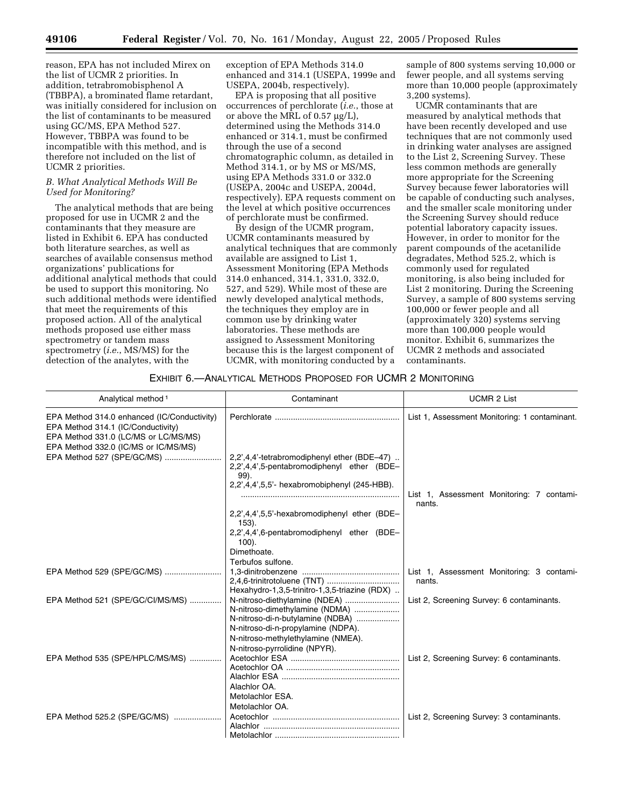reason, EPA has not included Mirex on the list of UCMR 2 priorities. In addition, tetrabromobisphenol A (TBBPA), a brominated flame retardant, was initially considered for inclusion on the list of contaminants to be measured using GC/MS, EPA Method 527. However, TBBPA was found to be incompatible with this method, and is therefore not included on the list of UCMR 2 priorities.

#### *B. What Analytical Methods Will Be Used for Monitoring?*

The analytical methods that are being proposed for use in UCMR 2 and the contaminants that they measure are listed in Exhibit 6. EPA has conducted both literature searches, as well as searches of available consensus method organizations' publications for additional analytical methods that could be used to support this monitoring. No such additional methods were identified that meet the requirements of this proposed action. All of the analytical methods proposed use either mass spectrometry or tandem mass spectrometry (*i.e.*, MS/MS) for the detection of the analytes, with the

exception of EPA Methods 314.0 enhanced and 314.1 (USEPA, 1999e and USEPA, 2004b, respectively).

EPA is proposing that all positive occurrences of perchlorate (*i.e.*, those at or above the MRL of 0.57 µg/L), determined using the Methods 314.0 enhanced or 314.1, must be confirmed through the use of a second chromatographic column, as detailed in Method 314.1, or by MS or MS/MS, using EPA Methods 331.0 or 332.0 (USEPA, 2004c and USEPA, 2004d, respectively). EPA requests comment on the level at which positive occurrences of perchlorate must be confirmed.

By design of the UCMR program, UCMR contaminants measured by analytical techniques that are commonly available are assigned to List 1, Assessment Monitoring (EPA Methods 314.0 enhanced, 314.1, 331.0, 332.0, 527, and 529). While most of these are newly developed analytical methods, the techniques they employ are in common use by drinking water laboratories. These methods are assigned to Assessment Monitoring because this is the largest component of UCMR, with monitoring conducted by a

sample of 800 systems serving 10,000 or fewer people, and all systems serving more than 10,000 people (approximately 3,200 systems).

UCMR contaminants that are measured by analytical methods that have been recently developed and use techniques that are not commonly used in drinking water analyses are assigned to the List 2, Screening Survey. These less common methods are generally more appropriate for the Screening Survey because fewer laboratories will be capable of conducting such analyses, and the smaller scale monitoring under the Screening Survey should reduce potential laboratory capacity issues. However, in order to monitor for the parent compounds of the acetanilide degradates, Method 525.2, which is commonly used for regulated monitoring, is also being included for List 2 monitoring. During the Screening Survey, a sample of 800 systems serving 100,000 or fewer people and all (approximately 320) systems serving more than 100,000 people would monitor. Exhibit 6, summarizes the UCMR 2 methods and associated contaminants.

#### EXHIBIT 6.—ANALYTICAL METHODS PROPOSED FOR UCMR 2 MONITORING

| Analytical method <sup>1</sup>                                                                                            | Contaminant                                                                                                                                                                                                      | <b>UCMR 2 List</b>                                  |
|---------------------------------------------------------------------------------------------------------------------------|------------------------------------------------------------------------------------------------------------------------------------------------------------------------------------------------------------------|-----------------------------------------------------|
| EPA Method 314.0 enhanced (IC/Conductivity)<br>EPA Method 314.1 (IC/Conductivity)<br>EPA Method 331.0 (LC/MS or LC/MS/MS) |                                                                                                                                                                                                                  | List 1, Assessment Monitoring: 1 contaminant.       |
| EPA Method 332.0 (IC/MS or IC/MS/MS)<br>EPA Method 527 (SPE/GC/MS)                                                        | 2,2',4,4'-tetrabromodiphenyl ether (BDE-47).<br>2,2',4,4',5-pentabromodiphenyl ether (BDE-<br>99).<br>2,2',4,4',5,5'- hexabromobiphenyl (245-HBB).                                                               | List 1, Assessment Monitoring: 7 contami-<br>nants. |
|                                                                                                                           | 2,2',4,4',5,5'-hexabromodiphenyl ether (BDE-<br>$153$ ).<br>2,2',4,4',6-pentabromodiphenyl ether (BDE-<br>$100$ ).<br>Dimethoate.<br>Terbufos sulfone.                                                           |                                                     |
|                                                                                                                           | Hexahydro-1,3,5-trinitro-1,3,5-triazine (RDX)                                                                                                                                                                    | List 1, Assessment Monitoring: 3 contami-<br>nants. |
| EPA Method 521 (SPE/GC/CI/MS/MS)                                                                                          | N-nitroso-diethylamine (NDEA)<br>N-nitroso-dimethylamine (NDMA)<br>N-nitroso-di-n-butylamine (NDBA)<br>N-nitroso-di-n-propylamine (NDPA).<br>N-nitroso-methylethylamine (NMEA).<br>N-nitroso-pyrrolidine (NPYR). | List 2, Screening Survey: 6 contaminants.           |
| EPA Method 535 (SPE/HPLC/MS/MS)                                                                                           | Alachlor OA.<br>Metolachlor ESA.<br>Metolachlor OA.                                                                                                                                                              | List 2, Screening Survey: 6 contaminants.           |
| EPA Method 525.2 (SPE/GC/MS)                                                                                              |                                                                                                                                                                                                                  | List 2, Screening Survey: 3 contaminants.           |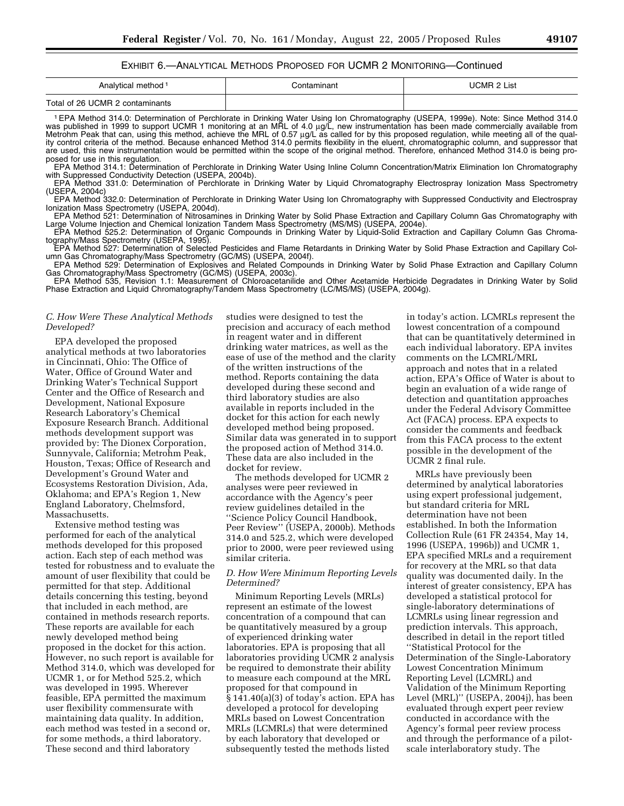# EXHIBIT 6.—ANALYTICAL METHODS PROPOSED FOR UCMR 2 MONITORING—Continued

| Analytical method <sup>1</sup>  | Contaminant | UCMR 2 List |
|---------------------------------|-------------|-------------|
| Total of 26 UCMR 2 contaminants |             |             |

1EPA Method 314.0: Determination of Perchlorate in Drinking Water Using Ion Chromatography (USEPA, 1999e). Note: Since Method 314.0 was published in 1999 to support UCMR 1 monitoring at an MRL of 4.0 µg/L, new instrumentation has been made commercially available from Metrohm Peak that can, using this method, achieve the MRL of 0.57 µg/L as called for by this proposed regulation, while meeting all of the quality control criteria of the method. Because enhanced Method 314.0 permits flexibility in the eluent, chromatographic column, and suppressor that are used, this new instrumentation would be permitted within the scope of the original method. Therefore, enhanced Method 314.0 is being proposed for use in this regulation.

EPA Method 314.1: Determination of Perchlorate in Drinking Water Using Inline Column Concentration/Matrix Elimination Ion Chromatography with Suppressed Conductivity Detection (USEPA, 2004b).

EPA Method 331.0: Determination of Perchlorate in Drinking Water by Liquid Chromatography Electrospray Ionization Mass Spectrometry (USEPA, 2004c)

EPA Method 332.0: Determination of Perchlorate in Drinking Water Using Ion Chromatography with Suppressed Conductivity and Electrospray Ionization Mass Spectrometry (USEPA, 2004d).

EPA Method 521: Determination of Nitrosamines in Drinking Water by Solid Phase Extraction and Capillary Column Gas Chromatography with Large Volume Injection and Chemical Ionization Tandem Mass Spectrometry (MS/MS) (USEPA, 2004e).

EPA Method 525.2: Determination of Organic Compounds in Drinking Water by Liquid-Solid Extraction and Capillary Column Gas Chromatography/Mass Spectrometry (USEPA, 1995).

EPA Method 527: Determination of Selected Pesticides and Flame Retardants in Drinking Water by Solid Phase Extraction and Capillary Column Gas Chromatography/Mass Spectrometry (GC/MS) (USEPA, 2004f).

EPA Method 529: Determination of Explosives and Related Compounds in Drinking Water by Solid Phase Extraction and Capillary Column Gas Chromatography/Mass Spectrometry (GC/MS) (USEPA, 2003c).

EPA Method 535, Revision 1.1: Measurement of Chloroacetanilide and Other Acetamide Herbicide Degradates in Drinking Water by Solid Phase Extraction and Liquid Chromatography/Tandem Mass Spectrometry (LC/MS/MS) (USEPA, 2004g).

#### *C. How Were These Analytical Methods Developed?*

EPA developed the proposed analytical methods at two laboratories in Cincinnati, Ohio: The Office of Water, Office of Ground Water and Drinking Water's Technical Support Center and the Office of Research and Development, National Exposure Research Laboratory's Chemical Exposure Research Branch. Additional methods development support was provided by: The Dionex Corporation, Sunnyvale, California; Metrohm Peak, Houston, Texas; Office of Research and Development's Ground Water and Ecosystems Restoration Division, Ada, Oklahoma; and EPA's Region 1, New England Laboratory, Chelmsford, Massachusetts.

Extensive method testing was performed for each of the analytical methods developed for this proposed action. Each step of each method was tested for robustness and to evaluate the amount of user flexibility that could be permitted for that step. Additional details concerning this testing, beyond that included in each method, are contained in methods research reports. These reports are available for each newly developed method being proposed in the docket for this action. However, no such report is available for Method 314.0, which was developed for UCMR 1, or for Method 525.2, which was developed in 1995. Wherever feasible, EPA permitted the maximum user flexibility commensurate with maintaining data quality. In addition, each method was tested in a second or, for some methods, a third laboratory. These second and third laboratory

studies were designed to test the precision and accuracy of each method in reagent water and in different drinking water matrices, as well as the ease of use of the method and the clarity of the written instructions of the method. Reports containing the data developed during these second and third laboratory studies are also available in reports included in the docket for this action for each newly developed method being proposed. Similar data was generated in to support the proposed action of Method 314.0. These data are also included in the docket for review.

The methods developed for UCMR 2 analyses were peer reviewed in accordance with the Agency's peer review guidelines detailed in the ''Science Policy Council Handbook, Peer Review'' (USEPA, 2000b). Methods 314.0 and 525.2, which were developed prior to 2000, were peer reviewed using similar criteria.

# *D. How Were Minimum Reporting Levels Determined?*

Minimum Reporting Levels (MRLs) represent an estimate of the lowest concentration of a compound that can be quantitatively measured by a group of experienced drinking water laboratories. EPA is proposing that all laboratories providing UCMR 2 analysis be required to demonstrate their ability to measure each compound at the MRL proposed for that compound in § 141.40(a)(3) of today's action. EPA has developed a protocol for developing MRLs based on Lowest Concentration MRLs (LCMRLs) that were determined by each laboratory that developed or subsequently tested the methods listed

in today's action. LCMRLs represent the lowest concentration of a compound that can be quantitatively determined in each individual laboratory. EPA invites comments on the LCMRL/MRL approach and notes that in a related action, EPA's Office of Water is about to begin an evaluation of a wide range of detection and quantitation approaches under the Federal Advisory Committee Act (FACA) process. EPA expects to consider the comments and feedback from this FACA process to the extent possible in the development of the UCMR 2 final rule.

MRLs have previously been determined by analytical laboratories using expert professional judgement, but standard criteria for MRL determination have not been established. In both the Information Collection Rule (61 FR 24354, May 14, 1996 (USEPA, 1996b)) and UCMR 1, EPA specified MRLs and a requirement for recovery at the MRL so that data quality was documented daily. In the interest of greater consistency, EPA has developed a statistical protocol for single-laboratory determinations of LCMRLs using linear regression and prediction intervals. This approach, described in detail in the report titled ''Statistical Protocol for the Determination of the Single-Laboratory Lowest Concentration Minimum Reporting Level (LCMRL) and Validation of the Minimum Reporting Level (MRL)'' (USEPA, 2004j), has been evaluated through expert peer review conducted in accordance with the Agency's formal peer review process and through the performance of a pilotscale interlaboratory study. The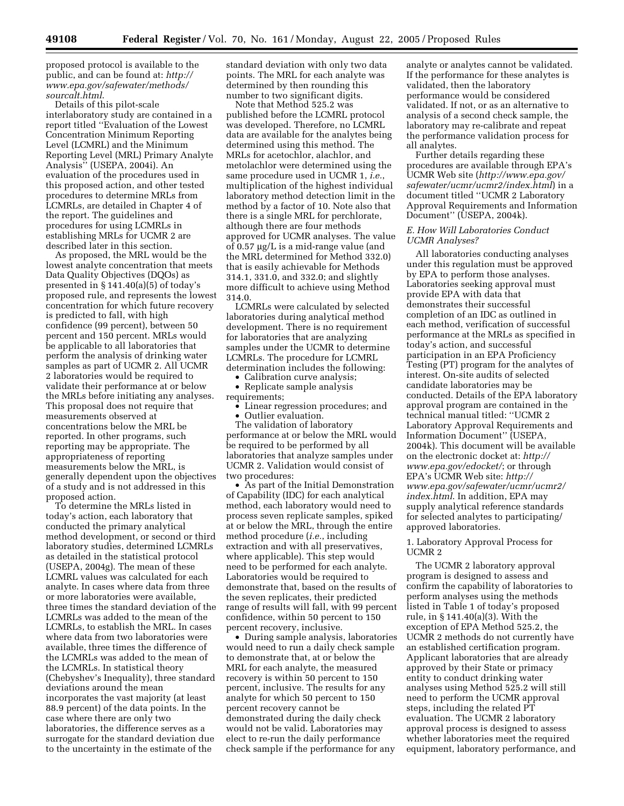proposed protocol is available to the public, and can be found at: *http:// www.epa.gov/safewater/methods/ sourcalt.html*.

Details of this pilot-scale interlaboratory study are contained in a report titled ''Evaluation of the Lowest Concentration Minimum Reporting Level (LCMRL) and the Minimum Reporting Level (MRL) Primary Analyte Analysis'' (USEPA, 2004i). An evaluation of the procedures used in this proposed action, and other tested procedures to determine MRLs from LCMRLs, are detailed in Chapter 4 of the report. The guidelines and procedures for using LCMRLs in establishing MRLs for UCMR 2 are described later in this section.

As proposed, the MRL would be the lowest analyte concentration that meets Data Quality Objectives (DQOs) as presented in § 141.40(a)(5) of today's proposed rule, and represents the lowest concentration for which future recovery is predicted to fall, with high confidence (99 percent), between 50 percent and 150 percent. MRLs would be applicable to all laboratories that perform the analysis of drinking water samples as part of UCMR 2. All UCMR 2 laboratories would be required to validate their performance at or below the MRLs before initiating any analyses. This proposal does not require that measurements observed at concentrations below the MRL be reported. In other programs, such reporting may be appropriate. The appropriateness of reporting measurements below the MRL, is generally dependent upon the objectives of a study and is not addressed in this proposed action.

To determine the MRLs listed in today's action, each laboratory that conducted the primary analytical method development, or second or third laboratory studies, determined LCMRLs as detailed in the statistical protocol (USEPA, 2004g). The mean of these LCMRL values was calculated for each analyte. In cases where data from three or more laboratories were available, three times the standard deviation of the LCMRLs was added to the mean of the LCMRLs, to establish the MRL. In cases where data from two laboratories were available, three times the difference of the LCMRLs was added to the mean of the LCMRLs. In statistical theory (Chebyshev's Inequality), three standard deviations around the mean incorporates the vast majority (at least 88.9 percent) of the data points. In the case where there are only two laboratories, the difference serves as a surrogate for the standard deviation due to the uncertainty in the estimate of the

standard deviation with only two data points. The MRL for each analyte was determined by then rounding this number to two significant digits.

Note that Method 525.2 was published before the LCMRL protocol was developed. Therefore, no LCMRL data are available for the analytes being determined using this method. The MRLs for acetochlor, alachlor, and metolachlor were determined using the same procedure used in UCMR 1, *i.e.*, multiplication of the highest individual laboratory method detection limit in the method by a factor of 10. Note also that there is a single MRL for perchlorate, although there are four methods approved for UCMR analyses. The value of 0.57 µg/L is a mid-range value (and the MRL determined for Method 332.0) that is easily achievable for Methods 314.1, 331.0, and 332.0; and slightly more difficult to achieve using Method 314.0.

LCMRLs were calculated by selected laboratories during analytical method development. There is no requirement for laboratories that are analyzing samples under the UCMR to determine LCMRLs. The procedure for LCMRL determination includes the following:

• Calibration curve analysis; • Replicate sample analysis

requirements;

• Linear regression procedures; and

• Outlier evaluation.

The validation of laboratory performance at or below the MRL would be required to be performed by all laboratories that analyze samples under UCMR 2. Validation would consist of two procedures:

• As part of the Initial Demonstration of Capability (IDC) for each analytical method, each laboratory would need to process seven replicate samples, spiked at or below the MRL, through the entire method procedure (*i.e.*, including extraction and with all preservatives, where applicable). This step would need to be performed for each analyte. Laboratories would be required to demonstrate that, based on the results of the seven replicates, their predicted range of results will fall, with 99 percent confidence, within 50 percent to 150 percent recovery, inclusive.

• During sample analysis, laboratories would need to run a daily check sample to demonstrate that, at or below the MRL for each analyte, the measured recovery is within 50 percent to 150 percent, inclusive. The results for any analyte for which 50 percent to 150 percent recovery cannot be demonstrated during the daily check would not be valid. Laboratories may elect to re-run the daily performance check sample if the performance for any

analyte or analytes cannot be validated. If the performance for these analytes is validated, then the laboratory performance would be considered validated. If not, or as an alternative to analysis of a second check sample, the laboratory may re-calibrate and repeat the performance validation process for all analytes.

Further details regarding these procedures are available through EPA's UCMR Web site (*http://www.epa.gov/ safewater/ucmr/ucmr2/index.html*) in a document titled ''UCMR 2 Laboratory Approval Requirements and Information Document'' (USEPA, 2004k).

#### *E. How Will Laboratories Conduct UCMR Analyses?*

All laboratories conducting analyses under this regulation must be approved by EPA to perform those analyses. Laboratories seeking approval must provide EPA with data that demonstrates their successful completion of an IDC as outlined in each method, verification of successful performance at the MRLs as specified in today's action, and successful participation in an EPA Proficiency Testing (PT) program for the analytes of interest. On-site audits of selected candidate laboratories may be conducted. Details of the EPA laboratory approval program are contained in the technical manual titled: ''UCMR 2 Laboratory Approval Requirements and Information Document'' (USEPA, 2004k). This document will be available on the electronic docket at: *http:// www.epa.gov/edocket/*; or through EPA's UCMR Web site: *http:// www.epa.gov/safewater/ucmr/ucmr2/ index.html*. In addition, EPA may supply analytical reference standards for selected analytes to participating/ approved laboratories.

# 1. Laboratory Approval Process for UCMR 2

The UCMR 2 laboratory approval program is designed to assess and confirm the capability of laboratories to perform analyses using the methods listed in Table 1 of today's proposed rule, in § 141.40(a)(3). With the exception of EPA Method 525.2, the UCMR 2 methods do not currently have an established certification program. Applicant laboratories that are already approved by their State or primacy entity to conduct drinking water analyses using Method 525.2 will still need to perform the UCMR approval steps, including the related PT evaluation. The UCMR 2 laboratory approval process is designed to assess whether laboratories meet the required equipment, laboratory performance, and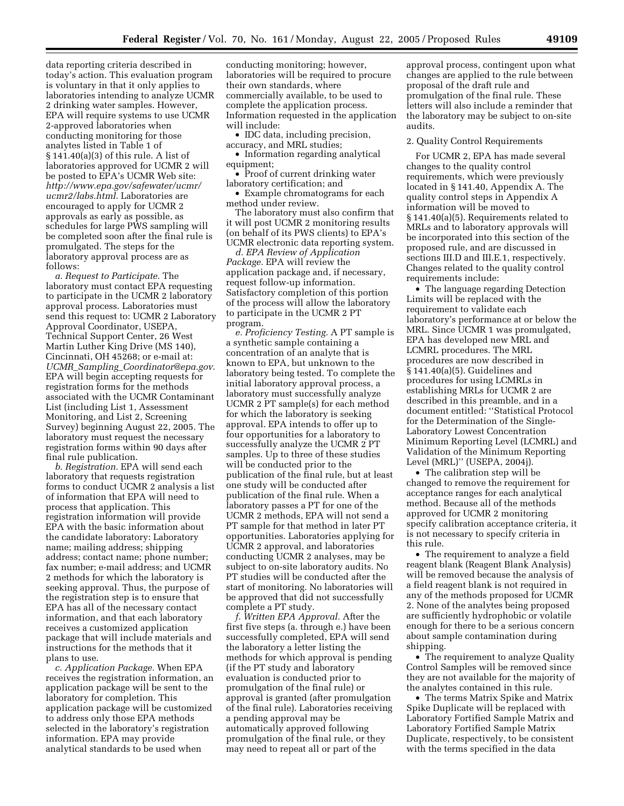data reporting criteria described in today's action. This evaluation program is voluntary in that it only applies to laboratories intending to analyze UCMR 2 drinking water samples. However, EPA will require systems to use UCMR 2-approved laboratories when conducting monitoring for those analytes listed in Table 1 of § 141.40(a)(3) of this rule. A list of laboratories approved for UCMR 2 will be posted to EPA's UCMR Web site: *http://www.epa.gov/safewater/ucmr/ ucmr2/labs.html*. Laboratories are encouraged to apply for UCMR 2 approvals as early as possible, as schedules for large PWS sampling will be completed soon after the final rule is promulgated. The steps for the laboratory approval process are as follows:

*a. Request to Participate.* The laboratory must contact EPA requesting to participate in the UCMR 2 laboratory approval process. Laboratories must send this request to: UCMR 2 Laboratory Approval Coordinator, USEPA, Technical Support Center, 26 West Martin Luther King Drive (MS 140), Cincinnati, OH 45268; or e-mail at: *UCMR*\_*Sampling*\_*Coordinator@epa.gov*. EPA will begin accepting requests for registration forms for the methods associated with the UCMR Contaminant List (including List 1, Assessment Monitoring, and List 2, Screening Survey) beginning August 22, 2005. The laboratory must request the necessary registration forms within 90 days after final rule publication.

*b. Registration.* EPA will send each laboratory that requests registration forms to conduct UCMR 2 analysis a list of information that EPA will need to process that application. This registration information will provide EPA with the basic information about the candidate laboratory: Laboratory name; mailing address; shipping address; contact name; phone number; fax number; e-mail address; and UCMR 2 methods for which the laboratory is seeking approval. Thus, the purpose of the registration step is to ensure that EPA has all of the necessary contact information, and that each laboratory receives a customized application package that will include materials and instructions for the methods that it plans to use.

*c. Application Package.* When EPA receives the registration information, an application package will be sent to the laboratory for completion. This application package will be customized to address only those EPA methods selected in the laboratory's registration information. EPA may provide analytical standards to be used when

conducting monitoring; however, laboratories will be required to procure their own standards, where commercially available, to be used to complete the application process. Information requested in the application will include:

• IDC data, including precision, accuracy, and MRL studies;

• Information regarding analytical equipment;

• Proof of current drinking water laboratory certification; and

• Example chromatograms for each method under review.

The laboratory must also confirm that it will post UCMR 2 monitoring results (on behalf of its PWS clients) to EPA's UCMR electronic data reporting system.

*d. EPA Review of Application Package.* EPA will review the application package and, if necessary, request follow-up information. Satisfactory completion of this portion of the process will allow the laboratory to participate in the UCMR 2 PT program.

*e. Proficiency Testing.* A PT sample is a synthetic sample containing a concentration of an analyte that is known to EPA, but unknown to the laboratory being tested. To complete the initial laboratory approval process, a laboratory must successfully analyze UCMR 2 PT sample(s) for each method for which the laboratory is seeking approval. EPA intends to offer up to four opportunities for a laboratory to successfully analyze the UCMR 2 PT samples. Up to three of these studies will be conducted prior to the publication of the final rule, but at least one study will be conducted after publication of the final rule. When a laboratory passes a PT for one of the UCMR 2 methods, EPA will not send a PT sample for that method in later PT opportunities. Laboratories applying for UCMR 2 approval, and laboratories conducting UCMR 2 analyses, may be subject to on-site laboratory audits. No PT studies will be conducted after the start of monitoring. No laboratories will be approved that did not successfully complete a PT study.

*f. Written EPA Approval.* After the first five steps (a. through e.) have been successfully completed, EPA will send the laboratory a letter listing the methods for which approval is pending (if the PT study and laboratory evaluation is conducted prior to promulgation of the final rule) or approval is granted (after promulgation of the final rule). Laboratories receiving a pending approval may be automatically approved following promulgation of the final rule, or they may need to repeat all or part of the

approval process, contingent upon what changes are applied to the rule between proposal of the draft rule and promulgation of the final rule. These letters will also include a reminder that the laboratory may be subject to on-site audits.

#### 2. Quality Control Requirements

For UCMR 2, EPA has made several changes to the quality control requirements, which were previously located in § 141.40, Appendix A. The quality control steps in Appendix A information will be moved to § 141.40(a)(5). Requirements related to MRLs and to laboratory approvals will be incorporated into this section of the proposed rule, and are discussed in sections III.D and III.E.1, respectively. Changes related to the quality control requirements include:

• The language regarding Detection Limits will be replaced with the requirement to validate each laboratory's performance at or below the MRL. Since UCMR 1 was promulgated, EPA has developed new MRL and LCMRL procedures. The MRL procedures are now described in § 141.40(a)(5). Guidelines and procedures for using LCMRLs in establishing MRLs for UCMR 2 are described in this preamble, and in a document entitled: ''Statistical Protocol for the Determination of the Single-Laboratory Lowest Concentration Minimum Reporting Level (LCMRL) and Validation of the Minimum Reporting Level (MRL)'' (USEPA, 2004j).

• The calibration step will be changed to remove the requirement for acceptance ranges for each analytical method. Because all of the methods approved for UCMR 2 monitoring specify calibration acceptance criteria, it is not necessary to specify criteria in this rule.

• The requirement to analyze a field reagent blank (Reagent Blank Analysis) will be removed because the analysis of a field reagent blank is not required in any of the methods proposed for UCMR 2. None of the analytes being proposed are sufficiently hydrophobic or volatile enough for there to be a serious concern about sample contamination during shipping.

• The requirement to analyze Quality Control Samples will be removed since they are not available for the majority of the analytes contained in this rule.

• The terms Matrix Spike and Matrix Spike Duplicate will be replaced with Laboratory Fortified Sample Matrix and Laboratory Fortified Sample Matrix Duplicate, respectively, to be consistent with the terms specified in the data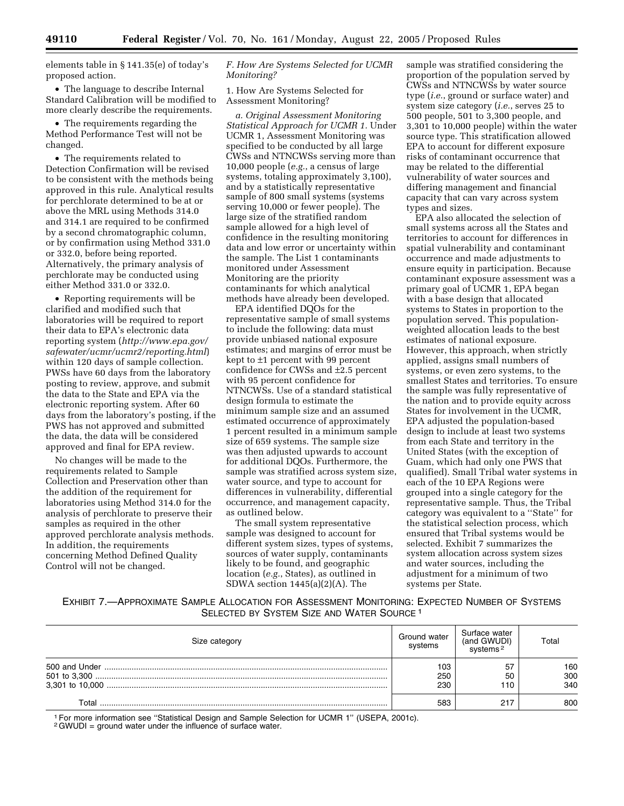elements table in § 141.35(e) of today's proposed action.

• The language to describe Internal Standard Calibration will be modified to more clearly describe the requirements.

• The requirements regarding the Method Performance Test will not be changed.

• The requirements related to Detection Confirmation will be revised to be consistent with the methods being approved in this rule. Analytical results for perchlorate determined to be at or above the MRL using Methods 314.0 and 314.1 are required to be confirmed by a second chromatographic column, or by confirmation using Method 331.0 or 332.0, before being reported. Alternatively, the primary analysis of perchlorate may be conducted using either Method 331.0 or 332.0.

• Reporting requirements will be clarified and modified such that laboratories will be required to report their data to EPA's electronic data reporting system (*http://www.epa.gov/ safewater/ucmr/ucmr2/reporting.html*) within 120 days of sample collection. PWSs have 60 days from the laboratory posting to review, approve, and submit the data to the State and EPA via the electronic reporting system. After 60 days from the laboratory's posting, if the PWS has not approved and submitted the data, the data will be considered approved and final for EPA review.

No changes will be made to the requirements related to Sample Collection and Preservation other than the addition of the requirement for laboratories using Method 314.0 for the analysis of perchlorate to preserve their samples as required in the other approved perchlorate analysis methods. In addition, the requirements concerning Method Defined Quality Control will not be changed.

#### *F. How Are Systems Selected for UCMR Monitoring?*

1. How Are Systems Selected for Assessment Monitoring?

*a. Original Assessment Monitoring Statistical Approach for UCMR 1.* Under UCMR 1, Assessment Monitoring was specified to be conducted by all large CWSs and NTNCWSs serving more than 10,000 people (*e.g.*, a census of large systems, totaling approximately 3,100), and by a statistically representative sample of 800 small systems (systems serving 10,000 or fewer people). The large size of the stratified random sample allowed for a high level of confidence in the resulting monitoring data and low error or uncertainty within the sample. The List 1 contaminants monitored under Assessment Monitoring are the priority contaminants for which analytical methods have already been developed.

EPA identified DQOs for the representative sample of small systems to include the following: data must provide unbiased national exposure estimates; and margins of error must be kept to ±1 percent with 99 percent confidence for CWSs and ±2.5 percent with 95 percent confidence for NTNCWSs. Use of a standard statistical design formula to estimate the minimum sample size and an assumed estimated occurrence of approximately 1 percent resulted in a minimum sample size of 659 systems. The sample size was then adjusted upwards to account for additional DQOs. Furthermore, the sample was stratified across system size, water source, and type to account for differences in vulnerability, differential occurrence, and management capacity, as outlined below.

The small system representative sample was designed to account for different system sizes, types of systems, sources of water supply, contaminants likely to be found, and geographic location (*e.g.*, States), as outlined in SDWA section 1445(a)(2)(A). The

sample was stratified considering the proportion of the population served by CWSs and NTNCWSs by water source type (*i.e.*, ground or surface water) and system size category (*i.e.*, serves 25 to 500 people, 501 to 3,300 people, and 3,301 to 10,000 people) within the water source type. This stratification allowed EPA to account for different exposure risks of contaminant occurrence that may be related to the differential vulnerability of water sources and differing management and financial capacity that can vary across system types and sizes.

EPA also allocated the selection of small systems across all the States and territories to account for differences in spatial vulnerability and contaminant occurrence and made adjustments to ensure equity in participation. Because contaminant exposure assessment was a primary goal of UCMR 1, EPA began with a base design that allocated systems to States in proportion to the population served. This populationweighted allocation leads to the best estimates of national exposure. However, this approach, when strictly applied, assigns small numbers of systems, or even zero systems, to the smallest States and territories. To ensure the sample was fully representative of the nation and to provide equity across States for involvement in the UCMR, EPA adjusted the population-based design to include at least two systems from each State and territory in the United States (with the exception of Guam, which had only one PWS that qualified). Small Tribal water systems in each of the 10 EPA Regions were grouped into a single category for the representative sample. Thus, the Tribal category was equivalent to a ''State'' for the statistical selection process, which ensured that Tribal systems would be selected. Exhibit 7 summarizes the system allocation across system sizes and water sources, including the adjustment for a minimum of two systems per State.

EXHIBIT 7.—APPROXIMATE SAMPLE ALLOCATION FOR ASSESSMENT MONITORING: EXPECTED NUMBER OF SYSTEMS SELECTED BY SYSTEM SIZE AND WATER SOURCE<sup>1</sup>

| Size category | Ground water<br>systems | Surface water<br>(and GWUDI) | Total             |
|---------------|-------------------------|------------------------------|-------------------|
|               | 103<br>250<br>230       | 57<br>50<br>110              | 160<br>300<br>340 |
| Total         | 583                     | 217                          | 800               |

<sup>1</sup> For more information see "Statistical Design and Sample Selection for UCMR 1" (USEPA, 2001c).<br><sup>2</sup>GWUDI = ground water under the influence of surface water.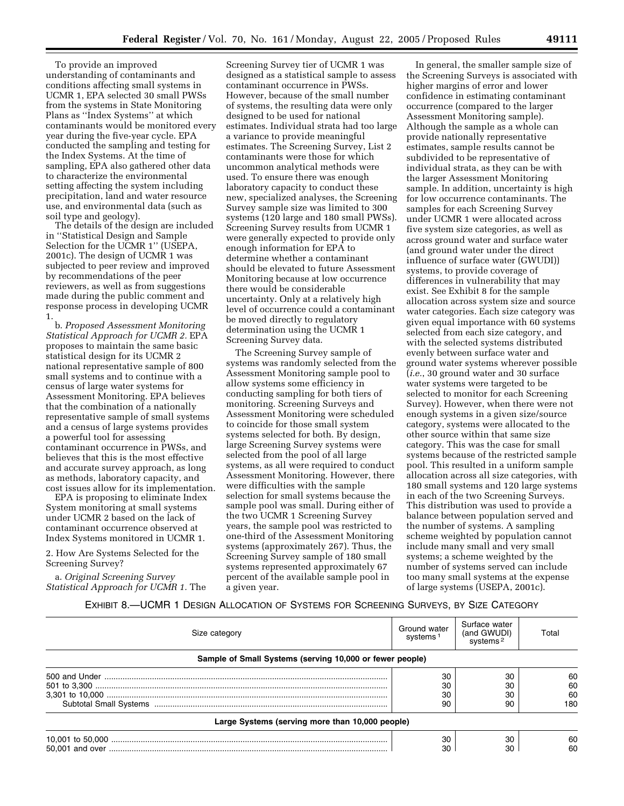To provide an improved understanding of contaminants and conditions affecting small systems in UCMR 1, EPA selected 30 small PWSs from the systems in State Monitoring Plans as ''Index Systems'' at which contaminants would be monitored every year during the five-year cycle. EPA conducted the sampling and testing for the Index Systems. At the time of sampling, EPA also gathered other data to characterize the environmental setting affecting the system including precipitation, land and water resource use, and environmental data (such as soil type and geology).

The details of the design are included in ''Statistical Design and Sample Selection for the UCMR 1" (USEPA, 2001c). The design of UCMR 1 was subjected to peer review and improved by recommendations of the peer reviewers, as well as from suggestions made during the public comment and response process in developing UCMR 1.

b. *Proposed Assessment Monitoring Statistical Approach for UCMR 2.* EPA proposes to maintain the same basic statistical design for its UCMR 2 national representative sample of 800 small systems and to continue with a census of large water systems for Assessment Monitoring. EPA believes that the combination of a nationally representative sample of small systems and a census of large systems provides a powerful tool for assessing contaminant occurrence in PWSs, and believes that this is the most effective and accurate survey approach, as long as methods, laboratory capacity, and cost issues allow for its implementation.

EPA is proposing to eliminate Index System monitoring at small systems under UCMR 2 based on the lack of contaminant occurrence observed at Index Systems monitored in UCMR 1.

2. How Are Systems Selected for the Screening Survey?

a. *Original Screening Survey Statistical Approach for UCMR 1.* The

Screening Survey tier of UCMR 1 was designed as a statistical sample to assess contaminant occurrence in PWSs. However, because of the small number of systems, the resulting data were only designed to be used for national estimates. Individual strata had too large a variance to provide meaningful estimates. The Screening Survey, List 2 contaminants were those for which uncommon analytical methods were used. To ensure there was enough laboratory capacity to conduct these new, specialized analyses, the Screening Survey sample size was limited to 300 systems (120 large and 180 small PWSs). Screening Survey results from UCMR 1 were generally expected to provide only enough information for EPA to determine whether a contaminant should be elevated to future Assessment Monitoring because at low occurrence there would be considerable uncertainty. Only at a relatively high level of occurrence could a contaminant be moved directly to regulatory determination using the UCMR 1 Screening Survey data.

The Screening Survey sample of systems was randomly selected from the Assessment Monitoring sample pool to allow systems some efficiency in conducting sampling for both tiers of monitoring. Screening Surveys and Assessment Monitoring were scheduled to coincide for those small system systems selected for both. By design, large Screening Survey systems were selected from the pool of all large systems, as all were required to conduct Assessment Monitoring. However, there were difficulties with the sample selection for small systems because the sample pool was small. During either of the two UCMR 1 Screening Survey years, the sample pool was restricted to one-third of the Assessment Monitoring systems (approximately 267). Thus, the Screening Survey sample of 180 small systems represented approximately 67 percent of the available sample pool in a given year.

In general, the smaller sample size of the Screening Surveys is associated with higher margins of error and lower confidence in estimating contaminant occurrence (compared to the larger Assessment Monitoring sample). Although the sample as a whole can provide nationally representative estimates, sample results cannot be subdivided to be representative of individual strata, as they can be with the larger Assessment Monitoring sample. In addition, uncertainty is high for low occurrence contaminants. The samples for each Screening Survey under UCMR 1 were allocated across five system size categories, as well as across ground water and surface water (and ground water under the direct influence of surface water (GWUDI)) systems, to provide coverage of differences in vulnerability that may exist. See Exhibit 8 for the sample allocation across system size and source water categories. Each size category was given equal importance with 60 systems selected from each size category, and with the selected systems distributed evenly between surface water and ground water systems wherever possible (*i.e.*, 30 ground water and 30 surface water systems were targeted to be selected to monitor for each Screening Survey). However, when there were not enough systems in a given size/source category, systems were allocated to the other source within that same size category. This was the case for small systems because of the restricted sample pool. This resulted in a uniform sample allocation across all size categories, with 180 small systems and 120 large systems in each of the two Screening Surveys. This distribution was used to provide a balance between population served and the number of systems. A sampling scheme weighted by population cannot include many small and very small systems; a scheme weighted by the number of systems served can include too many small systems at the expense of large systems (USEPA, 2001c).

EXHIBIT 8.—UCMR 1 DESIGN ALLOCATION OF SYSTEMS FOR SCREENING SURVEYS, BY SIZE CATEGORY

| Size category                                            | Ground water<br>systems <sup>1</sup> | Surface water<br>(and GWUDI)<br>systems <sup>2</sup> | Total |  |  |
|----------------------------------------------------------|--------------------------------------|------------------------------------------------------|-------|--|--|
| Sample of Small Systems (serving 10,000 or fewer people) |                                      |                                                      |       |  |  |
|                                                          | 30                                   | 30                                                   | 60    |  |  |
|                                                          | 30                                   | 30                                                   | 60    |  |  |
|                                                          | 30                                   | 30                                                   | 60    |  |  |
|                                                          | 90                                   | 90                                                   | 180   |  |  |
| Large Systems (serving more than 10,000 people)          |                                      |                                                      |       |  |  |
|                                                          | 30                                   | 30                                                   | 60    |  |  |
|                                                          | 30                                   | 30                                                   | 60    |  |  |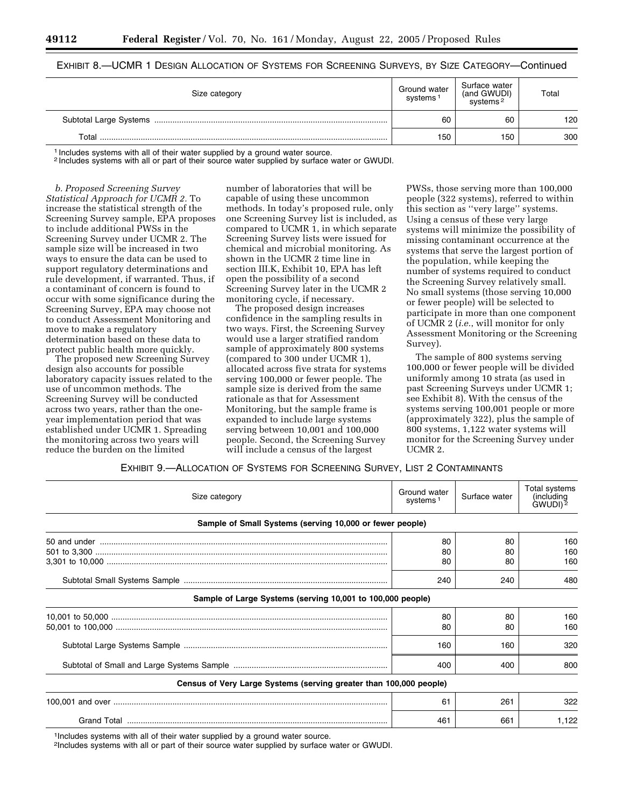# EXHIBIT 8.—UCMR 1 DESIGN ALLOCATION OF SYSTEMS FOR SCREENING SURVEYS, BY SIZE CATEGORY—Continued

| Size category | Ground water<br>systems <sup>1</sup> | Surface water<br>(and GWUDI)<br>systems <sup>2</sup> | Total |
|---------------|--------------------------------------|------------------------------------------------------|-------|
|               | 60                                   | 60                                                   | 120   |
| Total         | 150                                  | 150                                                  | 300   |

<sup>1</sup> Includes systems with all of their water supplied by a ground water source.

2 Includes systems with all or part of their source water supplied by surface water or GWUDI.

*b. Proposed Screening Survey Statistical Approach for UCMR 2.* To increase the statistical strength of the Screening Survey sample, EPA proposes to include additional PWSs in the Screening Survey under UCMR 2. The sample size will be increased in two ways to ensure the data can be used to support regulatory determinations and rule development, if warranted. Thus, if a contaminant of concern is found to occur with some significance during the Screening Survey, EPA may choose not to conduct Assessment Monitoring and move to make a regulatory determination based on these data to protect public health more quickly.

The proposed new Screening Survey design also accounts for possible laboratory capacity issues related to the use of uncommon methods. The Screening Survey will be conducted across two years, rather than the oneyear implementation period that was established under UCMR 1. Spreading the monitoring across two years will reduce the burden on the limited

number of laboratories that will be capable of using these uncommon methods. In today's proposed rule, only one Screening Survey list is included, as compared to UCMR 1, in which separate Screening Survey lists were issued for chemical and microbial monitoring. As shown in the UCMR 2 time line in section III.K, Exhibit 10, EPA has left open the possibility of a second Screening Survey later in the UCMR 2 monitoring cycle, if necessary.

The proposed design increases confidence in the sampling results in two ways. First, the Screening Survey would use a larger stratified random sample of approximately 800 systems (compared to 300 under UCMR 1), allocated across five strata for systems serving 100,000 or fewer people. The sample size is derived from the same rationale as that for Assessment Monitoring, but the sample frame is expanded to include large systems serving between 10,001 and 100,000 people. Second, the Screening Survey will include a census of the largest

PWSs, those serving more than 100,000 people (322 systems), referred to within this section as ''very large'' systems. Using a census of these very large systems will minimize the possibility of missing contaminant occurrence at the systems that serve the largest portion of the population, while keeping the number of systems required to conduct the Screening Survey relatively small. No small systems (those serving 10,000 or fewer people) will be selected to participate in more than one component of UCMR 2 (*i.e.*, will monitor for only Assessment Monitoring or the Screening Survey).

The sample of 800 systems serving 100,000 or fewer people will be divided uniformly among 10 strata (as used in past Screening Surveys under UCMR 1; see Exhibit 8). With the census of the systems serving 100,001 people or more (approximately 322), plus the sample of 800 systems, 1,122 water systems will monitor for the Screening Survey under UCMR 2.

#### EXHIBIT 9.—ALLOCATION OF SYSTEMS FOR SCREENING SURVEY, LIST 2 CONTAMINANTS

| Size category                                                      | Ground water<br>systems <sup>1</sup> | Surface water | Total systems<br>(including<br>GWUDI) <sup>2</sup> |
|--------------------------------------------------------------------|--------------------------------------|---------------|----------------------------------------------------|
| Sample of Small Systems (serving 10,000 or fewer people)           |                                      |               |                                                    |
|                                                                    | 80                                   | 80            | 160                                                |
|                                                                    | 80<br>80                             | 80<br>80      | 160<br>160                                         |
|                                                                    |                                      |               |                                                    |
|                                                                    | 240                                  | 240           | 480                                                |
| Sample of Large Systems (serving 10,001 to 100,000 people)         |                                      |               |                                                    |
|                                                                    | 80                                   | 80            | 160                                                |
|                                                                    | 80                                   | 80            | 160                                                |
|                                                                    | 160                                  | 160           | 320                                                |
|                                                                    | 400                                  | 400           | 800                                                |
| Census of Very Large Systems (serving greater than 100,000 people) |                                      |               |                                                    |
|                                                                    | 61                                   | 261           | 322                                                |
|                                                                    | 461                                  | 661           | 1,122                                              |

<sup>1</sup>Includes systems with all of their water supplied by a ground water source.

2Includes systems with all or part of their source water supplied by surface water or GWUDI.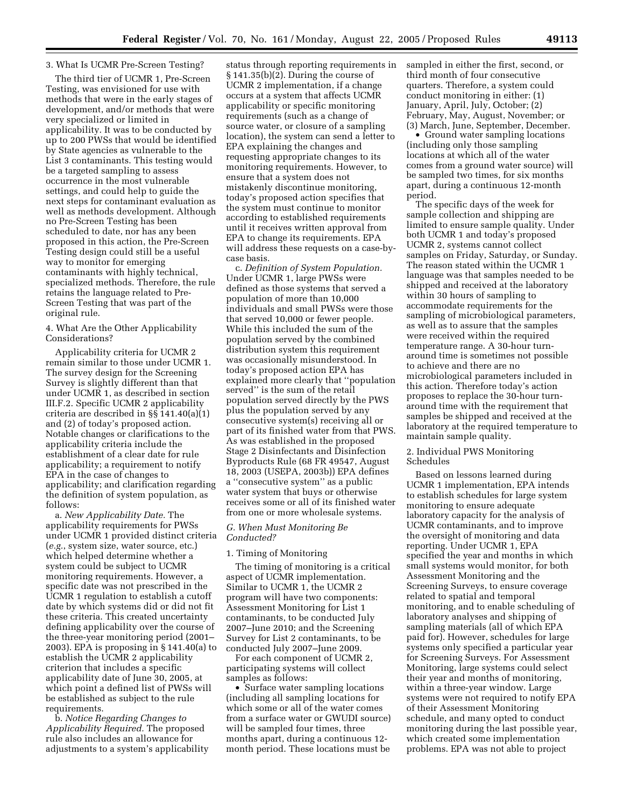#### 3. What Is UCMR Pre-Screen Testing?

The third tier of UCMR 1, Pre-Screen Testing, was envisioned for use with methods that were in the early stages of development, and/or methods that were very specialized or limited in applicability. It was to be conducted by up to 200 PWSs that would be identified by State agencies as vulnerable to the List 3 contaminants. This testing would be a targeted sampling to assess occurrence in the most vulnerable settings, and could help to guide the next steps for contaminant evaluation as well as methods development. Although no Pre-Screen Testing has been scheduled to date, nor has any been proposed in this action, the Pre-Screen Testing design could still be a useful way to monitor for emerging contaminants with highly technical, specialized methods. Therefore, the rule retains the language related to Pre-Screen Testing that was part of the original rule.

# 4. What Are the Other Applicability Considerations?

Applicability criteria for UCMR 2 remain similar to those under UCMR 1. The survey design for the Screening Survey is slightly different than that under UCMR 1, as described in section III.F.2. Specific UCMR 2 applicability criteria are described in §§ 141.40(a)(1) and (2) of today's proposed action. Notable changes or clarifications to the applicability criteria include the establishment of a clear date for rule applicability; a requirement to notify EPA in the case of changes to applicability; and clarification regarding the definition of system population, as follows:

a. *New Applicability Date.* The applicability requirements for PWSs under UCMR 1 provided distinct criteria (*e.g.*, system size, water source, etc.) which helped determine whether a system could be subject to UCMR monitoring requirements. However, a specific date was not prescribed in the UCMR 1 regulation to establish a cutoff date by which systems did or did not fit these criteria. This created uncertainty defining applicability over the course of the three-year monitoring period (2001– 2003). EPA is proposing in § 141.40(a) to establish the UCMR 2 applicability criterion that includes a specific applicability date of June 30, 2005, at which point a defined list of PWSs will be established as subject to the rule requirements.

b. *Notice Regarding Changes to Applicability Required.* The proposed rule also includes an allowance for adjustments to a system's applicability

status through reporting requirements in § 141.35(b)(2). During the course of UCMR 2 implementation, if a change occurs at a system that affects UCMR applicability or specific monitoring requirements (such as a change of source water, or closure of a sampling location), the system can send a letter to EPA explaining the changes and requesting appropriate changes to its monitoring requirements. However, to ensure that a system does not mistakenly discontinue monitoring, today's proposed action specifies that the system must continue to monitor according to established requirements until it receives written approval from EPA to change its requirements. EPA will address these requests on a case-bycase basis.

c. *Definition of System Population.* Under UCMR 1, large PWSs were defined as those systems that served a population of more than 10,000 individuals and small PWSs were those that served 10,000 or fewer people. While this included the sum of the population served by the combined distribution system this requirement was occasionally misunderstood. In today's proposed action EPA has explained more clearly that ''population served'' is the sum of the retail population served directly by the PWS plus the population served by any consecutive system(s) receiving all or part of its finished water from that PWS. As was established in the proposed Stage 2 Disinfectants and Disinfection Byproducts Rule (68 FR 49547, August 18, 2003 (USEPA, 2003b)) EPA defines a ''consecutive system'' as a public water system that buys or otherwise receives some or all of its finished water from one or more wholesale systems.

#### *G. When Must Monitoring Be Conducted?*

#### 1. Timing of Monitoring

The timing of monitoring is a critical aspect of UCMR implementation. Similar to UCMR 1, the UCMR 2 program will have two components: Assessment Monitoring for List 1 contaminants, to be conducted July 2007–June 2010; and the Screening Survey for List 2 contaminants, to be conducted July 2007–June 2009.

For each component of UCMR 2, participating systems will collect samples as follows:

• Surface water sampling locations (including all sampling locations for which some or all of the water comes from a surface water or GWUDI source) will be sampled four times, three months apart, during a continuous 12 month period. These locations must be

sampled in either the first, second, or third month of four consecutive quarters. Therefore, a system could conduct monitoring in either: (1) January, April, July, October; (2) February, May, August, November; or (3) March, June, September, December.

• Ground water sampling locations (including only those sampling locations at which all of the water comes from a ground water source) will be sampled two times, for six months apart, during a continuous 12-month period.

The specific days of the week for sample collection and shipping are limited to ensure sample quality. Under both UCMR 1 and today's proposed UCMR 2, systems cannot collect samples on Friday, Saturday, or Sunday. The reason stated within the UCMR 1 language was that samples needed to be shipped and received at the laboratory within 30 hours of sampling to accommodate requirements for the sampling of microbiological parameters, as well as to assure that the samples were received within the required temperature range. A 30-hour turnaround time is sometimes not possible to achieve and there are no microbiological parameters included in this action. Therefore today's action proposes to replace the 30-hour turnaround time with the requirement that samples be shipped and received at the laboratory at the required temperature to maintain sample quality.

## 2. Individual PWS Monitoring Schedules

Based on lessons learned during UCMR 1 implementation, EPA intends to establish schedules for large system monitoring to ensure adequate laboratory capacity for the analysis of UCMR contaminants, and to improve the oversight of monitoring and data reporting. Under UCMR 1, EPA specified the year and months in which small systems would monitor, for both Assessment Monitoring and the Screening Surveys, to ensure coverage related to spatial and temporal monitoring, and to enable scheduling of laboratory analyses and shipping of sampling materials (all of which EPA paid for). However, schedules for large systems only specified a particular year for Screening Surveys. For Assessment Monitoring, large systems could select their year and months of monitoring, within a three-year window. Large systems were not required to notify EPA of their Assessment Monitoring schedule, and many opted to conduct monitoring during the last possible year, which created some implementation problems. EPA was not able to project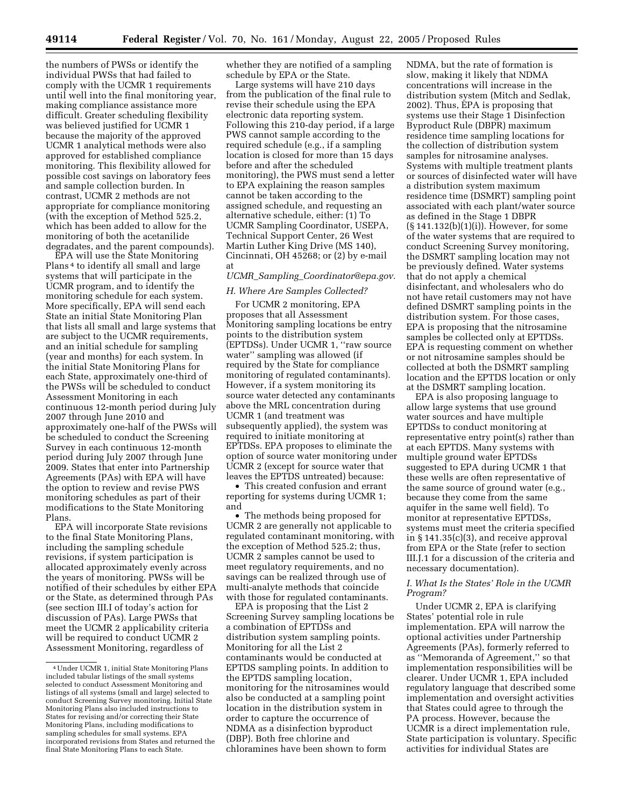the numbers of PWSs or identify the individual PWSs that had failed to comply with the UCMR 1 requirements until well into the final monitoring year, making compliance assistance more difficult. Greater scheduling flexibility was believed justified for UCMR 1 because the majority of the approved UCMR 1 analytical methods were also approved for established compliance monitoring. This flexibility allowed for possible cost savings on laboratory fees and sample collection burden. In contrast, UCMR 2 methods are not appropriate for compliance monitoring (with the exception of Method 525.2, which has been added to allow for the monitoring of both the acetanilide degradates, and the parent compounds).

EPA will use the State Monitoring Plans 4 to identify all small and large systems that will participate in the UCMR program, and to identify the monitoring schedule for each system. More specifically, EPA will send each State an initial State Monitoring Plan that lists all small and large systems that are subject to the UCMR requirements, and an initial schedule for sampling (year and months) for each system. In the initial State Monitoring Plans for each State, approximately one-third of the PWSs will be scheduled to conduct Assessment Monitoring in each continuous 12-month period during July 2007 through June 2010 and approximately one-half of the PWSs will be scheduled to conduct the Screening Survey in each continuous 12-month period during July 2007 through June 2009. States that enter into Partnership Agreements (PAs) with EPA will have the option to review and revise PWS monitoring schedules as part of their modifications to the State Monitoring Plans.

EPA will incorporate State revisions to the final State Monitoring Plans, including the sampling schedule revisions, if system participation is allocated approximately evenly across the years of monitoring. PWSs will be notified of their schedules by either EPA or the State, as determined through PAs (see section III.I of today's action for discussion of PAs). Large PWSs that meet the UCMR 2 applicability criteria will be required to conduct UCMR 2 Assessment Monitoring, regardless of

whether they are notified of a sampling schedule by EPA or the State.

Large systems will have 210 days from the publication of the final rule to revise their schedule using the EPA electronic data reporting system. Following this 210-day period, if a large PWS cannot sample according to the required schedule (e.g., if a sampling location is closed for more than 15 days before and after the scheduled monitoring), the PWS must send a letter to EPA explaining the reason samples cannot be taken according to the assigned schedule, and requesting an alternative schedule, either: (1) To UCMR Sampling Coordinator, USEPA, Technical Support Center, 26 West Martin Luther King Drive (MS 140), Cincinnati, OH 45268; or (2) by e-mail at

# *UCMR*\_*Sampling*\_*Coordinator@epa.gov.*

#### *H. Where Are Samples Collected?*

For UCMR 2 monitoring, EPA proposes that all Assessment Monitoring sampling locations be entry points to the distribution system (EPTDSs). Under UCMR 1, ''raw source water'' sampling was allowed (if required by the State for compliance monitoring of regulated contaminants). However, if a system monitoring its source water detected any contaminants above the MRL concentration during UCMR 1 (and treatment was subsequently applied), the system was required to initiate monitoring at EPTDSs. EPA proposes to eliminate the option of source water monitoring under UCMR 2 (except for source water that leaves the EPTDS untreated) because:

• This created confusion and errant reporting for systems during UCMR 1; and

• The methods being proposed for UCMR 2 are generally not applicable to regulated contaminant monitoring, with the exception of Method 525.2; thus, UCMR 2 samples cannot be used to meet regulatory requirements, and no savings can be realized through use of multi-analyte methods that coincide with those for regulated contaminants.

EPA is proposing that the List 2 Screening Survey sampling locations be a combination of EPTDSs and distribution system sampling points. Monitoring for all the List 2 contaminants would be conducted at EPTDS sampling points. In addition to the EPTDS sampling location, monitoring for the nitrosamines would also be conducted at a sampling point location in the distribution system in order to capture the occurrence of NDMA as a disinfection byproduct (DBP). Both free chlorine and chloramines have been shown to form

NDMA, but the rate of formation is slow, making it likely that NDMA concentrations will increase in the distribution system (Mitch and Sedlak, 2002). Thus, EPA is proposing that systems use their Stage 1 Disinfection Byproduct Rule (DBPR) maximum residence time sampling locations for the collection of distribution system samples for nitrosamine analyses. Systems with multiple treatment plants or sources of disinfected water will have a distribution system maximum residence time (DSMRT) sampling point associated with each plant/water source as defined in the Stage 1 DBPR (§ 141.132(b)(1)(i)). However, for some of the water systems that are required to conduct Screening Survey monitoring, the DSMRT sampling location may not be previously defined. Water systems that do not apply a chemical disinfectant, and wholesalers who do not have retail customers may not have defined DSMRT sampling points in the distribution system. For those cases, EPA is proposing that the nitrosamine samples be collected only at EPTDSs. EPA is requesting comment on whether or not nitrosamine samples should be collected at both the DSMRT sampling location and the EPTDS location or only at the DSMRT sampling location.

EPA is also proposing language to allow large systems that use ground water sources and have multiple EPTDSs to conduct monitoring at representative entry point(s) rather than at each EPTDS. Many systems with multiple ground water EPTDSs suggested to EPA during UCMR 1 that these wells are often representative of the same source of ground water (e.g., because they come from the same aquifer in the same well field). To monitor at representative EPTDSs, systems must meet the criteria specified in § 141.35(c)(3), and receive approval from EPA or the State (refer to section III.J.1 for a discussion of the criteria and necessary documentation).

#### *I. What Is the States' Role in the UCMR Program?*

Under UCMR 2, EPA is clarifying States' potential role in rule implementation. EPA will narrow the optional activities under Partnership Agreements (PAs), formerly referred to as ''Memoranda of Agreement,'' so that implementation responsibilities will be clearer. Under UCMR 1, EPA included regulatory language that described some implementation and oversight activities that States could agree to through the PA process. However, because the UCMR is a direct implementation rule, State participation is voluntary. Specific activities for individual States are

<sup>4</sup>Under UCMR 1, initial State Monitoring Plans included tabular listings of the small systems selected to conduct Assessment Monitoring and listings of all systems (small and large) selected to conduct Screening Survey monitoring. Initial State Monitoring Plans also included instructions to States for revising and/or correcting their State Monitoring Plans, including modifications to sampling schedules for small systems. EPA incorporated revisions from States and returned the final State Monitoring Plans to each State.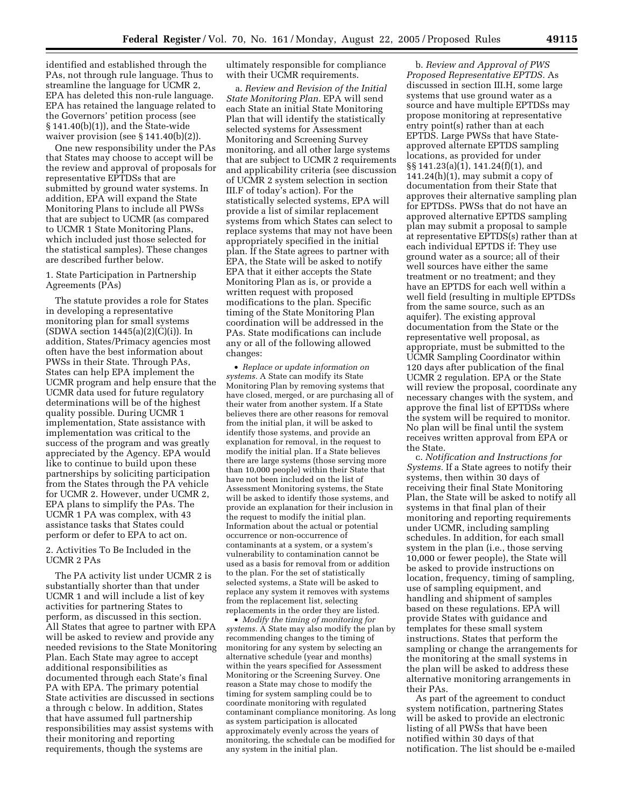identified and established through the PAs, not through rule language. Thus to streamline the language for UCMR 2, EPA has deleted this non-rule language. EPA has retained the language related to the Governors' petition process (see § 141.40(b)(1)), and the State-wide waiver provision (see § 141.40(b)(2)).

One new responsibility under the PAs that States may choose to accept will be the review and approval of proposals for representative EPTDSs that are submitted by ground water systems. In addition, EPA will expand the State Monitoring Plans to include all PWSs that are subject to UCMR (as compared to UCMR 1 State Monitoring Plans, which included just those selected for the statistical samples). These changes are described further below.

#### 1. State Participation in Partnership Agreements (PAs)

The statute provides a role for States in developing a representative monitoring plan for small systems  $(SDWA section 1445(a)(2)(C(i))$ . In addition, States/Primacy agencies most often have the best information about PWSs in their State. Through PAs, States can help EPA implement the UCMR program and help ensure that the UCMR data used for future regulatory determinations will be of the highest quality possible. During UCMR 1 implementation, State assistance with implementation was critical to the success of the program and was greatly appreciated by the Agency. EPA would like to continue to build upon these partnerships by soliciting participation from the States through the PA vehicle for UCMR 2. However, under UCMR 2, EPA plans to simplify the PAs. The UCMR 1 PA was complex, with 43 assistance tasks that States could perform or defer to EPA to act on.

#### 2. Activities To Be Included in the UCMR 2 PAs

The PA activity list under UCMR 2 is substantially shorter than that under UCMR 1 and will include a list of key activities for partnering States to perform, as discussed in this section. All States that agree to partner with EPA will be asked to review and provide any needed revisions to the State Monitoring Plan. Each State may agree to accept additional responsibilities as documented through each State's final PA with EPA. The primary potential State activities are discussed in sections a through c below. In addition, States that have assumed full partnership responsibilities may assist systems with their monitoring and reporting requirements, though the systems are

ultimately responsible for compliance with their UCMR requirements.

a. *Review and Revision of the Initial State Monitoring Plan.* EPA will send each State an initial State Monitoring Plan that will identify the statistically selected systems for Assessment Monitoring and Screening Survey monitoring, and all other large systems that are subject to UCMR 2 requirements and applicability criteria (see discussion of UCMR 2 system selection in section III.F of today's action). For the statistically selected systems, EPA will provide a list of similar replacement systems from which States can select to replace systems that may not have been appropriately specified in the initial plan. If the State agrees to partner with EPA, the State will be asked to notify EPA that it either accepts the State Monitoring Plan as is, or provide a written request with proposed modifications to the plan. Specific timing of the State Monitoring Plan coordination will be addressed in the PAs. State modifications can include any or all of the following allowed changes:

• *Replace or update information on systems.* A State can modify its State Monitoring Plan by removing systems that have closed, merged, or are purchasing all of their water from another system. If a State believes there are other reasons for removal from the initial plan, it will be asked to identify those systems, and provide an explanation for removal, in the request to modify the initial plan. If a State believes there are large systems (those serving more than 10,000 people) within their State that have not been included on the list of Assessment Monitoring systems, the State will be asked to identify those systems, and provide an explanation for their inclusion in the request to modify the initial plan. Information about the actual or potential occurrence or non-occurrence of contaminants at a system, or a system's vulnerability to contamination cannot be used as a basis for removal from or addition to the plan. For the set of statistically selected systems, a State will be asked to replace any system it removes with systems from the replacement list, selecting replacements in the order they are listed.

• *Modify the timing of monitoring for systems.* A State may also modify the plan by recommending changes to the timing of monitoring for any system by selecting an alternative schedule (year and months) within the years specified for Assessment Monitoring or the Screening Survey. One reason a State may chose to modify the timing for system sampling could be to coordinate monitoring with regulated contaminant compliance monitoring. As long as system participation is allocated approximately evenly across the years of monitoring, the schedule can be modified for any system in the initial plan.

b. *Review and Approval of PWS Proposed Representative EPTDS.* As discussed in section III.H, some large systems that use ground water as a source and have multiple EPTDSs may propose monitoring at representative entry point(s) rather than at each EPTDS. Large PWSs that have Stateapproved alternate EPTDS sampling locations, as provided for under §§ 141.23(a)(1), 141.24(f)(1), and 141.24(h)(1), may submit a copy of documentation from their State that approves their alternative sampling plan for EPTDSs. PWSs that do not have an approved alternative EPTDS sampling plan may submit a proposal to sample at representative EPTDS(s) rather than at each individual EPTDS if: They use ground water as a source; all of their well sources have either the same treatment or no treatment; and they have an EPTDS for each well within a well field (resulting in multiple EPTDSs from the same source, such as an aquifer). The existing approval documentation from the State or the representative well proposal, as appropriate, must be submitted to the UCMR Sampling Coordinator within 120 days after publication of the final UCMR 2 regulation. EPA or the State will review the proposal, coordinate any necessary changes with the system, and approve the final list of EPTDSs where the system will be required to monitor. No plan will be final until the system receives written approval from EPA or the State.

c. *Notification and Instructions for Systems.* If a State agrees to notify their systems, then within 30 days of receiving their final State Monitoring Plan, the State will be asked to notify all systems in that final plan of their monitoring and reporting requirements under UCMR, including sampling schedules. In addition, for each small system in the plan (i.e., those serving 10,000 or fewer people), the State will be asked to provide instructions on location, frequency, timing of sampling, use of sampling equipment, and handling and shipment of samples based on these regulations. EPA will provide States with guidance and templates for these small system instructions. States that perform the sampling or change the arrangements for the monitoring at the small systems in the plan will be asked to address these alternative monitoring arrangements in their PAs.

As part of the agreement to conduct system notification, partnering States will be asked to provide an electronic listing of all PWSs that have been notified within 30 days of that notification. The list should be e-mailed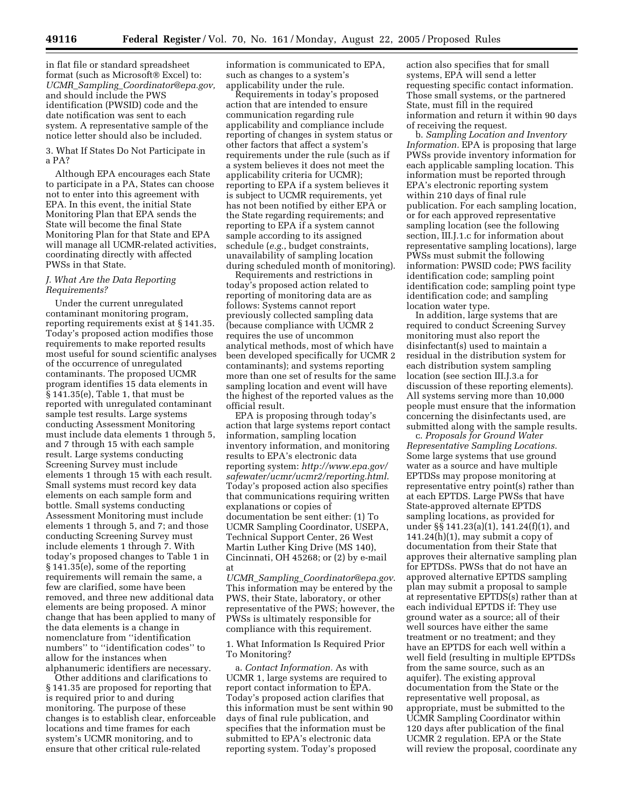in flat file or standard spreadsheet format (such as Microsoft® Excel) to: *UCMR*\_*Sampling*\_*Coordinator@epa.gov,* and should include the PWS identification (PWSID) code and the date notification was sent to each system. A representative sample of the notice letter should also be included.

3. What If States Do Not Participate in a PA?

Although EPA encourages each State to participate in a PA, States can choose not to enter into this agreement with EPA. In this event, the initial State Monitoring Plan that EPA sends the State will become the final State Monitoring Plan for that State and EPA will manage all UCMR-related activities, coordinating directly with affected PWSs in that State.

#### *J. What Are the Data Reporting Requirements?*

Under the current unregulated contaminant monitoring program, reporting requirements exist at § 141.35. Today's proposed action modifies those requirements to make reported results most useful for sound scientific analyses of the occurrence of unregulated contaminants. The proposed UCMR program identifies 15 data elements in § 141.35(e), Table 1, that must be reported with unregulated contaminant sample test results. Large systems conducting Assessment Monitoring must include data elements 1 through 5, and 7 through 15 with each sample result. Large systems conducting Screening Survey must include elements 1 through 15 with each result. Small systems must record key data elements on each sample form and bottle. Small systems conducting Assessment Monitoring must include elements 1 through 5, and 7; and those conducting Screening Survey must include elements 1 through 7. With today's proposed changes to Table 1 in § 141.35(e), some of the reporting requirements will remain the same, a few are clarified, some have been removed, and three new additional data elements are being proposed. A minor change that has been applied to many of the data elements is a change in nomenclature from ''identification numbers'' to ''identification codes'' to allow for the instances when alphanumeric identifiers are necessary.

Other additions and clarifications to § 141.35 are proposed for reporting that is required prior to and during monitoring. The purpose of these changes is to establish clear, enforceable locations and time frames for each system's UCMR monitoring, and to ensure that other critical rule-related

information is communicated to EPA, such as changes to a system's applicability under the rule.

Requirements in today's proposed action that are intended to ensure communication regarding rule applicability and compliance include reporting of changes in system status or other factors that affect a system's requirements under the rule (such as if a system believes it does not meet the applicability criteria for UCMR); reporting to EPA if a system believes it is subject to UCMR requirements, yet has not been notified by either EPA or the State regarding requirements; and reporting to EPA if a system cannot sample according to its assigned schedule (*e.g.*, budget constraints, unavailability of sampling location during scheduled month of monitoring).

Requirements and restrictions in today's proposed action related to reporting of monitoring data are as follows: Systems cannot report previously collected sampling data (because compliance with UCMR 2 requires the use of uncommon analytical methods, most of which have been developed specifically for UCMR 2 contaminants); and systems reporting more than one set of results for the same sampling location and event will have the highest of the reported values as the official result.

EPA is proposing through today's action that large systems report contact information, sampling location inventory information, and monitoring results to EPA's electronic data reporting system: *http://www.epa.gov/ safewater/ucmr/ucmr2/reporting.html*. Today's proposed action also specifies that communications requiring written explanations or copies of documentation be sent either: (1) To UCMR Sampling Coordinator, USEPA, Technical Support Center, 26 West Martin Luther King Drive (MS 140), Cincinnati, OH 45268; or (2) by e-mail at

*UCMR*\_*Sampling*\_*Coordinator@epa.gov*. This information may be entered by the PWS, their State, laboratory, or other representative of the PWS; however, the PWSs is ultimately responsible for compliance with this requirement.

# 1. What Information Is Required Prior To Monitoring?

a. *Contact Information.* As with UCMR 1, large systems are required to report contact information to EPA. Today's proposed action clarifies that this information must be sent within 90 days of final rule publication, and specifies that the information must be submitted to EPA's electronic data reporting system. Today's proposed

action also specifies that for small systems, EPA will send a letter requesting specific contact information. Those small systems, or the partnered State, must fill in the required information and return it within 90 days of receiving the request.

b. *Sampling Location and Inventory Information.* EPA is proposing that large PWSs provide inventory information for each applicable sampling location. This information must be reported through EPA's electronic reporting system within 210 days of final rule publication. For each sampling location, or for each approved representative sampling location (see the following section, III.J.1.c for information about representative sampling locations), large PWSs must submit the following information: PWSID code; PWS facility identification code; sampling point identification code; sampling point type identification code; and sampling location water type.

In addition, large systems that are required to conduct Screening Survey monitoring must also report the disinfectant(s) used to maintain a residual in the distribution system for each distribution system sampling location (see section III.J.3.a for discussion of these reporting elements). All systems serving more than 10,000 people must ensure that the information concerning the disinfectants used, are submitted along with the sample results.

c. *Proposals for Ground Water Representative Sampling Locations.* Some large systems that use ground water as a source and have multiple EPTDSs may propose monitoring at representative entry point(s) rather than at each EPTDS. Large PWSs that have State-approved alternate EPTDS sampling locations, as provided for under §§ 141.23(a)(1), 141.24(f)(1), and  $141.24(h)(1)$ , may submit a copy of documentation from their State that approves their alternative sampling plan for EPTDSs. PWSs that do not have an approved alternative EPTDS sampling plan may submit a proposal to sample at representative EPTDS(s) rather than at each individual EPTDS if: They use ground water as a source; all of their well sources have either the same treatment or no treatment; and they have an EPTDS for each well within a well field (resulting in multiple EPTDSs from the same source, such as an aquifer). The existing approval documentation from the State or the representative well proposal, as appropriate, must be submitted to the UCMR Sampling Coordinator within 120 days after publication of the final UCMR 2 regulation. EPA or the State will review the proposal, coordinate any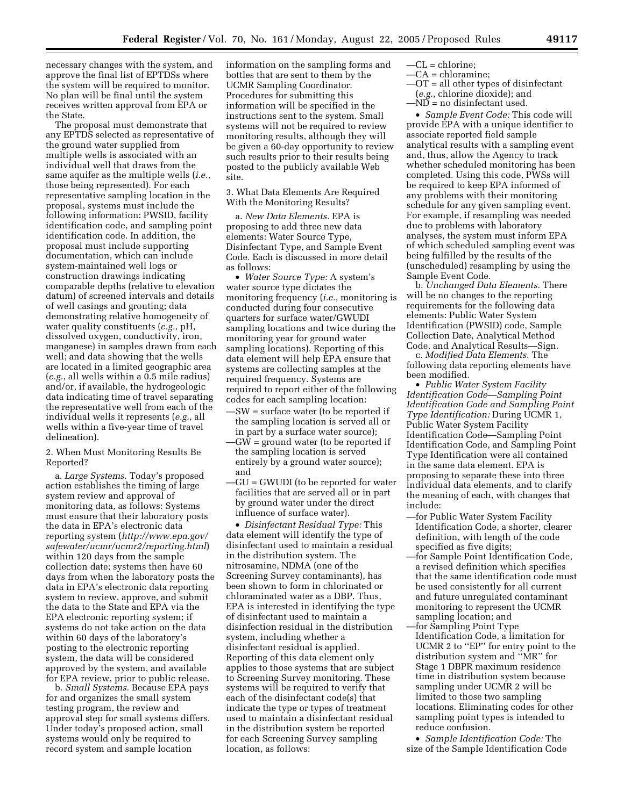necessary changes with the system, and approve the final list of EPTDSs where the system will be required to monitor. No plan will be final until the system receives written approval from EPA or the State.

The proposal must demonstrate that any EPTDS selected as representative of the ground water supplied from multiple wells is associated with an individual well that draws from the same aquifer as the multiple wells (*i.e.*, those being represented). For each representative sampling location in the proposal, systems must include the following information: PWSID, facility identification code, and sampling point identification code. In addition, the proposal must include supporting documentation, which can include system-maintained well logs or construction drawings indicating comparable depths (relative to elevation datum) of screened intervals and details of well casings and grouting; data demonstrating relative homogeneity of water quality constituents (*e.g.*, pH, dissolved oxygen, conductivity, iron, manganese) in samples drawn from each well; and data showing that the wells are located in a limited geographic area (*e.g.*, all wells within a 0.5 mile radius) and/or, if available, the hydrogeologic data indicating time of travel separating the representative well from each of the individual wells it represents (*e.g.*, all wells within a five-year time of travel delineation).

2. When Must Monitoring Results Be Reported?

a. *Large Systems*. Today's proposed action establishes the timing of large system review and approval of monitoring data, as follows: Systems must ensure that their laboratory posts the data in EPA's electronic data reporting system (*http://www.epa.gov/ safewater/ucmr/ucmr2/reporting.html*) within 120 days from the sample collection date; systems then have 60 days from when the laboratory posts the data in EPA's electronic data reporting system to review, approve, and submit the data to the State and EPA via the EPA electronic reporting system; if systems do not take action on the data within 60 days of the laboratory's posting to the electronic reporting system, the data will be considered approved by the system, and available for EPA review, prior to public release.

b. *Small Systems.* Because EPA pays for and organizes the small system testing program, the review and approval step for small systems differs. Under today's proposed action, small systems would only be required to record system and sample location

information on the sampling forms and bottles that are sent to them by the UCMR Sampling Coordinator. Procedures for submitting this information will be specified in the instructions sent to the system. Small systems will not be required to review monitoring results, although they will be given a 60-day opportunity to review such results prior to their results being posted to the publicly available Web site.

3. What Data Elements Are Required With the Monitoring Results?

a. *New Data Elements.* EPA is proposing to add three new data elements: Water Source Type, Disinfectant Type, and Sample Event Code. Each is discussed in more detail as follows:

• *Water Source Type:* A system's water source type dictates the monitoring frequency (*i.e.*, monitoring is conducted during four consecutive quarters for surface water/GWUDI sampling locations and twice during the monitoring year for ground water sampling locations). Reporting of this data element will help EPA ensure that systems are collecting samples at the required frequency. Systems are required to report either of the following codes for each sampling location:

- —SW = surface water (to be reported if the sampling location is served all or in part by a surface water source);
- —GW = ground water (to be reported if the sampling location is served entirely by a ground water source); and
- —GU = GWUDI (to be reported for water facilities that are served all or in part by ground water under the direct influence of surface water).

• *Disinfectant Residual Type:* This data element will identify the type of disinfectant used to maintain a residual in the distribution system. The nitrosamine, NDMA (one of the Screening Survey contaminants), has been shown to form in chlorinated or chloraminated water as a DBP. Thus, EPA is interested in identifying the type of disinfectant used to maintain a disinfection residual in the distribution system, including whether a disinfectant residual is applied. Reporting of this data element only applies to those systems that are subject to Screening Survey monitoring. These systems will be required to verify that each of the disinfectant code(s) that indicate the type or types of treatment used to maintain a disinfectant residual in the distribution system be reported for each Screening Survey sampling location, as follows:

- $-CL =$ chlorine:
- —CA = chloramine; —OT = all other types of disinfectant
- (*e.g.*, chlorine dioxide); and
- $-MD = no$  disinfectant used.

• *Sample Event Code:* This code will provide EPA with a unique identifier to associate reported field sample analytical results with a sampling event and, thus, allow the Agency to track whether scheduled monitoring has been completed. Using this code, PWSs will be required to keep EPA informed of any problems with their monitoring schedule for any given sampling event. For example, if resampling was needed due to problems with laboratory analyses, the system must inform EPA of which scheduled sampling event was being fulfilled by the results of the (unscheduled) resampling by using the Sample Event Code.

b. *Unchanged Data Elements.* There will be no changes to the reporting requirements for the following data elements: Public Water System Identification (PWSID) code, Sample Collection Date, Analytical Method Code, and Analytical Results—Sign.

c. *Modified Data Elements.* The following data reporting elements have been modified.

• *Public Water System Facility Identification Code—Sampling Point Identification Code and Sampling Point Type Identification:* During UCMR 1, Public Water System Facility Identification Code—Sampling Point Identification Code, and Sampling Point Type Identification were all contained in the same data element. EPA is proposing to separate these into three individual data elements, and to clarify the meaning of each, with changes that include:

- —for Public Water System Facility Identification Code, a shorter, clearer definition, with length of the code specified as five digits;
- —for Sample Point Identification Code, a revised definition which specifies that the same identification code must be used consistently for all current and future unregulated contaminant monitoring to represent the UCMR sampling location; and
- —for Sampling Point Type Identification Code, a limitation for UCMR 2 to ''EP'' for entry point to the distribution system and ''MR'' for Stage 1 DBPR maximum residence time in distribution system because sampling under UCMR 2 will be limited to those two sampling locations. Eliminating codes for other sampling point types is intended to reduce confusion.

• *Sample Identification Code:* The size of the Sample Identification Code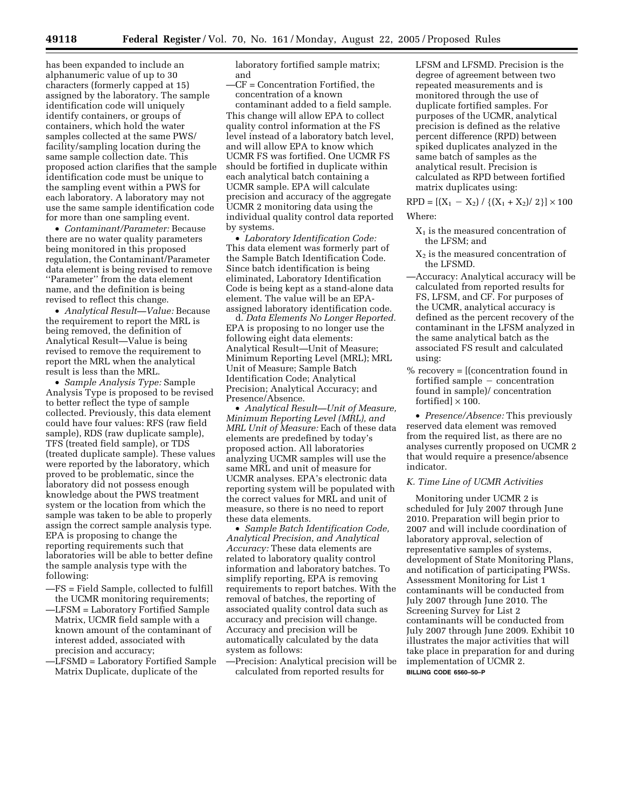has been expanded to include an alphanumeric value of up to 30 characters (formerly capped at 15) assigned by the laboratory. The sample identification code will uniquely identify containers, or groups of containers, which hold the water samples collected at the same PWS/ facility/sampling location during the same sample collection date. This proposed action clarifies that the sample identification code must be unique to the sampling event within a PWS for each laboratory. A laboratory may not use the same sample identification code for more than one sampling event.

• *Contaminant/Parameter:* Because there are no water quality parameters being monitored in this proposed regulation, the Contaminant/Parameter data element is being revised to remove ''Parameter'' from the data element name, and the definition is being revised to reflect this change.

• *Analytical Result—Value:* Because the requirement to report the MRL is being removed, the definition of Analytical Result—Value is being revised to remove the requirement to report the MRL when the analytical result is less than the MRL.

• *Sample Analysis Type:* Sample Analysis Type is proposed to be revised to better reflect the type of sample collected. Previously, this data element could have four values: RFS (raw field sample), RDS (raw duplicate sample), TFS (treated field sample), or TDS (treated duplicate sample). These values were reported by the laboratory, which proved to be problematic, since the laboratory did not possess enough knowledge about the PWS treatment system or the location from which the sample was taken to be able to properly assign the correct sample analysis type. EPA is proposing to change the reporting requirements such that laboratories will be able to better define the sample analysis type with the following:

- —FS = Field Sample, collected to fulfill the UCMR monitoring requirements;
- —LFSM = Laboratory Fortified Sample Matrix, UCMR field sample with a known amount of the contaminant of interest added, associated with precision and accuracy;
- —LFSMD = Laboratory Fortified Sample Matrix Duplicate, duplicate of the

laboratory fortified sample matrix; and

—CF = Concentration Fortified, the concentration of a known

contaminant added to a field sample. This change will allow EPA to collect quality control information at the FS level instead of a laboratory batch level, and will allow EPA to know which UCMR FS was fortified. One UCMR FS should be fortified in duplicate within each analytical batch containing a UCMR sample. EPA will calculate precision and accuracy of the aggregate UCMR 2 monitoring data using the individual quality control data reported by systems.

• *Laboratory Identification Code:* This data element was formerly part of the Sample Batch Identification Code. Since batch identification is being eliminated, Laboratory Identification Code is being kept as a stand-alone data element. The value will be an EPAassigned laboratory identification code.

d. *Data Elements No Longer Reported.* EPA is proposing to no longer use the following eight data elements: Analytical Result—Unit of Measure; Minimum Reporting Level (MRL); MRL Unit of Measure; Sample Batch Identification Code; Analytical Precision; Analytical Accuracy; and Presence/Absence.

• *Analytical Result—Unit of Measure, Minimum Reporting Level (MRL), and MRL Unit of Measure:* Each of these data elements are predefined by today's proposed action. All laboratories analyzing UCMR samples will use the same MRL and unit of measure for UCMR analyses. EPA's electronic data reporting system will be populated with the correct values for MRL and unit of measure, so there is no need to report these data elements.

• *Sample Batch Identification Code, Analytical Precision, and Analytical Accuracy:* These data elements are related to laboratory quality control information and laboratory batches. To simplify reporting, EPA is removing requirements to report batches. With the removal of batches, the reporting of associated quality control data such as accuracy and precision will change. Accuracy and precision will be automatically calculated by the data system as follows:

—Precision: Analytical precision will be calculated from reported results for

LFSM and LFSMD. Precision is the degree of agreement between two repeated measurements and is monitored through the use of duplicate fortified samples. For purposes of the UCMR, analytical precision is defined as the relative percent difference (RPD) between spiked duplicates analyzed in the same batch of samples as the analytical result. Precision is calculated as RPD between fortified matrix duplicates using:

 $RPD = [(X_1 - X_2) / {(X_1 + X_2) / 2}] \times 100$ Where:

- $X_1$  is the measured concentration of the LFSM; and
- $X<sub>2</sub>$  is the measured concentration of the LFSMD.
- —Accuracy: Analytical accuracy will be calculated from reported results for FS, LFSM, and CF. For purposes of the UCMR, analytical accuracy is defined as the percent recovery of the contaminant in the LFSM analyzed in the same analytical batch as the associated FS result and calculated using:
- $%$  recovery =  $[$ (concentration found in fortified sample  $-$  concentration found in sample)/ concentration fortified]  $\times$  100.

• *Presence/Absence:* This previously reserved data element was removed from the required list, as there are no analyses currently proposed on UCMR 2 that would require a presence/absence indicator.

#### *K. Time Line of UCMR Activities*

Monitoring under UCMR 2 is scheduled for July 2007 through June 2010. Preparation will begin prior to 2007 and will include coordination of laboratory approval, selection of representative samples of systems, development of State Monitoring Plans, and notification of participating PWSs. Assessment Monitoring for List 1 contaminants will be conducted from July 2007 through June 2010. The Screening Survey for List 2 contaminants will be conducted from July 2007 through June 2009. Exhibit 10 illustrates the major activities that will take place in preparation for and during implementation of UCMR 2. **BILLING CODE 6560–50–P**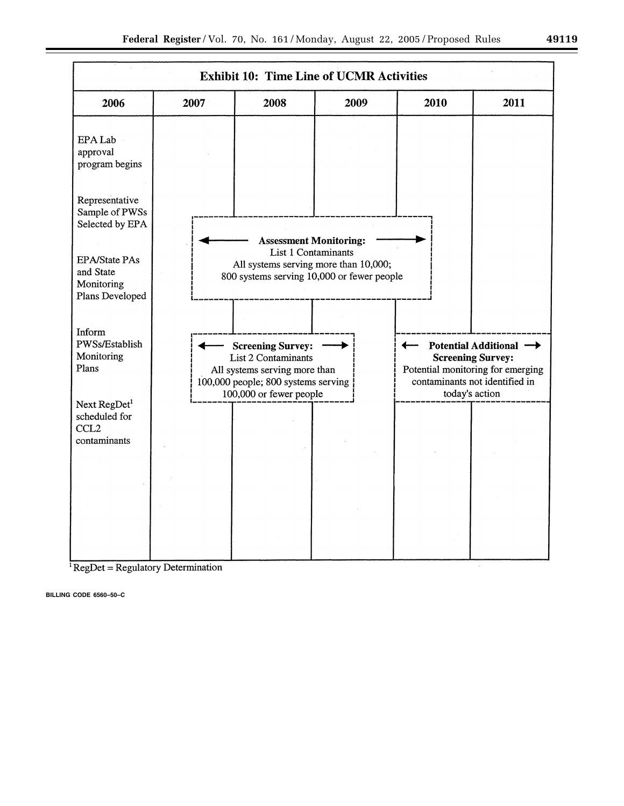

 $RegDet = Regularory Determination$ 

**BILLING CODE 6560–50–C**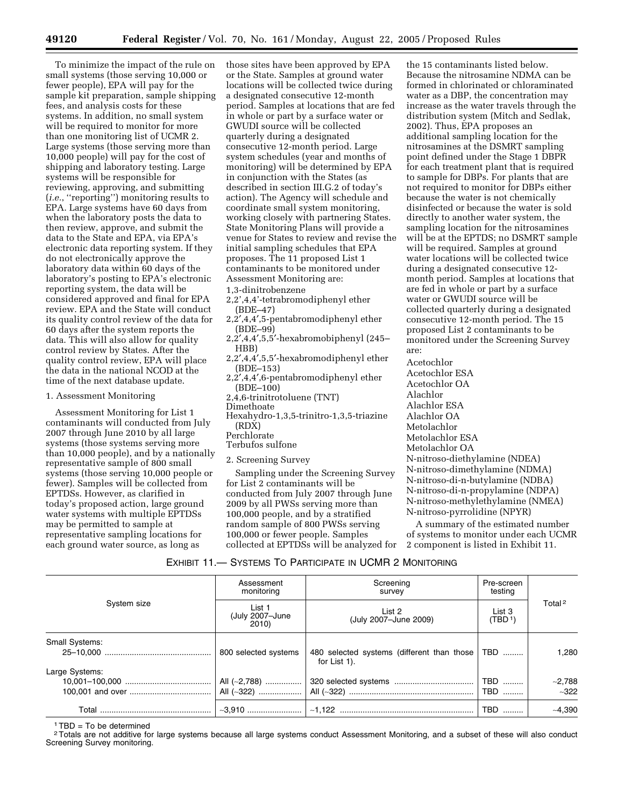To minimize the impact of the rule on small systems (those serving 10,000 or fewer people), EPA will pay for the sample kit preparation, sample shipping fees, and analysis costs for these systems. In addition, no small system will be required to monitor for more than one monitoring list of UCMR 2. Large systems (those serving more than 10,000 people) will pay for the cost of shipping and laboratory testing. Large systems will be responsible for reviewing, approving, and submitting (*i.e.*, ''reporting'') monitoring results to EPA. Large systems have 60 days from when the laboratory posts the data to then review, approve, and submit the data to the State and EPA, via EPA's electronic data reporting system. If they do not electronically approve the laboratory data within 60 days of the laboratory's posting to EPA's electronic reporting system, the data will be considered approved and final for EPA review. EPA and the State will conduct its quality control review of the data for 60 days after the system reports the data. This will also allow for quality control review by States. After the quality control review, EPA will place the data in the national NCOD at the time of the next database update.

#### 1. Assessment Monitoring

Assessment Monitoring for List 1 contaminants will conducted from July 2007 through June 2010 by all large systems (those systems serving more than 10,000 people), and by a nationally representative sample of 800 small systems (those serving 10,000 people or fewer). Samples will be collected from EPTDSs. However, as clarified in today's proposed action, large ground water systems with multiple EPTDSs may be permitted to sample at representative sampling locations for each ground water source, as long as

those sites have been approved by EPA or the State. Samples at ground water locations will be collected twice during a designated consecutive 12-month period. Samples at locations that are fed in whole or part by a surface water or GWUDI source will be collected quarterly during a designated consecutive 12-month period. Large system schedules (year and months of monitoring) will be determined by EPA in conjunction with the States (as described in section III.G.2 of today's action). The Agency will schedule and coordinate small system monitoring, working closely with partnering States. State Monitoring Plans will provide a venue for States to review and revise the initial sampling schedules that EPA proposes. The 11 proposed List 1 contaminants to be monitored under Assessment Monitoring are:

#### 1,3-dinitrobenzene

- 2,2',4,4'-tetrabromodiphenyl ether (BDE–47)
- 2,2′,4,4′,5-pentabromodiphenyl ether (BDE–99)
- 2,2′,4,4′,5,5′-hexabromobiphenyl (245– HBB)
- 2,2′,4,4′,5,5′-hexabromodiphenyl ether (BDE–153)
- 2,2′,4,4′,6-pentabromodiphenyl ether (BDE–100)
- 2,4,6-trinitrotoluene (TNT)
- Dimethoate
- Hexahydro-1,3,5-trinitro-1,3,5-triazine (RDX)
- Perchlorate
- Terbufos sulfone
- 2. Screening Survey

Sampling under the Screening Survey for List 2 contaminants will be conducted from July 2007 through June 2009 by all PWSs serving more than 100,000 people, and by a stratified random sample of 800 PWSs serving 100,000 or fewer people. Samples collected at EPTDSs will be analyzed for

the 15 contaminants listed below. Because the nitrosamine NDMA can be formed in chlorinated or chloraminated water as a DBP, the concentration may increase as the water travels through the distribution system (Mitch and Sedlak, 2002). Thus, EPA proposes an additional sampling location for the nitrosamines at the DSMRT sampling point defined under the Stage 1 DBPR for each treatment plant that is required to sample for DBPs. For plants that are not required to monitor for DBPs either because the water is not chemically disinfected or because the water is sold directly to another water system, the sampling location for the nitrosamines will be at the EPTDS; no DSMRT sample will be required. Samples at ground water locations will be collected twice during a designated consecutive 12 month period. Samples at locations that are fed in whole or part by a surface water or GWUDI source will be collected quarterly during a designated consecutive 12-month period. The 15 proposed List 2 contaminants to be monitored under the Screening Survey are:

Acetochlor

Acetochlor ESA Acetochlor OA Alachlor Alachlor ESA Alachlor OA Metolachlor Metolachlor ESA Metolachlor OA N-nitroso-diethylamine (NDEA) N-nitroso-dimethylamine (NDMA) N-nitroso-di-n-butylamine (NDBA) N-nitroso-di-n-propylamine (NDPA) N-nitroso-methylethylamine (NMEA) N-nitroso-pyrrolidine (NPYR)

A summary of the estimated number of systems to monitor under each UCMR 2 component is listed in Exhibit 11.

# EXHIBIT 11.— SYSTEMS TO PARTICIPATE IN UCMR 2 MONITORING

|                       | Assessment<br>monitoring           | Screening<br>survey                                        | Pre-screen<br>testing |                     |
|-----------------------|------------------------------------|------------------------------------------------------------|-----------------------|---------------------|
| System size           | List 1<br>(July 2007-June<br>2010) | List 2<br>(July 2007-June 2009)                            | List 3<br>(TBD 1)     | Total <sup>2</sup>  |
| <b>Small Systems:</b> | 800 selected systems               | 480 selected systems (different than those<br>for List 1). | TBD                   | 1.280               |
| Large Systems:        |                                    |                                                            | TBD<br>  TBD          | $-2,788$<br>$~-322$ |
|                       |                                    |                                                            | TBD                   | $-4.390$            |

 $1TBD = To$  be determined

<sup>2</sup> Totals are not additive for large systems because all large systems conduct Assessment Monitoring, and a subset of these will also conduct Screening Survey monitoring.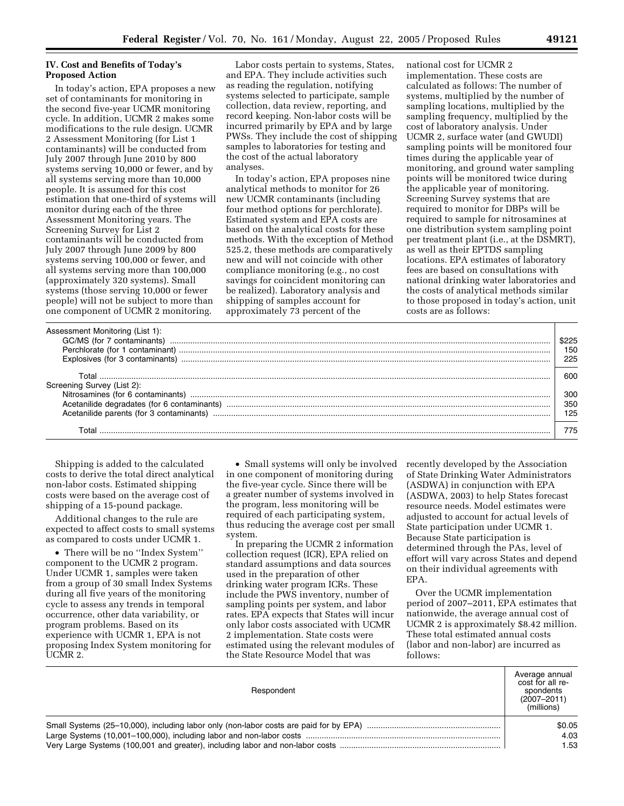# **IV. Cost and Benefits of Today's Proposed Action**

In today's action, EPA proposes a new set of contaminants for monitoring in the second five-year UCMR monitoring cycle. In addition, UCMR 2 makes some modifications to the rule design. UCMR 2 Assessment Monitoring (for List 1 contaminants) will be conducted from July 2007 through June 2010 by 800 systems serving 10,000 or fewer, and by all systems serving more than 10,000 people. It is assumed for this cost estimation that one-third of systems will monitor during each of the three Assessment Monitoring years. The Screening Survey for List 2 contaminants will be conducted from July 2007 through June 2009 by 800 systems serving 100,000 or fewer, and all systems serving more than 100,000 (approximately 320 systems). Small systems (those serving 10,000 or fewer people) will not be subject to more than one component of UCMR 2 monitoring.

Labor costs pertain to systems, States, and EPA. They include activities such as reading the regulation, notifying systems selected to participate, sample collection, data review, reporting, and record keeping. Non-labor costs will be incurred primarily by EPA and by large PWSs. They include the cost of shipping samples to laboratories for testing and the cost of the actual laboratory analyses.

In today's action, EPA proposes nine analytical methods to monitor for 26 new UCMR contaminants (including four method options for perchlorate). Estimated system and EPA costs are based on the analytical costs for these methods. With the exception of Method 525.2, these methods are comparatively new and will not coincide with other compliance monitoring (e.g., no cost savings for coincident monitoring can be realized). Laboratory analysis and shipping of samples account for approximately 73 percent of the

national cost for UCMR 2 implementation. These costs are calculated as follows: The number of systems, multiplied by the number of sampling locations, multiplied by the sampling frequency, multiplied by the cost of laboratory analysis. Under UCMR 2, surface water (and GWUDI) sampling points will be monitored four times during the applicable year of monitoring, and ground water sampling points will be monitored twice during the applicable year of monitoring. Screening Survey systems that are required to monitor for DBPs will be required to sample for nitrosamines at one distribution system sampling point per treatment plant (i.e., at the DSMRT), as well as their EPTDS sampling locations. EPA estimates of laboratory fees are based on consultations with national drinking water laboratories and the costs of analytical methods similar to those proposed in today's action, unit costs are as follows:

| Assessment Monitoring (List 1): |     |
|---------------------------------|-----|
| Perchlorate (for 1 contaminant) | 150 |
| Explosives (for 3 contaminants) | 225 |
|                                 |     |
| T∩tal                           | റെറ |
| Screening Survey (List 2):      |     |
|                                 | 300 |
|                                 | 350 |
|                                 | 125 |
|                                 |     |
|                                 |     |

Shipping is added to the calculated costs to derive the total direct analytical non-labor costs. Estimated shipping costs were based on the average cost of shipping of a 15-pound package.

Additional changes to the rule are expected to affect costs to small systems as compared to costs under UCMR 1.

• There will be no ''Index System'' component to the UCMR 2 program. Under UCMR 1, samples were taken from a group of 30 small Index Systems during all five years of the monitoring cycle to assess any trends in temporal occurrence, other data variability, or program problems. Based on its experience with UCMR 1, EPA is not proposing Index System monitoring for UCMR 2.

• Small systems will only be involved in one component of monitoring during the five-year cycle. Since there will be a greater number of systems involved in the program, less monitoring will be required of each participating system, thus reducing the average cost per small system.

In preparing the UCMR 2 information collection request (ICR), EPA relied on standard assumptions and data sources used in the preparation of other drinking water program ICRs. These include the PWS inventory, number of sampling points per system, and labor rates. EPA expects that States will incur only labor costs associated with UCMR 2 implementation. State costs were estimated using the relevant modules of the State Resource Model that was

recently developed by the Association of State Drinking Water Administrators (ASDWA) in conjunction with EPA (ASDWA, 2003) to help States forecast resource needs. Model estimates were adjusted to account for actual levels of State participation under UCMR 1. Because State participation is determined through the PAs, level of effort will vary across States and depend on their individual agreements with EPA.

Over the UCMR implementation period of 2007–2011, EPA estimates that nationwide, the average annual cost of UCMR 2 is approximately \$8.42 million. These total estimated annual costs (labor and non-labor) are incurred as follows:

| Respondent | Average annual<br>cost for all re-<br>spondents<br>$(2007 - 2011)$<br>(millions) |
|------------|----------------------------------------------------------------------------------|
|            | \$0.05                                                                           |
|            | 4.03                                                                             |
|            | 1.53                                                                             |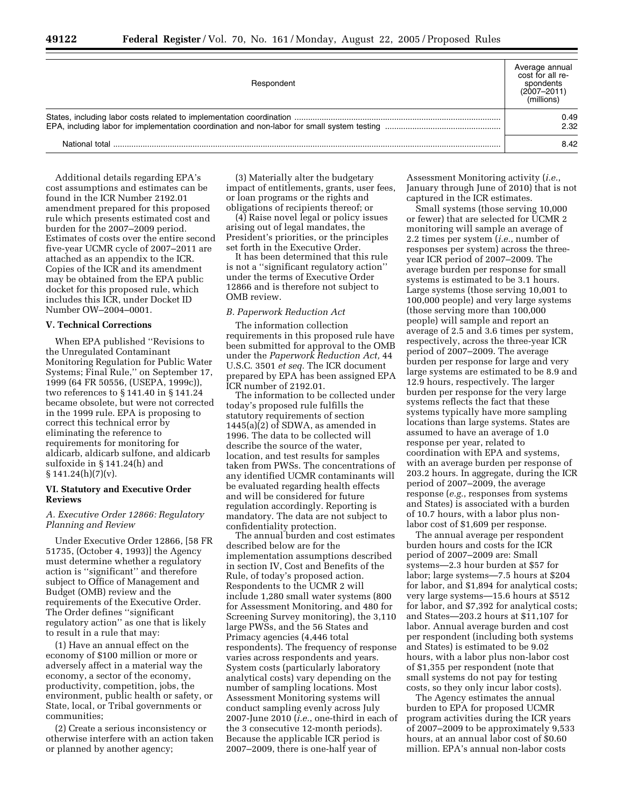| Respondent     | Average annual<br>cost for all re-<br>spondents<br>$(2007 - 2011)$<br>(millions) |
|----------------|----------------------------------------------------------------------------------|
|                |                                                                                  |
| National total | 8.42                                                                             |

Additional details regarding EPA's cost assumptions and estimates can be found in the ICR Number 2192.01 amendment prepared for this proposed rule which presents estimated cost and burden for the 2007–2009 period. Estimates of costs over the entire second five-year UCMR cycle of 2007–2011 are attached as an appendix to the ICR. Copies of the ICR and its amendment may be obtained from the EPA public docket for this proposed rule, which includes this ICR, under Docket ID Number OW–2004–0001.

#### **V. Technical Corrections**

When EPA published ''Revisions to the Unregulated Contaminant Monitoring Regulation for Public Water Systems; Final Rule,'' on September 17, 1999 (64 FR 50556, (USEPA, 1999c)), two references to § 141.40 in § 141.24 became obsolete, but were not corrected in the 1999 rule. EPA is proposing to correct this technical error by eliminating the reference to requirements for monitoring for aldicarb, aldicarb sulfone, and aldicarb sulfoxide in § 141.24(h) and  $§ 141.24(h)(7)(v).$ 

#### **VI. Statutory and Executive Order Reviews**

# *A. Executive Order 12866: Regulatory Planning and Review*

Under Executive Order 12866, [58 FR 51735, (October 4, 1993)] the Agency must determine whether a regulatory action is ''significant'' and therefore subject to Office of Management and Budget (OMB) review and the requirements of the Executive Order. The Order defines ''significant regulatory action'' as one that is likely to result in a rule that may:

(1) Have an annual effect on the economy of \$100 million or more or adversely affect in a material way the economy, a sector of the economy, productivity, competition, jobs, the environment, public health or safety, or State, local, or Tribal governments or communities;

(2) Create a serious inconsistency or otherwise interfere with an action taken or planned by another agency;

(3) Materially alter the budgetary impact of entitlements, grants, user fees, or loan programs or the rights and obligations of recipients thereof; or

(4) Raise novel legal or policy issues arising out of legal mandates, the President's priorities, or the principles set forth in the Executive Order.

It has been determined that this rule is not a ''significant regulatory action'' under the terms of Executive Order 12866 and is therefore not subject to OMB review.

#### *B. Paperwork Reduction Act*

The information collection requirements in this proposed rule have been submitted for approval to the OMB under the *Paperwork Reduction Act,* 44 U.S.C. 3501 *et seq.* The ICR document prepared by EPA has been assigned EPA ICR number of 2192.01.

The information to be collected under today's proposed rule fulfills the statutory requirements of section 1445(a)(2) of SDWA, as amended in 1996. The data to be collected will describe the source of the water, location, and test results for samples taken from PWSs. The concentrations of any identified UCMR contaminants will be evaluated regarding health effects and will be considered for future regulation accordingly. Reporting is mandatory. The data are not subject to confidentiality protection.

The annual burden and cost estimates described below are for the implementation assumptions described in section IV, Cost and Benefits of the Rule, of today's proposed action. Respondents to the UCMR 2 will include 1,280 small water systems (800 for Assessment Monitoring, and 480 for Screening Survey monitoring), the 3,110 large PWSs, and the 56 States and Primacy agencies (4,446 total respondents). The frequency of response varies across respondents and years. System costs (particularly laboratory analytical costs) vary depending on the number of sampling locations. Most Assessment Monitoring systems will conduct sampling evenly across July 2007-June 2010 (*i.e.*, one-third in each of the 3 consecutive 12-month periods). Because the applicable ICR period is 2007–2009, there is one-half year of

Assessment Monitoring activity (*i.e.*, January through June of 2010) that is not captured in the ICR estimates.

Small systems (those serving 10,000 or fewer) that are selected for UCMR 2 monitoring will sample an average of 2.2 times per system (*i.e.*, number of responses per system) across the threeyear ICR period of 2007–2009. The average burden per response for small systems is estimated to be 3.1 hours. Large systems (those serving 10,001 to 100,000 people) and very large systems (those serving more than 100,000 people) will sample and report an average of 2.5 and 3.6 times per system, respectively, across the three-year ICR period of 2007–2009. The average burden per response for large and very large systems are estimated to be 8.9 and 12.9 hours, respectively. The larger burden per response for the very large systems reflects the fact that these systems typically have more sampling locations than large systems. States are assumed to have an average of 1.0 response per year, related to coordination with EPA and systems, with an average burden per response of 203.2 hours. In aggregate, during the ICR period of 2007–2009, the average response (*e.g.*, responses from systems and States) is associated with a burden of 10.7 hours, with a labor plus nonlabor cost of \$1,609 per response.

The annual average per respondent burden hours and costs for the ICR period of 2007–2009 are: Small systems—2.3 hour burden at \$57 for labor; large systems—7.5 hours at \$204 for labor, and \$1,894 for analytical costs; very large systems—15.6 hours at \$512 for labor, and \$7,392 for analytical costs; and States—203.2 hours at \$11,107 for labor. Annual average burden and cost per respondent (including both systems and States) is estimated to be 9.02 hours, with a labor plus non-labor cost of \$1,355 per respondent (note that small systems do not pay for testing costs, so they only incur labor costs).

The Agency estimates the annual burden to EPA for proposed UCMR program activities during the ICR years of 2007–2009 to be approximately 9,533 hours, at an annual labor cost of \$0.60 million. EPA's annual non-labor costs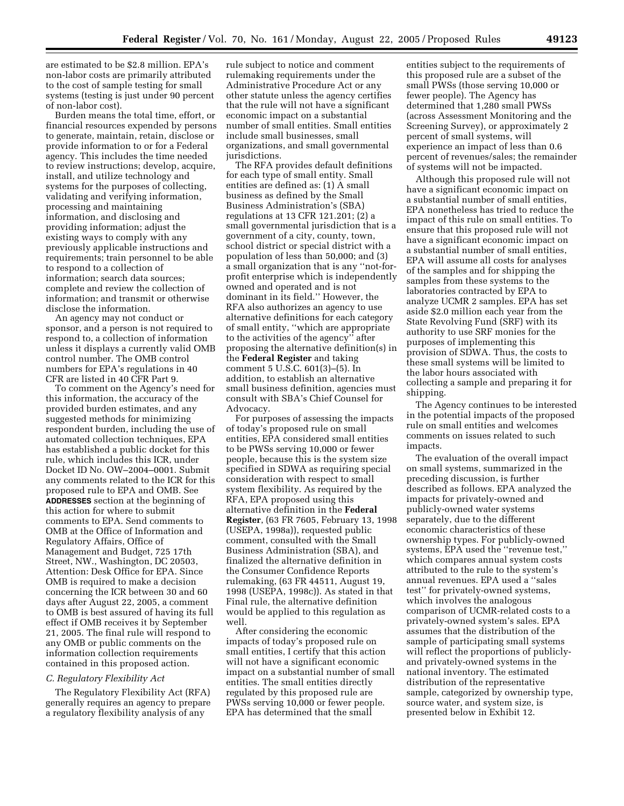are estimated to be \$2.8 million. EPA's non-labor costs are primarily attributed to the cost of sample testing for small systems (testing is just under 90 percent of non-labor cost).

Burden means the total time, effort, or financial resources expended by persons to generate, maintain, retain, disclose or provide information to or for a Federal agency. This includes the time needed to review instructions; develop, acquire, install, and utilize technology and systems for the purposes of collecting, validating and verifying information, processing and maintaining information, and disclosing and providing information; adjust the existing ways to comply with any previously applicable instructions and requirements; train personnel to be able to respond to a collection of information; search data sources; complete and review the collection of information; and transmit or otherwise disclose the information.

An agency may not conduct or sponsor, and a person is not required to respond to, a collection of information unless it displays a currently valid OMB control number. The OMB control numbers for EPA's regulations in 40 CFR are listed in 40 CFR Part 9.

To comment on the Agency's need for this information, the accuracy of the provided burden estimates, and any suggested methods for minimizing respondent burden, including the use of automated collection techniques, EPA has established a public docket for this rule, which includes this ICR, under Docket ID No. OW–2004–0001. Submit any comments related to the ICR for this proposed rule to EPA and OMB. See **ADDRESSES** section at the beginning of this action for where to submit comments to EPA. Send comments to OMB at the Office of Information and Regulatory Affairs, Office of Management and Budget, 725 17th Street, NW., Washington, DC 20503, Attention: Desk Office for EPA. Since OMB is required to make a decision concerning the ICR between 30 and 60 days after August 22, 2005, a comment to OMB is best assured of having its full effect if OMB receives it by September 21, 2005. The final rule will respond to any OMB or public comments on the information collection requirements contained in this proposed action.

#### *C. Regulatory Flexibility Act*

The Regulatory Flexibility Act (RFA) generally requires an agency to prepare a regulatory flexibility analysis of any

rule subject to notice and comment rulemaking requirements under the Administrative Procedure Act or any other statute unless the agency certifies that the rule will not have a significant economic impact on a substantial number of small entities. Small entities include small businesses, small organizations, and small governmental jurisdictions.

The RFA provides default definitions for each type of small entity. Small entities are defined as: (1) A small business as defined by the Small Business Administration's (SBA) regulations at 13 CFR 121.201; (2) a small governmental jurisdiction that is a government of a city, county, town, school district or special district with a population of less than 50,000; and (3) a small organization that is any ''not-forprofit enterprise which is independently owned and operated and is not dominant in its field.'' However, the RFA also authorizes an agency to use alternative definitions for each category of small entity, ''which are appropriate to the activities of the agency'' after proposing the alternative definition(s) in the **Federal Register** and taking comment 5 U.S.C. 601(3)–(5). In addition, to establish an alternative small business definition, agencies must consult with SBA's Chief Counsel for Advocacy.

For purposes of assessing the impacts of today's proposed rule on small entities, EPA considered small entities to be PWSs serving 10,000 or fewer people, because this is the system size specified in SDWA as requiring special consideration with respect to small system flexibility. As required by the RFA, EPA proposed using this alternative definition in the **Federal Register**, (63 FR 7605, February 13, 1998 (USEPA, 1998a)), requested public comment, consulted with the Small Business Administration (SBA), and finalized the alternative definition in the Consumer Confidence Reports rulemaking, (63 FR 44511, August 19, 1998 (USEPA, 1998c)). As stated in that Final rule, the alternative definition would be applied to this regulation as well.

After considering the economic impacts of today's proposed rule on small entities, I certify that this action will not have a significant economic impact on a substantial number of small entities. The small entities directly regulated by this proposed rule are PWSs serving 10,000 or fewer people. EPA has determined that the small

entities subject to the requirements of this proposed rule are a subset of the small PWSs (those serving 10,000 or fewer people). The Agency has determined that 1,280 small PWSs (across Assessment Monitoring and the Screening Survey), or approximately 2 percent of small systems, will experience an impact of less than 0.6 percent of revenues/sales; the remainder of systems will not be impacted.

Although this proposed rule will not have a significant economic impact on a substantial number of small entities, EPA nonetheless has tried to reduce the impact of this rule on small entities. To ensure that this proposed rule will not have a significant economic impact on a substantial number of small entities, EPA will assume all costs for analyses of the samples and for shipping the samples from these systems to the laboratories contracted by EPA to analyze UCMR 2 samples. EPA has set aside \$2.0 million each year from the State Revolving Fund (SRF) with its authority to use SRF monies for the purposes of implementing this provision of SDWA. Thus, the costs to these small systems will be limited to the labor hours associated with collecting a sample and preparing it for shipping.

The Agency continues to be interested in the potential impacts of the proposed rule on small entities and welcomes comments on issues related to such impacts.

The evaluation of the overall impact on small systems, summarized in the preceding discussion, is further described as follows. EPA analyzed the impacts for privately-owned and publicly-owned water systems separately, due to the different economic characteristics of these ownership types. For publicly-owned systems, EPA used the ''revenue test,'' which compares annual system costs attributed to the rule to the system's annual revenues. EPA used a ''sales test'' for privately-owned systems, which involves the analogous comparison of UCMR-related costs to a privately-owned system's sales. EPA assumes that the distribution of the sample of participating small systems will reflect the proportions of publiclyand privately-owned systems in the national inventory. The estimated distribution of the representative sample, categorized by ownership type, source water, and system size, is presented below in Exhibit 12.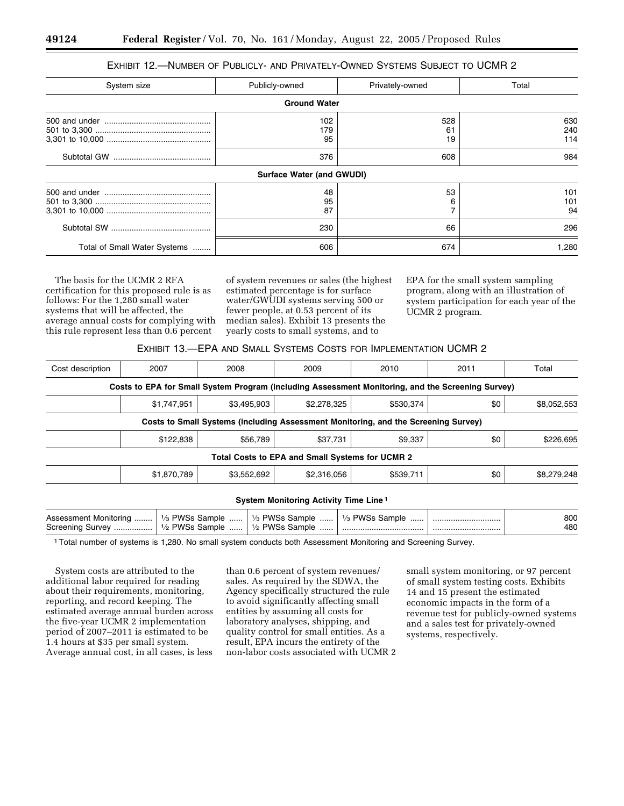# EXHIBIT 12.—NUMBER OF PUBLICLY- AND PRIVATELY-OWNED SYSTEMS SUBJECT TO UCMR 2

| System size                  | Publicly-owned            | Privately-owned | Total             |  |  |
|------------------------------|---------------------------|-----------------|-------------------|--|--|
| <b>Ground Water</b>          |                           |                 |                   |  |  |
|                              | 102<br>179<br>95          | 528<br>61<br>19 | 630<br>240<br>114 |  |  |
|                              | 376                       | 608             | 984               |  |  |
|                              | Surface Water (and GWUDI) |                 |                   |  |  |
|                              | 48<br>95<br>87            | 53<br>6         | 101<br>101<br>94  |  |  |
|                              | 230                       | 66              | 296               |  |  |
| Total of Small Water Systems | 606                       | 674             | 1,280             |  |  |

The basis for the UCMR 2 RFA certification for this proposed rule is as follows: For the 1,280 small water systems that will be affected, the average annual costs for complying with this rule represent less than 0.6 percent

of system revenues or sales (the highest estimated percentage is for surface water/GWUDI systems serving 500 or fewer people, at 0.53 percent of its median sales). Exhibit 13 presents the yearly costs to small systems, and to

EPA for the small system sampling program, along with an illustration of system participation for each year of the UCMR 2 program.

| EXHIBIT 13.—EPA AND SMALL SYSTEMS COSTS FOR IMPLEMENTATION UCMR 2 |  |
|-------------------------------------------------------------------|--|
|-------------------------------------------------------------------|--|

| 2007        | 2008        | 2009        | 2010      | 2011                                                                                                 | Total                                                                                                                                                                                   |
|-------------|-------------|-------------|-----------|------------------------------------------------------------------------------------------------------|-----------------------------------------------------------------------------------------------------------------------------------------------------------------------------------------|
|             |             |             |           |                                                                                                      |                                                                                                                                                                                         |
| \$1,747,951 | \$3,495,903 | \$2,278,325 | \$530,374 | \$0                                                                                                  | \$8,052,553                                                                                                                                                                             |
|             |             |             |           |                                                                                                      |                                                                                                                                                                                         |
| \$122,838   | \$56,789    | \$37,731    | \$9,337   | \$0                                                                                                  | \$226,695                                                                                                                                                                               |
|             |             |             |           |                                                                                                      |                                                                                                                                                                                         |
| \$1,870,789 | \$3,552,692 | \$2,316,056 | \$539,711 | \$0                                                                                                  | \$8,279,248                                                                                                                                                                             |
|             |             |             |           |                                                                                                      |                                                                                                                                                                                         |
|             |             |             |           |                                                                                                      |                                                                                                                                                                                         |
|             |             |             |           | Total Costs to EPA and Small Systems for UCMR 2<br>System Monitoring Activity Time Line <sup>1</sup> | Costs to EPA for Small System Program (including Assessment Monitoring, and the Screening Survey)<br>Costs to Small Systems (including Assessment Monitoring, and the Screening Survey) |

| Monitorina<br>Assessment | $\frac{1}{3}$ PWSs $\frac{1}{3}$<br>Sample | 1/ <sub>3</sub> PWSs Sample | PWSs J<br>Sample<br>1/2<br> | 800 |
|--------------------------|--------------------------------------------|-----------------------------|-----------------------------|-----|
| Screening<br>Survey      | $1/2$ PWSs<br>Sample                       | PWSs Sample<br>1/2          |                             | 480 |

1Total number of systems is 1,280. No small system conducts both Assessment Monitoring and Screening Survey.

System costs are attributed to the additional labor required for reading about their requirements, monitoring, reporting, and record keeping. The estimated average annual burden across the five-year UCMR 2 implementation period of 2007–2011 is estimated to be 1.4 hours at \$35 per small system. Average annual cost, in all cases, is less

than 0.6 percent of system revenues/ sales. As required by the SDWA, the Agency specifically structured the rule to avoid significantly affecting small entities by assuming all costs for laboratory analyses, shipping, and quality control for small entities. As a result, EPA incurs the entirety of the non-labor costs associated with UCMR 2

small system monitoring, or 97 percent of small system testing costs. Exhibits 14 and 15 present the estimated economic impacts in the form of a revenue test for publicly-owned systems and a sales test for privately-owned systems, respectively.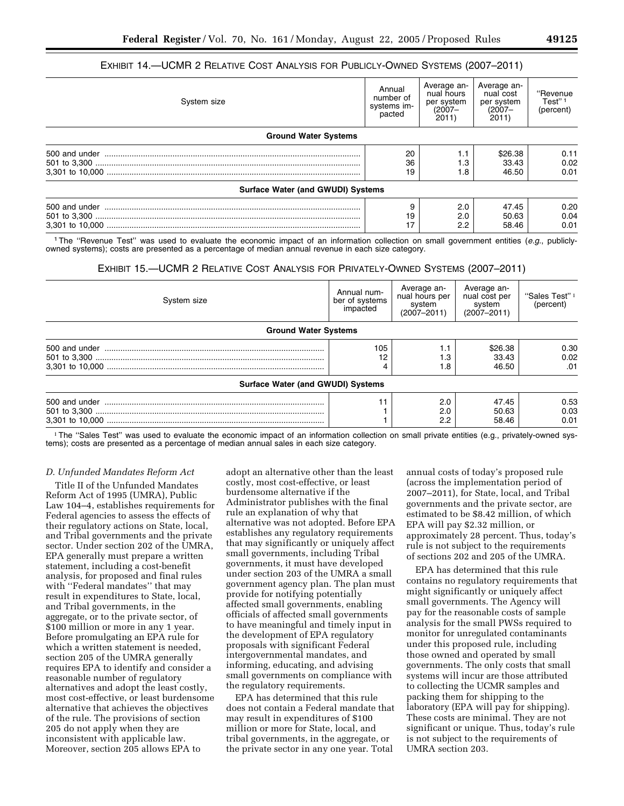# EXHIBIT 14.—UCMR 2 RELATIVE COST ANALYSIS FOR PUBLICLY-OWNED SYSTEMS (2007–2011)

| System size                              | Annual<br>number of<br>systems im-<br>pacted | Average an-<br>nual hours<br>per system<br>$(2007 -$<br>2011 | Average an-<br>nual cost<br>per system<br>$(2007 -$<br>2011) | "Revenue<br>Test" <sup>1</sup><br>(percent) |
|------------------------------------------|----------------------------------------------|--------------------------------------------------------------|--------------------------------------------------------------|---------------------------------------------|
| <b>Ground Water Systems</b>              |                                              |                                                              |                                                              |                                             |
|                                          | 20                                           | 1.1                                                          | \$26.38                                                      | 0.11                                        |
|                                          | 36                                           | 1.3                                                          | 33.43                                                        | 0.02                                        |
|                                          | 19                                           | 1.8                                                          | 46.50                                                        | 0.01                                        |
| <b>Surface Water (and GWUDI) Systems</b> |                                              |                                                              |                                                              |                                             |
|                                          |                                              | 2.0                                                          | 47.45                                                        | 0.20                                        |
|                                          | 19                                           | 2.0                                                          | 50.63                                                        | 0.04                                        |

3,301 to 10,000 ................................................................................................................ 17 2.2 58.46 0.01 1The ''Revenue Test'' was used to evaluate the economic impact of an information collection on small government entities (*e.g.*, publiclyowned systems); costs are presented as a percentage of median annual revenue in each size category.

#### EXHIBIT 15.—UCMR 2 RELATIVE COST ANALYSIS FOR PRIVATELY-OWNED SYSTEMS (2007–2011)

| System size                              | Annual num-<br>ber of systems<br>impacted | Average an-<br>nual hours per<br>system<br>$(2007 - 2011)$ | Average an-<br>nual cost per<br>system<br>$(2007 - 2011)$ | "Sales Test" <sup>1</sup><br>(percent) |
|------------------------------------------|-------------------------------------------|------------------------------------------------------------|-----------------------------------------------------------|----------------------------------------|
| <b>Ground Water Systems</b>              |                                           |                                                            |                                                           |                                        |
|                                          | 105                                       | 1.1<br>1.3<br>1.8                                          | \$26.38<br>33.43<br>46.50                                 | 0.30<br>0.02<br>.01                    |
| <b>Surface Water (and GWUDI) Systems</b> |                                           |                                                            |                                                           |                                        |
|                                          |                                           | 2.0<br>2.0<br>2.2                                          | 47.45<br>50.63<br>58.46                                   | 0.53<br>0.03<br>0.01                   |

<sup>1</sup>The "Sales Test" was used to evaluate the economic impact of an information collection on small private entities (e.g., privately-owned systems); costs are presented as a percentage of median annual sales in each size category.

#### *D. Unfunded Mandates Reform Act*

Title II of the Unfunded Mandates Reform Act of 1995 (UMRA), Public Law 104–4, establishes requirements for Federal agencies to assess the effects of their regulatory actions on State, local, and Tribal governments and the private sector. Under section 202 of the UMRA, EPA generally must prepare a written statement, including a cost-benefit analysis, for proposed and final rules with ''Federal mandates'' that may result in expenditures to State, local, and Tribal governments, in the aggregate, or to the private sector, of \$100 million or more in any 1 year. Before promulgating an EPA rule for which a written statement is needed, section 205 of the UMRA generally requires EPA to identify and consider a reasonable number of regulatory alternatives and adopt the least costly, most cost-effective, or least burdensome alternative that achieves the objectives of the rule. The provisions of section 205 do not apply when they are inconsistent with applicable law. Moreover, section 205 allows EPA to

adopt an alternative other than the least costly, most cost-effective, or least burdensome alternative if the Administrator publishes with the final rule an explanation of why that alternative was not adopted. Before EPA establishes any regulatory requirements that may significantly or uniquely affect small governments, including Tribal governments, it must have developed under section 203 of the UMRA a small government agency plan. The plan must provide for notifying potentially affected small governments, enabling officials of affected small governments to have meaningful and timely input in the development of EPA regulatory proposals with significant Federal intergovernmental mandates, and informing, educating, and advising small governments on compliance with the regulatory requirements.

EPA has determined that this rule does not contain a Federal mandate that may result in expenditures of \$100 million or more for State, local, and tribal governments, in the aggregate, or the private sector in any one year. Total

annual costs of today's proposed rule (across the implementation period of 2007–2011), for State, local, and Tribal governments and the private sector, are estimated to be \$8.42 million, of which EPA will pay \$2.32 million, or approximately 28 percent. Thus, today's rule is not subject to the requirements of sections 202 and 205 of the UMRA.

EPA has determined that this rule contains no regulatory requirements that might significantly or uniquely affect small governments. The Agency will pay for the reasonable costs of sample analysis for the small PWSs required to monitor for unregulated contaminants under this proposed rule, including those owned and operated by small governments. The only costs that small systems will incur are those attributed to collecting the UCMR samples and packing them for shipping to the laboratory (EPA will pay for shipping). These costs are minimal. They are not significant or unique. Thus, today's rule is not subject to the requirements of UMRA section 203.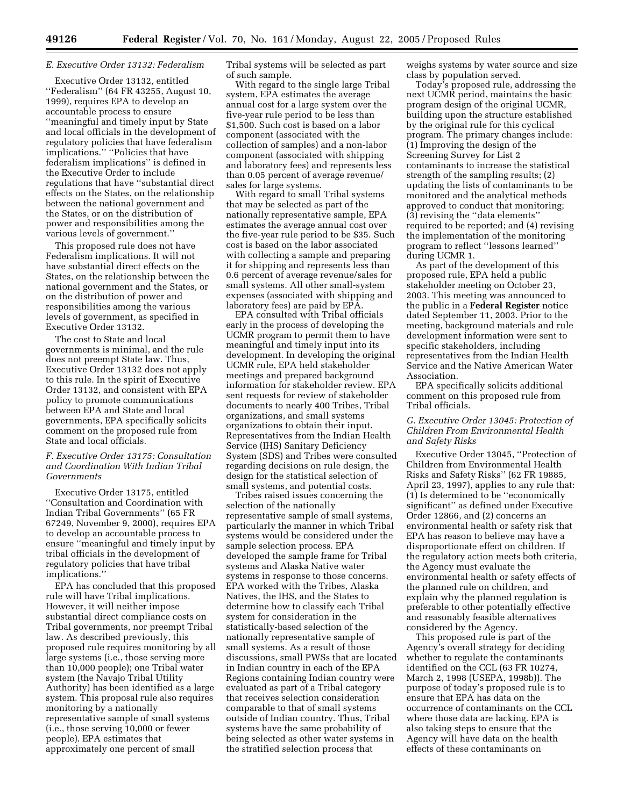# *E. Executive Order 13132: Federalism*

Executive Order 13132, entitled ''Federalism'' (64 FR 43255, August 10, 1999), requires EPA to develop an accountable process to ensure ''meaningful and timely input by State and local officials in the development of regulatory policies that have federalism implications.'' ''Policies that have federalism implications'' is defined in the Executive Order to include regulations that have ''substantial direct effects on the States, on the relationship between the national government and the States, or on the distribution of power and responsibilities among the various levels of government.''

This proposed rule does not have Federalism implications. It will not have substantial direct effects on the States, on the relationship between the national government and the States, or on the distribution of power and responsibilities among the various levels of government, as specified in Executive Order 13132.

The cost to State and local governments is minimal, and the rule does not preempt State law. Thus, Executive Order 13132 does not apply to this rule. In the spirit of Executive Order 13132, and consistent with EPA policy to promote communications between EPA and State and local governments, EPA specifically solicits comment on the proposed rule from State and local officials.

# *F. Executive Order 13175: Consultation and Coordination With Indian Tribal Governments*

Executive Order 13175, entitled ''Consultation and Coordination with Indian Tribal Governments'' (65 FR 67249, November 9, 2000), requires EPA to develop an accountable process to ensure ''meaningful and timely input by tribal officials in the development of regulatory policies that have tribal implications.''

EPA has concluded that this proposed rule will have Tribal implications. However, it will neither impose substantial direct compliance costs on Tribal governments, nor preempt Tribal law. As described previously, this proposed rule requires monitoring by all large systems (i.e., those serving more than 10,000 people); one Tribal water system (the Navajo Tribal Utility Authority) has been identified as a large system. This proposal rule also requires monitoring by a nationally representative sample of small systems (i.e., those serving 10,000 or fewer people). EPA estimates that approximately one percent of small

Tribal systems will be selected as part of such sample.

With regard to the single large Tribal system, EPA estimates the average annual cost for a large system over the five-year rule period to be less than \$1,500. Such cost is based on a labor component (associated with the collection of samples) and a non-labor component (associated with shipping and laboratory fees) and represents less than 0.05 percent of average revenue/ sales for large systems.

With regard to small Tribal systems that may be selected as part of the nationally representative sample, EPA estimates the average annual cost over the five-year rule period to be \$35. Such cost is based on the labor associated with collecting a sample and preparing it for shipping and represents less than 0.6 percent of average revenue/sales for small systems. All other small-system expenses (associated with shipping and laboratory fees) are paid by EPA.

EPA consulted with Tribal officials early in the process of developing the UCMR program to permit them to have meaningful and timely input into its development. In developing the original UCMR rule, EPA held stakeholder meetings and prepared background information for stakeholder review. EPA sent requests for review of stakeholder documents to nearly 400 Tribes, Tribal organizations, and small systems organizations to obtain their input. Representatives from the Indian Health Service (IHS) Sanitary Deficiency System (SDS) and Tribes were consulted regarding decisions on rule design, the design for the statistical selection of small systems, and potential costs.

Tribes raised issues concerning the selection of the nationally representative sample of small systems, particularly the manner in which Tribal systems would be considered under the sample selection process. EPA developed the sample frame for Tribal systems and Alaska Native water systems in response to those concerns. EPA worked with the Tribes, Alaska Natives, the IHS, and the States to determine how to classify each Tribal system for consideration in the statistically-based selection of the nationally representative sample of small systems. As a result of those discussions, small PWSs that are located in Indian country in each of the EPA Regions containing Indian country were evaluated as part of a Tribal category that receives selection consideration comparable to that of small systems outside of Indian country. Thus, Tribal systems have the same probability of being selected as other water systems in the stratified selection process that

weighs systems by water source and size class by population served.

Today's proposed rule, addressing the next UCMR period, maintains the basic program design of the original UCMR, building upon the structure established by the original rule for this cyclical program. The primary changes include: (1) Improving the design of the Screening Survey for List 2 contaminants to increase the statistical strength of the sampling results; (2) updating the lists of contaminants to be monitored and the analytical methods approved to conduct that monitoring; (3) revising the ''data elements'' required to be reported; and (4) revising the implementation of the monitoring program to reflect ''lessons learned'' during UCMR 1.

As part of the development of this proposed rule, EPA held a public stakeholder meeting on October 23, 2003. This meeting was announced to the public in a **Federal Register** notice dated September 11, 2003. Prior to the meeting, background materials and rule development information were sent to specific stakeholders, including representatives from the Indian Health Service and the Native American Water Association.

EPA specifically solicits additional comment on this proposed rule from Tribal officials.

# *G. Executive Order 13045: Protection of Children From Environmental Health and Safety Risks*

Executive Order 13045, ''Protection of Children from Environmental Health Risks and Safety Risks'' (62 FR 19885, April 23, 1997), applies to any rule that: (1) Is determined to be ''economically significant'' as defined under Executive Order 12866, and (2) concerns an environmental health or safety risk that EPA has reason to believe may have a disproportionate effect on children. If the regulatory action meets both criteria, the Agency must evaluate the environmental health or safety effects of the planned rule on children, and explain why the planned regulation is preferable to other potentially effective and reasonably feasible alternatives considered by the Agency.

This proposed rule is part of the Agency's overall strategy for deciding whether to regulate the contaminants identified on the CCL (63 FR 10274, March 2, 1998 (USEPA, 1998b)). The purpose of today's proposed rule is to ensure that EPA has data on the occurrence of contaminants on the CCL where those data are lacking. EPA is also taking steps to ensure that the Agency will have data on the health effects of these contaminants on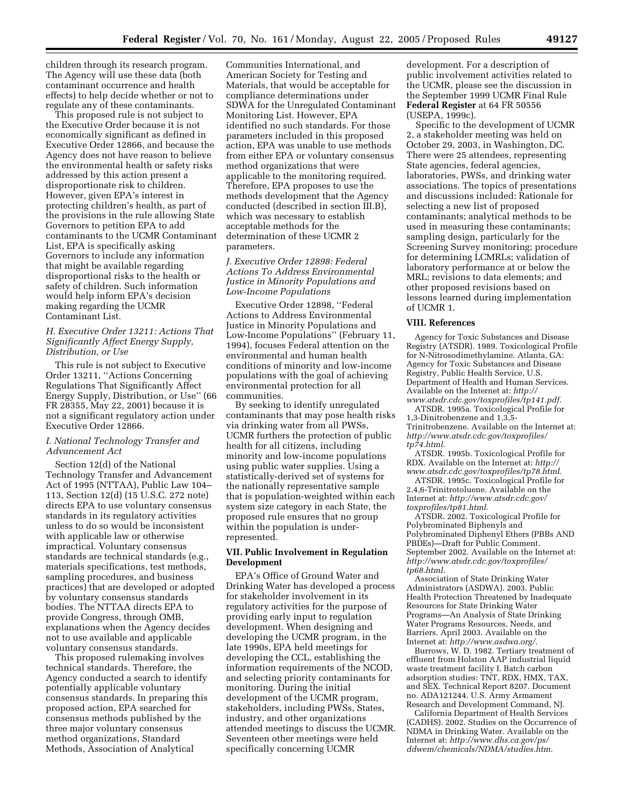children through its research program. The Agency will use these data (both contaminant occurrence and health effects) to help decide whether or not to regulate any of these contaminants.

This proposed rule is not subject to the Executive Order because it is not economically significant as defined in Executive Order 12866, and because the Agency does not have reason to believe the environmental health or safety risks addressed by this action present a disproportionate risk to children. However, given EPA's interest in protecting children's health, as part of the provisions in the rule allowing State Governors to petition EPA to add contaminants to the UCMR Contaminant List, EPA is specifically asking Governors to include any information that might be available regarding disproportional risks to the health or safety of children. Such information would help inform EPA's decision making regarding the UCMR Contaminant List.

#### *H. Executive Order 13211: Actions That Significantly Affect Energy Supply, Distribution, or Use*

This rule is not subject to Executive Order 13211, ''Actions Concerning Regulations That Significantly Affect Energy Supply, Distribution, or Use'' (66 FR 28355, May 22, 2001) because it is not a significant regulatory action under Executive Order 12866.

# *I. National Technology Transfer and Advancement Act*

Section 12(d) of the National Technology Transfer and Advancement Act of 1995 (NTTAA), Public Law 104– 113, Section 12(d) (15 U.S.C. 272 note) directs EPA to use voluntary consensus standards in its regulatory activities unless to do so would be inconsistent with applicable law or otherwise impractical. Voluntary consensus standards are technical standards (e.g., materials specifications, test methods, sampling procedures, and business practices) that are developed or adopted by voluntary consensus standards bodies. The NTTAA directs EPA to provide Congress, through OMB, explanations when the Agency decides not to use available and applicable voluntary consensus standards.

This proposed rulemaking involves technical standards. Therefore, the Agency conducted a search to identify potentially applicable voluntary consensus standards. In preparing this proposed action, EPA searched for consensus methods published by the three major voluntary consensus method organizations, Standard Methods, Association of Analytical

Communities International, and American Society for Testing and Materials, that would be acceptable for compliance determinations under SDWA for the Unregulated Contaminant Monitoring List. However, EPA identified no such standards. For those parameters included in this proposed action, EPA was unable to use methods from either EPA or voluntary consensus method organizations that were applicable to the monitoring required. Therefore, EPA proposes to use the methods development that the Agency conducted (described in section III.B), which was necessary to establish acceptable methods for the determination of these UCMR 2 parameters.

# *J. Executive Order 12898: Federal Actions To Address Environmental Justice in Minority Populations and Low-Income Populations*

Executive Order 12898, ''Federal Actions to Address Environmental Justice in Minority Populations and Low-Income Populations'' (February 11, 1994), focuses Federal attention on the environmental and human health conditions of minority and low-income populations with the goal of achieving environmental protection for all communities.

By seeking to identify unregulated contaminants that may pose health risks via drinking water from all PWSs, UCMR furthers the protection of public health for all citizens, including minority and low-income populations using public water supplies. Using a statistically-derived set of systems for the nationally representative sample that is population-weighted within each system size category in each State, the proposed rule ensures that no group within the population is underrepresented.

# **VII. Public Involvement in Regulation Development**

EPA's Office of Ground Water and Drinking Water has developed a process for stakeholder involvement in its regulatory activities for the purpose of providing early input to regulation development. When designing and developing the UCMR program, in the late 1990s, EPA held meetings for developing the CCL, establishing the information requirements of the NCOD, and selecting priority contaminants for monitoring. During the initial development of the UCMR program, stakeholders, including PWSs, States, industry, and other organizations attended meetings to discuss the UCMR. Seventeen other meetings were held specifically concerning UCMR

development. For a description of public involvement activities related to the UCMR, please see the discussion in the September 1999 UCMR Final Rule **Federal Register** at 64 FR 50556 (USEPA, 1999c).

Specific to the development of UCMR 2, a stakeholder meeting was held on October 29, 2003, in Washington, DC. There were 25 attendees, representing State agencies, federal agencies, laboratories, PWSs, and drinking water associations. The topics of presentations and discussions included: Rationale for selecting a new list of proposed contaminants; analytical methods to be used in measuring these contaminants; sampling design, particularly for the Screening Survey monitoring; procedure for determining LCMRLs; validation of laboratory performance at or below the MRL; revisions to data elements; and other proposed revisions based on lessons learned during implementation of UCMR 1.

#### **VIII. References**

Agency for Toxic Substances and Disease Registry (ATSDR). 1989. Toxicological Profile for N-Nitrosodimethylamine. Atlanta, GA: Agency for Toxic Substances and Disease Registry, Public Health Service, U.S. Department of Health and Human Services. Available on the Internet at: *http:// www.atsdr.cdc.gov/toxprofiles/tp141.pdf.*

ATSDR. 1995a. Toxicological Profile for 1,3-Dinitrobenzene and 1,3,5- Trinitrobenzene. Available on the Internet at: *http://www.atsdr.cdc.gov/toxprofiles/ tp74.html.*

ATSDR. 1995b. Toxicological Profile for RDX. Available on the Internet at: *http:// www.atsdr.cdc.gov/toxprofiles/tp78.html.*

ATSDR. 1995c. Toxicological Profile for 2,4,6-Trinitrotoluene. Available on the Internet at: *http://www.atsdr.cdc.gov/ toxprofiles/tp81.html.*

ATSDR. 2002. Toxicological Profile for Polybrominated Biphenyls and Polybrominated Diphenyl Ethers (PBBs AND PBDEs)—Draft for Public Comment. September 2002. Available on the Internet at: *http://www.atsdr.cdc.gov/toxprofiles/ tp68.html.*

Association of State Drinking Water Administrators (ASDWA). 2003. Public Health Protection Threatened by Inadequate Resources for State Drinking Water Programs—An Analysis of State Drinking Water Programs Resources, Needs, and Barriers. April 2003. Available on the Internet at: *http://www.asdwa.org/.*

Burrows, W. D. 1982. Tertiary treatment of effluent from Holston AAP industrial liquid waste treatment facility I. Batch carbon adsorption studies: TNT, RDX, HMX, TAX, and SEX. Technical Report 8207. Document no. ADA121244. U.S. Army Armament Research and Development Command, NJ.

California Department of Health Services (CADHS). 2002. Studies on the Occurrence of NDMA in Drinking Water. Available on the Internet at: *http://www.dhs.ca.gov/ps/ ddwem/chemicals/NDMA/studies.htm.*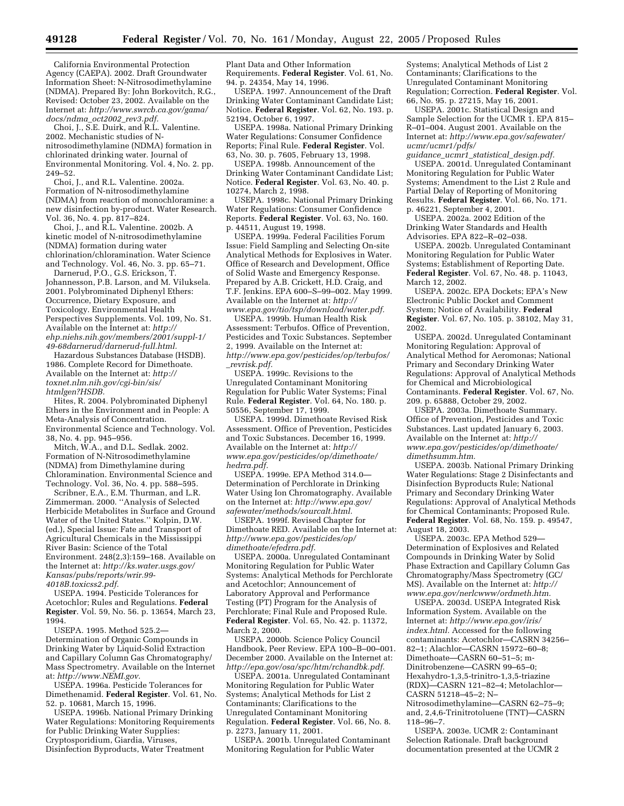California Environmental Protection Agency (CAEPA). 2002. Draft Groundwater Information Sheet: N-Nitrosodimethylamine (NDMA). Prepared By: John Borkovitch, R.G., Revised: October 23, 2002. Available on the Internet at: *http://www.swrcb.ca.gov/gama/ docs/ndma*\_*oct2002*\_*rev3.pdf.*

Choi, J., S.E. Duirk, and R.L. Valentine. 2002. Mechanistic studies of Nnitrosodimethylamine (NDMA) formation in chlorinated drinking water. Journal of Environmental Monitoring. Vol. 4, No. 2. pp. 249–52.

Choi, J., and R.L. Valentine. 2002a. Formation of N-nitrosodimethylamine (NDMA) from reaction of monochloramine: a new disinfection by-product. Water Research. Vol. 36, No. 4. pp. 817–824.

Choi, J., and R.L. Valentine. 2002b. A kinetic model of N-nitrosodimethylamine (NDMA) formation during water chlorination/chloramination. Water Science and Technology. Vol. 46, No. 3. pp. 65–71.

Darnerud, P.O., G.S. Erickson, T. Johannesson, P.B. Larson, and M. Viluksela. 2001. Polybrominated Diphenyl Ethers: Occurrence, Dietary Exposure, and Toxicology. Environmental Health Perspectives Supplements. Vol. 109, No. S1. Available on the Internet at: *http:// ehp.niehs.nih.gov/members/2001/suppl-1/ 49-68darnerud/darnerud-full.html.*

Hazardous Substances Database (HSDB). 1986. Complete Record for Dimethoate. Available on the Internet at: *http:// toxnet.nlm.nih.gov/cgi-bin/sis/ htmlgen?HSDB.*

Hites, R. 2004. Polybrominated Diphenyl Ethers in the Environment and in People: A Meta-Analysis of Concentration. Environmental Science and Technology. Vol. 38, No. 4. pp. 945–956.

Mitch, W.A., and D.L. Sedlak. 2002. Formation of N-Nitrosodimethylamine (NDMA) from Dimethylamine during Chloramination. Environmental Science and Technology. Vol. 36, No. 4. pp. 588–595.

Scribner, E.A., E.M. Thurman, and L.R. Zimmerman. 2000. ''Analysis of Selected Herbicide Metabolites in Surface and Ground Water of the United States.'' Kolpin, D.W. (ed.), Special Issue: Fate and Transport of Agricultural Chemicals in the Mississippi River Basin: Science of the Total Environment. 248(2,3):159–168. Available on the Internet at: *http://ks.water.usgs.gov/ Kansas/pubs/reports/wrir.99- 4018B.toxicss2.pdf.*

USEPA. 1994. Pesticide Tolerances for Acetochlor; Rules and Regulations. **Federal Register**. Vol. 59, No. 56. p. 13654, March 23, 1994.

USEPA. 1995. Method 525.2— Determination of Organic Compounds in Drinking Water by Liquid-Solid Extraction and Capillary Column Gas Chromatography/ Mass Spectrometry. Available on the Internet at: *http://www.NEMI.gov.*

USEPA. 1996a. Pesticide Tolerances for Dimethenamid. **Federal Register**. Vol. 61, No. 52. p. 10681, March 15, 1996.

USEPA. 1996b. National Primary Drinking Water Regulations: Monitoring Requirements for Public Drinking Water Supplies: Cryptosporidium, Giardia, Viruses, Disinfection Byproducts, Water Treatment

Plant Data and Other Information Requirements. **Federal Register**. Vol. 61, No. 94. p. 24354, May 14, 1996.

USEPA. 1997. Announcement of the Draft Drinking Water Contaminant Candidate List; Notice. **Federal Register**. Vol. 62, No. 193. p. 52194, October 6, 1997.

USEPA. 1998a. National Primary Drinking Water Regulations: Consumer Confidence Reports; Final Rule. **Federal Register**. Vol. 63, No. 30. p. 7605, February 13, 1998.

USEPA. 1998b. Announcement of the Drinking Water Contaminant Candidate List; Notice. **Federal Register**. Vol. 63, No. 40. p. 10274, March 2, 1998.

USEPA. 1998c. National Primary Drinking Water Regulations: Consumer Confidence Reports. **Federal Register**. Vol. 63, No. 160. p. 44511, August 19, 1998.

USEPA. 1999a. Federal Facilities Forum Issue: Field Sampling and Selecting On-site Analytical Methods for Explosives in Water. Office of Research and Development, Office of Solid Waste and Emergency Response. Prepared by A.B. Crickett, H.D. Craig, and T.F. Jenkins. EPA 600–S–99–002. May 1999. Available on the Internet at: *http:// www.epa.gov/tio/tsp/download/water.pdf.*

USEPA. 1999b. Human Health Risk Assessment: Terbufos. Office of Prevention, Pesticides and Toxic Substances. September 2, 1999. Available on the Internet at: *http://www.epa.gov/pesticides/op/terbufos/* \_*revrisk.pdf.*

USEPA. 1999c. Revisions to the Unregulated Contaminant Monitoring Regulation for Public Water Systems; Final Rule. **Federal Register**. Vol. 64, No. 180. p. 50556, September 17, 1999.

USEPA. 1999d. Dimethoate Revised Risk Assessment. Office of Prevention, Pesticides and Toxic Substances. December 16, 1999. Available on the Internet at: *http:// www.epa.gov/pesticides/op/dimethoate/ hedrra.pdf.*

USEPA. 1999e. EPA Method 314.0— Determination of Perchlorate in Drinking Water Using Ion Chromatography. Available on the Internet at: *http://www.epa.gov/ safewater/methods/sourcalt.html.*

USEPA. 1999f. Revised Chapter for Dimethoate RED. Available on the Internet at: *http://www.epa.gov/pesticides/op/ dimethoate/efedrra.pdf.*

USEPA. 2000a. Unregulated Contaminant Monitoring Regulation for Public Water Systems: Analytical Methods for Perchlorate and Acetochlor; Announcement of Laboratory Approval and Performance Testing (PT) Program for the Analysis of Perchlorate; Final Rule and Proposed Rule. **Federal Register**. Vol. 65, No. 42. p. 11372, March 2, 2000.

USEPA. 2000b. Science Policy Council Handbook, Peer Review. EPA 100–B–00–001. December 2000. Available on the Internet at: *http://epa.gov/osa/spc/htm/rchandbk.pdf.*

USEPA. 2001a. Unregulated Contaminant Monitoring Regulation for Public Water Systems; Analytical Methods for List 2 Contaminants; Clarifications to the Unregulated Contaminant Monitoring Regulation. **Federal Register**. Vol. 66, No. 8. p. 2273, January 11, 2001.

USEPA. 2001b. Unregulated Contaminant Monitoring Regulation for Public Water

Systems; Analytical Methods of List 2 Contaminants; Clarifications to the Unregulated Contaminant Monitoring Regulation; Correction. **Federal Register**. Vol. 66, No. 95. p. 27215, May 16, 2001.

USEPA. 2001c. Statistical Design and Sample Selection for the UCMR 1. EPA 815-R–01–004. August 2001. Available on the Internet at: *http://www.epa.gov/safewater/ ucmr/ucmr1/pdfs/*

*guidance*\_*ucmr1*\_*statistical*\_*design.pdf.* USEPA. 2001d. Unregulated Contaminant Monitoring Regulation for Public Water Systems; Amendment to the List 2 Rule and Partial Delay of Reporting of Monitoring Results. **Federal Register**. Vol. 66, No. 171. p. 46221, September 4, 2001.

USEPA. 2002a. 2002 Edition of the Drinking Water Standards and Health Advisories. EPA 822–R–02–038.

USEPA. 2002b. Unregulated Contaminant Monitoring Regulation for Public Water Systems; Establishment of Reporting Date. **Federal Register**. Vol. 67, No. 48. p. 11043, March 12, 2002.

USEPA. 2002c. EPA Dockets; EPA's New Electronic Public Docket and Comment System; Notice of Availability. **Federal Register**. Vol. 67, No. 105. p. 38102, May 31, 2002.

USEPA. 2002d. Unregulated Contaminant Monitoring Regulation: Approval of Analytical Method for Aeromonas; National Primary and Secondary Drinking Water Regulations: Approval of Analytical Methods for Chemical and Microbiological Contaminants. **Federal Register**. Vol. 67, No. 209. p. 65888, October 29, 2002.

USEPA. 2003a. Dimethoate Summary. Office of Prevention, Pesticides and Toxic Substances. Last updated January 6, 2003. Available on the Internet at: *http:// www.epa.gov/pesticides/op/dimethoate/ dimethsumm.htm.*

USEPA. 2003b. National Primary Drinking Water Regulations: Stage 2 Disinfectants and Disinfection Byproducts Rule; National Primary and Secondary Drinking Water Regulations: Approval of Analytical Methods for Chemical Contaminants; Proposed Rule. **Federal Register**. Vol. 68, No. 159. p. 49547, August 18, 2003.

USEPA. 2003c. EPA Method 529— Determination of Explosives and Related Compounds in Drinking Water by Solid Phase Extraction and Capillary Column Gas Chromatography/Mass Spectrometry (GC/ MS). Available on the Internet at: *http:// www.epa.gov/nerlcwww/ordmeth.htm.*

USEPA. 2003d. USEPA Integrated Risk Information System. Available on the Internet at: *http://www.epa.gov/iris/ index.html.* Accessed for the following contaminants: Acetochlor—CASRN 34256– 82–1; Alachlor—CASRN 15972–60–8; Dimethoate—CASRN 60–51–5; m-Dinitrobenzene—CASRN 99–65–0; Hexahydro-1,3,5-trinitro-1,3,5-triazine (RDX)—CASRN 121–82–4; Metolachlor— CASRN 51218–45–2; N–

Nitrosodimethylamine—CASRN 62–75–9; and, 2,4,6-Trinitrotoluene (TNT)—CASRN 118–96–7.

USEPA. 2003e. UCMR 2: Contaminant Selection Rationale. Draft background documentation presented at the UCMR 2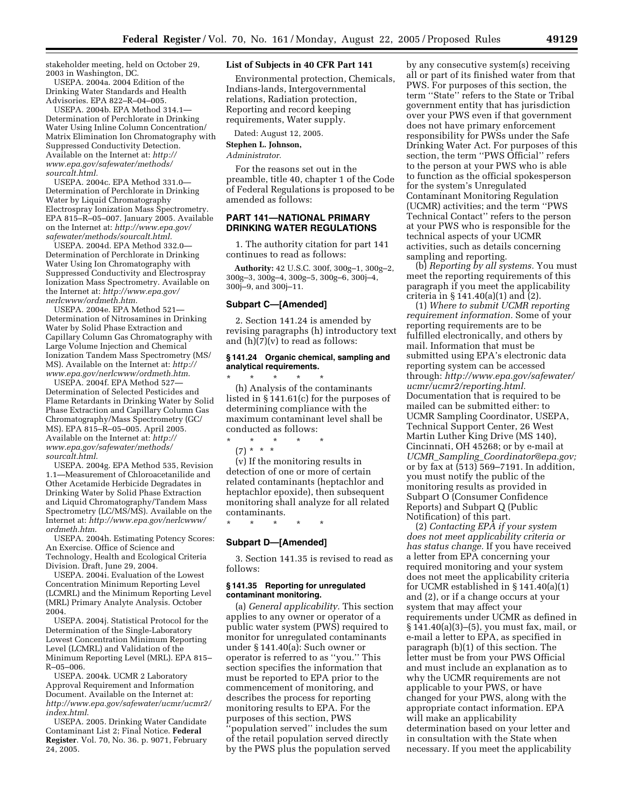stakeholder meeting, held on October 29, 2003 in Washington, DC.

USEPA. 2004a. 2004 Edition of the Drinking Water Standards and Health Advisories. EPA 822–R–04–005.

USEPA. 2004b. EPA Method 314.1— Determination of Perchlorate in Drinking Water Using Inline Column Concentration/ Matrix Elimination Ion Chromatography with Suppressed Conductivity Detection. Available on the Internet at: *http:// www.epa.gov/safewater/methods/ sourcalt.html.*

USEPA. 2004c. EPA Method 331.0— Determination of Perchlorate in Drinking Water by Liquid Chromatography Electrospray Ionization Mass Spectrometry. EPA 815–R–05–007. January 2005. Available on the Internet at: *http://www.epa.gov/ safewater/methods/sourcalt.html.*

USEPA. 2004d. EPA Method 332.0— Determination of Perchlorate in Drinking Water Using Ion Chromatography with Suppressed Conductivity and Electrospray Ionization Mass Spectrometry. Available on the Internet at: *http://www.epa.gov/ nerlcwww/ordmeth.htm.*

USEPA. 2004e. EPA Method 521— Determination of Nitrosamines in Drinking Water by Solid Phase Extraction and Capillary Column Gas Chromatography with Large Volume Injection and Chemical Ionization Tandem Mass Spectrometry (MS/ MS). Available on the Internet at: *http:// www.epa.gov/nerlcwww/ordmeth.htm*.

USEPA. 2004f. EPA Method 527— Determination of Selected Pesticides and Flame Retardants in Drinking Water by Solid Phase Extraction and Capillary Column Gas Chromatography/Mass Spectrometry (GC/ MS). EPA 815–R–05–005. April 2005. Available on the Internet at: *http:// www.epa.gov/safewater/methods/ sourcalt.html*.

USEPA. 2004g. EPA Method 535, Revision 1.1—Measurement of Chloroacetanilide and Other Acetamide Herbicide Degradates in Drinking Water by Solid Phase Extraction and Liquid Chromatography/Tandem Mass Spectrometry (LC/MS/MS). Available on the Internet at: *http://www.epa.gov/nerlcwww/ ordmeth.htm*.

USEPA. 2004h. Estimating Potency Scores: An Exercise. Office of Science and Technology, Health and Ecological Criteria Division. Draft, June 29, 2004.

USEPA. 2004i. Evaluation of the Lowest Concentration Minimum Reporting Level (LCMRL) and the Minimum Reporting Level (MRL) Primary Analyte Analysis. October 2004.

USEPA. 2004j. Statistical Protocol for the Determination of the Single-Laboratory Lowest Concentration Minimum Reporting Level (LCMRL) and Validation of the Minimum Reporting Level (MRL). EPA 815– R–05–006.

USEPA. 2004k. UCMR 2 Laboratory Approval Requirement and Information Document. Available on the Internet at: *http://www.epa.gov/safewater/ucmr/ucmr2/ index.html*.

USEPA. 2005. Drinking Water Candidate Contaminant List 2; Final Notice. **Federal Register**. Vol. 70, No. 36. p. 9071, February 24, 2005.

#### **List of Subjects in 40 CFR Part 141**

Environmental protection, Chemicals, Indians-lands, Intergovernmental relations, Radiation protection, Reporting and record keeping requirements, Water supply.

Dated: August 12, 2005.

#### **Stephen L. Johnson,**

*Administrator.*

For the reasons set out in the preamble, title 40, chapter 1 of the Code of Federal Regulations is proposed to be amended as follows:

# **PART 141—NATIONAL PRIMARY DRINKING WATER REGULATIONS**

1. The authority citation for part 141 continues to read as follows:

**Authority:** 42 U.S.C. 300f, 300g–1, 300g–2, 300g–3, 300g–4, 300g–5, 300g–6, 300j–4, 300j–9, and 300j–11.

#### **Subpart C—[Amended]**

2. Section 141.24 is amended by revising paragraphs (h) introductory text and  $(h)(7)(v)$  to read as follows:

#### **§ 141.24 Organic chemical, sampling and analytical requirements.**

\* \* \* \* \* (h) Analysis of the contaminants listed in § 141.61(c) for the purposes of determining compliance with the maximum contaminant level shall be conducted as follows:

\* \* \* \* \* (7) \* \* \*

(v) If the monitoring results in detection of one or more of certain related contaminants (heptachlor and heptachlor epoxide), then subsequent monitoring shall analyze for all related contaminants.

\* \* \* \* \*

# **Subpart D—[Amended]**

3. Section 141.35 is revised to read as follows:

#### **§ 141.35 Reporting for unregulated contaminant monitoring.**

(a) *General applicability.* This section applies to any owner or operator of a public water system (PWS) required to monitor for unregulated contaminants under § 141.40(a): Such owner or operator is referred to as ''you.'' This section specifies the information that must be reported to EPA prior to the commencement of monitoring, and describes the process for reporting monitoring results to EPA. For the purposes of this section, PWS ''population served'' includes the sum of the retail population served directly by the PWS plus the population served

by any consecutive system(s) receiving all or part of its finished water from that PWS. For purposes of this section, the term ''State'' refers to the State or Tribal government entity that has jurisdiction over your PWS even if that government does not have primary enforcement responsibility for PWSs under the Safe Drinking Water Act. For purposes of this section, the term ''PWS Official'' refers to the person at your PWS who is able to function as the official spokesperson for the system's Unregulated Contaminant Monitoring Regulation (UCMR) activities; and the term ''PWS Technical Contact'' refers to the person at your PWS who is responsible for the technical aspects of your UCMR activities, such as details concerning sampling and reporting.

(b) *Reporting by all systems.* You must meet the reporting requirements of this paragraph if you meet the applicability criteria in § 141.40(a)(1) and (2).

(1) *Where to submit UCMR reporting requirement information.* Some of your reporting requirements are to be fulfilled electronically, and others by mail. Information that must be submitted using EPA's electronic data reporting system can be accessed through: *http://www.epa.gov/safewater/ ucmr/ucmr2/reporting.html.* Documentation that is required to be mailed can be submitted either: to UCMR Sampling Coordinator, USEPA, Technical Support Center, 26 West Martin Luther King Drive (MS 140), Cincinnati, OH 45268; or by e-mail at *UCMR*\_*Sampling*\_*Coordinator@epa.gov;* or by fax at (513) 569–7191. In addition, you must notify the public of the monitoring results as provided in Subpart O (Consumer Confidence Reports) and Subpart Q (Public Notification) of this part.

(2) *Contacting EPA if your system does not meet applicability criteria or has status change.* If you have received a letter from EPA concerning your required monitoring and your system does not meet the applicability criteria for UCMR established in § 141.40(a)(1) and (2), or if a change occurs at your system that may affect your requirements under UCMR as defined in § 141.40(a)(3)–(5), you must fax, mail, or e-mail a letter to EPA, as specified in paragraph (b)(1) of this section. The letter must be from your PWS Official and must include an explanation as to why the UCMR requirements are not applicable to your PWS, or have changed for your PWS, along with the appropriate contact information. EPA will make an applicability determination based on your letter and in consultation with the State when necessary. If you meet the applicability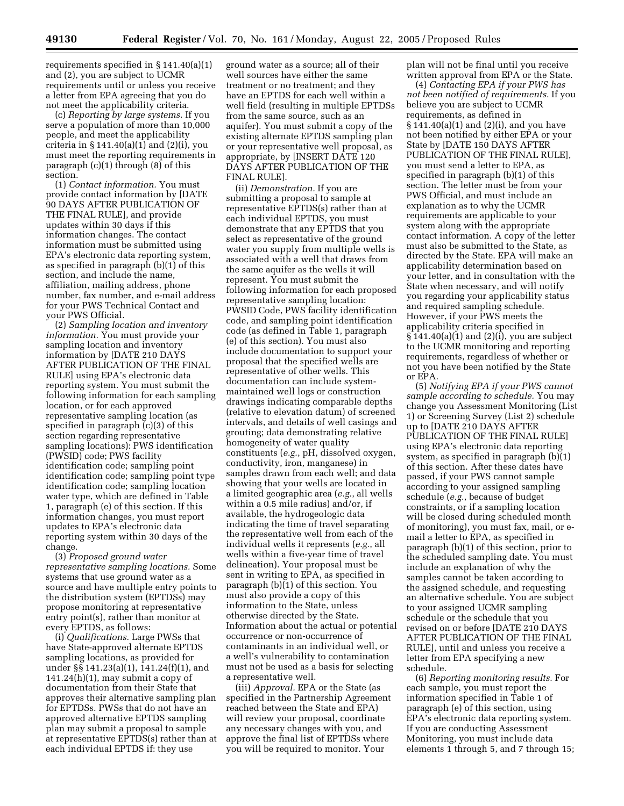requirements specified in § 141.40(a)(1) and (2), you are subject to UCMR requirements until or unless you receive a letter from EPA agreeing that you do not meet the applicability criteria.

(c) *Reporting by large systems.* If you serve a population of more than 10,000 people, and meet the applicability criteria in  $\S 141.40(a)(1)$  and  $(2)(i)$ , you must meet the reporting requirements in paragraph (c)(1) through (8) of this section.

(1) *Contact information.* You must provide contact information by [DATE 90 DAYS AFTER PUBLICATION OF THE FINAL RULE], and provide updates within 30 days if this information changes. The contact information must be submitted using EPA's electronic data reporting system, as specified in paragraph (b)(1) of this section, and include the name, affiliation, mailing address, phone number, fax number, and e-mail address for your PWS Technical Contact and your PWS Official.

(2) *Sampling location and inventory information.* You must provide your sampling location and inventory information by [DATE 210 DAYS AFTER PUBLICATION OF THE FINAL RULE] using EPA's electronic data reporting system. You must submit the following information for each sampling location, or for each approved representative sampling location (as specified in paragraph (c)(3) of this section regarding representative sampling locations): PWS identification (PWSID) code; PWS facility identification code; sampling point identification code; sampling point type identification code; sampling location water type, which are defined in Table 1, paragraph (e) of this section. If this information changes, you must report updates to EPA's electronic data reporting system within 30 days of the change.

(3) *Proposed ground water representative sampling locations.* Some systems that use ground water as a source and have multiple entry points to the distribution system (EPTDSs) may propose monitoring at representative entry point(s), rather than monitor at every EPTDS, as follows:

(i) *Qualifications.* Large PWSs that have State-approved alternate EPTDS sampling locations, as provided for under §§ 141.23(a)(1), 141.24(f)(1), and  $141.24(h)(1)$ , may submit a copy of documentation from their State that approves their alternative sampling plan for EPTDSs. PWSs that do not have an approved alternative EPTDS sampling plan may submit a proposal to sample at representative EPTDS(s) rather than at each individual EPTDS if: they use

ground water as a source; all of their well sources have either the same treatment or no treatment; and they have an EPTDS for each well within a well field (resulting in multiple EPTDSs from the same source, such as an aquifer). You must submit a copy of the existing alternate EPTDS sampling plan or your representative well proposal, as appropriate, by [INSERT DATE 120 DAYS AFTER PUBLICATION OF THE FINAL RULE].

(ii) *Demonstration.* If you are submitting a proposal to sample at representative EPTDS(s) rather than at each individual EPTDS, you must demonstrate that any EPTDS that you select as representative of the ground water you supply from multiple wells is associated with a well that draws from the same aquifer as the wells it will represent. You must submit the following information for each proposed representative sampling location: PWSID Code, PWS facility identification code, and sampling point identification code (as defined in Table 1, paragraph (e) of this section). You must also include documentation to support your proposal that the specified wells are representative of other wells. This documentation can include systemmaintained well logs or construction drawings indicating comparable depths (relative to elevation datum) of screened intervals, and details of well casings and grouting; data demonstrating relative homogeneity of water quality constituents (*e.g.*, pH, dissolved oxygen, conductivity, iron, manganese) in samples drawn from each well; and data showing that your wells are located in a limited geographic area (*e.g.*, all wells within a 0.5 mile radius) and/or, if available, the hydrogeologic data indicating the time of travel separating the representative well from each of the individual wells it represents (*e.g.*, all wells within a five-year time of travel delineation). Your proposal must be sent in writing to EPA, as specified in paragraph (b)(1) of this section. You must also provide a copy of this information to the State, unless otherwise directed by the State. Information about the actual or potential occurrence or non-occurrence of contaminants in an individual well, or a well's vulnerability to contamination must not be used as a basis for selecting a representative well.

(iii) *Approval.* EPA or the State (as specified in the Partnership Agreement reached between the State and EPA) will review your proposal, coordinate any necessary changes with you, and approve the final list of EPTDSs where you will be required to monitor. Your

plan will not be final until you receive written approval from EPA or the State.

(4) *Contacting EPA if your PWS has not been notified of requirements.* If you believe you are subject to UCMR requirements, as defined in § 141.40(a)(1) and (2)(i), and you have not been notified by either EPA or your State by [DATE 150 DAYS AFTER PUBLICATION OF THE FINAL RULE], you must send a letter to EPA, as specified in paragraph (b)(1) of this section. The letter must be from your PWS Official, and must include an explanation as to why the UCMR requirements are applicable to your system along with the appropriate contact information. A copy of the letter must also be submitted to the State, as directed by the State. EPA will make an applicability determination based on your letter, and in consultation with the State when necessary, and will notify you regarding your applicability status and required sampling schedule. However, if your PWS meets the applicability criteria specified in  $§ 141.40(a)(1)$  and  $(2)(i)$ , you are subject to the UCMR monitoring and reporting requirements, regardless of whether or not you have been notified by the State or EPA.

(5) *Notifying EPA if your PWS cannot sample according to schedule.* You may change you Assessment Monitoring (List 1) or Screening Survey (List 2) schedule up to [DATE 210 DAYS AFTER PUBLICATION OF THE FINAL RULE] using EPA's electronic data reporting system, as specified in paragraph (b)(1) of this section. After these dates have passed, if your PWS cannot sample according to your assigned sampling schedule (*e.g.*, because of budget constraints, or if a sampling location will be closed during scheduled month of monitoring), you must fax, mail, or email a letter to EPA, as specified in paragraph (b)(1) of this section, prior to the scheduled sampling date. You must include an explanation of why the samples cannot be taken according to the assigned schedule, and requesting an alternative schedule. You are subject to your assigned UCMR sampling schedule or the schedule that you revised on or before [DATE 210 DAYS AFTER PUBLICATION OF THE FINAL RULE], until and unless you receive a letter from EPA specifying a new schedule.

(6) *Reporting monitoring results.* For each sample, you must report the information specified in Table 1 of paragraph (e) of this section, using EPA's electronic data reporting system. If you are conducting Assessment Monitoring, you must include data elements 1 through 5, and 7 through 15;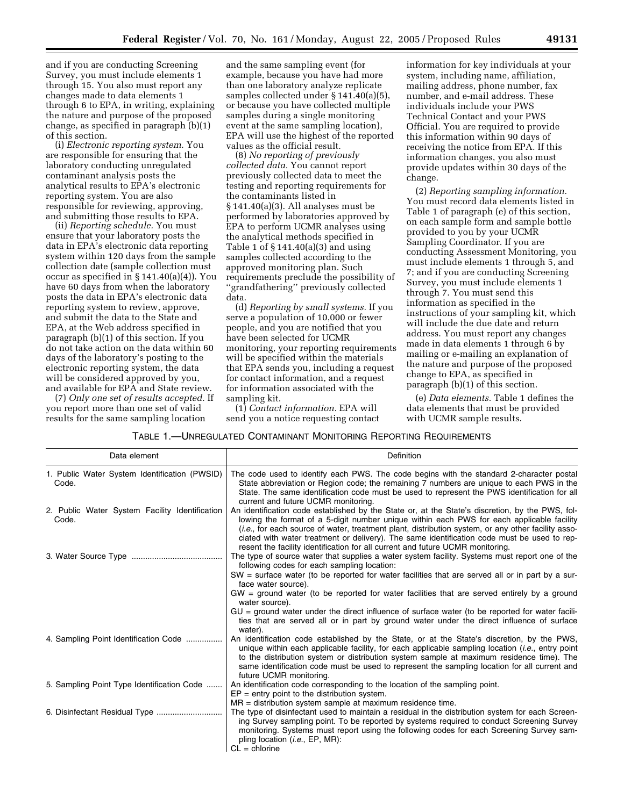and if you are conducting Screening Survey, you must include elements 1 through 15. You also must report any changes made to data elements 1 through 6 to EPA, in writing, explaining the nature and purpose of the proposed change, as specified in paragraph (b)(1) of this section.

(i) *Electronic reporting system.* You are responsible for ensuring that the laboratory conducting unregulated contaminant analysis posts the analytical results to EPA's electronic reporting system. You are also responsible for reviewing, approving, and submitting those results to EPA.

(ii) *Reporting schedule.* You must ensure that your laboratory posts the data in EPA's electronic data reporting system within 120 days from the sample collection date (sample collection must occur as specified in § 141.40(a)(4)). You have 60 days from when the laboratory posts the data in EPA's electronic data reporting system to review, approve, and submit the data to the State and EPA, at the Web address specified in paragraph (b)(1) of this section. If you do not take action on the data within 60 days of the laboratory's posting to the electronic reporting system, the data will be considered approved by you, and available for EPA and State review.

(7) *Only one set of results accepted.* If you report more than one set of valid results for the same sampling location

and the same sampling event (for example, because you have had more than one laboratory analyze replicate samples collected under § 141.40(a)(5), or because you have collected multiple samples during a single monitoring event at the same sampling location), EPA will use the highest of the reported values as the official result.

(8) *No reporting of previously collected data.* You cannot report previously collected data to meet the testing and reporting requirements for the contaminants listed in § 141.40(a)(3). All analyses must be performed by laboratories approved by EPA to perform UCMR analyses using the analytical methods specified in Table 1 of § 141.40(a)(3) and using samples collected according to the approved monitoring plan. Such requirements preclude the possibility of ''grandfathering'' previously collected data.

(d) *Reporting by small systems.* If you serve a population of 10,000 or fewer people, and you are notified that you have been selected for UCMR monitoring, your reporting requirements will be specified within the materials that EPA sends you, including a request for contact information, and a request for information associated with the sampling kit.

(1) *Contact information.* EPA will send you a notice requesting contact information for key individuals at your system, including name, affiliation, mailing address, phone number, fax number, and e-mail address. These individuals include your PWS Technical Contact and your PWS Official. You are required to provide this information within 90 days of receiving the notice from EPA. If this information changes, you also must provide updates within 30 days of the change.

(2) *Reporting sampling information.* You must record data elements listed in Table 1 of paragraph (e) of this section, on each sample form and sample bottle provided to you by your UCMR Sampling Coordinator. If you are conducting Assessment Monitoring, you must include elements 1 through 5, and 7; and if you are conducting Screening Survey, you must include elements 1 through 7. You must send this information as specified in the instructions of your sampling kit, which will include the due date and return address. You must report any changes made in data elements 1 through 6 by mailing or e-mailing an explanation of the nature and purpose of the proposed change to EPA, as specified in paragraph (b)(1) of this section.

(e) *Data elements.* Table 1 defines the data elements that must be provided with UCMR sample results.

TABLE 1.—UNREGULATED CONTAMINANT MONITORING REPORTING REQUIREMENTS

| Data element                                            | Definition                                                                                                                                                                                                                                                                                                                                                                                                                                                                                 |
|---------------------------------------------------------|--------------------------------------------------------------------------------------------------------------------------------------------------------------------------------------------------------------------------------------------------------------------------------------------------------------------------------------------------------------------------------------------------------------------------------------------------------------------------------------------|
| 1. Public Water System Identification (PWSID)<br>Code.  | The code used to identify each PWS. The code begins with the standard 2-character postal<br>State abbreviation or Region code; the remaining 7 numbers are unique to each PWS in the<br>State. The same identification code must be used to represent the PWS identification for all<br>current and future UCMR monitoring.                                                                                                                                                                |
| 2. Public Water System Facility Identification<br>Code. | An identification code established by the State or, at the State's discretion, by the PWS, fol-<br>lowing the format of a 5-digit number unique within each PWS for each applicable facility<br><i>(i.e., for each source of water, treatment plant, distribution system, or any other facility asso-</i><br>ciated with water treatment or delivery). The same identification code must be used to rep-<br>resent the facility identification for all current and future UCMR monitoring. |
|                                                         | The type of source water that supplies a water system facility. Systems must report one of the<br>following codes for each sampling location:<br>$SW =$ surface water (to be reported for water facilities that are served all or in part by a sur-<br>face water source).                                                                                                                                                                                                                 |
|                                                         | $GW =$ ground water (to be reported for water facilities that are served entirely by a ground<br>water source).<br>$GU =$ ground water under the direct influence of surface water (to be reported for water facili-                                                                                                                                                                                                                                                                       |
|                                                         | ties that are served all or in part by ground water under the direct influence of surface<br>water).                                                                                                                                                                                                                                                                                                                                                                                       |
| 4. Sampling Point Identification Code                   | An identification code established by the State, or at the State's discretion, by the PWS,<br>unique within each applicable facility, for each applicable sampling location ( <i>i.e.</i> , entry point<br>to the distribution system or distribution system sample at maximum residence time). The<br>same identification code must be used to represent the sampling location for all current and<br>future UCMR monitoring.                                                             |
| 5. Sampling Point Type Identification Code              | An identification code corresponding to the location of the sampling point.<br>$EP = entry$ point to the distribution system.<br>MR = distribution system sample at maximum residence time.                                                                                                                                                                                                                                                                                                |
|                                                         | The type of disinfectant used to maintain a residual in the distribution system for each Screen-<br>ing Survey sampling point. To be reported by systems required to conduct Screening Survey<br>monitoring. Systems must report using the following codes for each Screening Survey sam-<br>pling location ( <i>i.e.</i> , EP, MR):<br>$CL =$ chlorine                                                                                                                                    |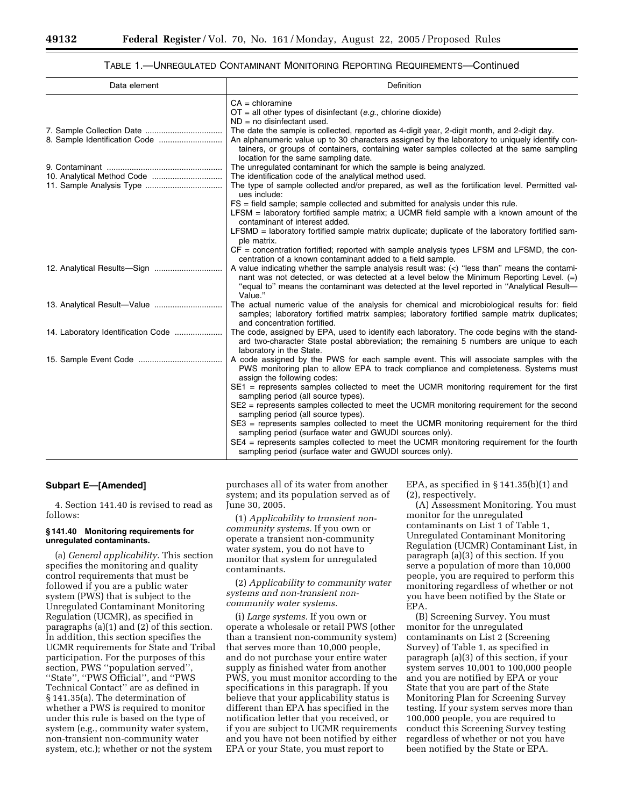#### TABLE 1.—UNREGULATED CONTAMINANT MONITORING REPORTING REQUIREMENTS—Continued

| Data element                       | <b>Definition</b>                                                                                                                                                                                                                                                                                                                  |
|------------------------------------|------------------------------------------------------------------------------------------------------------------------------------------------------------------------------------------------------------------------------------------------------------------------------------------------------------------------------------|
|                                    | $CA =$ chloramine                                                                                                                                                                                                                                                                                                                  |
|                                    | $OT = all$ other types of disinfectant (e.g., chlorine dioxide)                                                                                                                                                                                                                                                                    |
|                                    | $ND = no$ disinfectant used.                                                                                                                                                                                                                                                                                                       |
|                                    | The date the sample is collected, reported as 4-digit year, 2-digit month, and 2-digit day.<br>An alphanumeric value up to 30 characters assigned by the laboratory to uniquely identify con-<br>tainers, or groups of containers, containing water samples collected at the same sampling<br>location for the same sampling date. |
|                                    | The unregulated contaminant for which the sample is being analyzed.                                                                                                                                                                                                                                                                |
|                                    | The identification code of the analytical method used.                                                                                                                                                                                                                                                                             |
|                                    | The type of sample collected and/or prepared, as well as the fortification level. Permitted val-<br>ues include:                                                                                                                                                                                                                   |
|                                    | FS = field sample; sample collected and submitted for analysis under this rule.<br>LFSM = laboratory fortified sample matrix; a UCMR field sample with a known amount of the<br>contaminant of interest added.                                                                                                                     |
|                                    | LFSMD = laboratory fortified sample matrix duplicate; duplicate of the laboratory fortified sam-<br>ple matrix.                                                                                                                                                                                                                    |
|                                    | $CF = concentration$ fortified; reported with sample analysis types LFSM and LFSMD, the con-<br>centration of a known contaminant added to a field sample.                                                                                                                                                                         |
|                                    | A value indicating whether the sample analysis result was: $\langle \langle \rangle$ "less than" means the contami-<br>nant was not detected, or was detected at a level below the Minimum Reporting Level. (=)<br>"equal to" means the contaminant was detected at the level reported in "Analytical Result-<br>Value."           |
|                                    | The actual numeric value of the analysis for chemical and microbiological results for: field<br>samples; laboratory fortified matrix samples; laboratory fortified sample matrix duplicates;<br>and concentration fortified.                                                                                                       |
| 14. Laboratory Identification Code | The code, assigned by EPA, used to identify each laboratory. The code begins with the stand-<br>ard two-character State postal abbreviation; the remaining 5 numbers are unique to each<br>laboratory in the State.                                                                                                                |
|                                    | A code assigned by the PWS for each sample event. This will associate samples with the<br>PWS monitoring plan to allow EPA to track compliance and completeness. Systems must<br>assign the following codes:                                                                                                                       |
|                                    | SE1 = represents samples collected to meet the UCMR monitoring requirement for the first<br>sampling period (all source types).                                                                                                                                                                                                    |
|                                    | SE2 = represents samples collected to meet the UCMR monitoring requirement for the second<br>sampling period (all source types).                                                                                                                                                                                                   |
|                                    | SE3 = represents samples collected to meet the UCMR monitoring requirement for the third<br>sampling period (surface water and GWUDI sources only).                                                                                                                                                                                |
|                                    | SE4 = represents samples collected to meet the UCMR monitoring requirement for the fourth<br>sampling period (surface water and GWUDI sources only).                                                                                                                                                                               |

#### **Subpart E—[Amended]**

4. Section 141.40 is revised to read as follows:

#### **§ 141.40 Monitoring requirements for unregulated contaminants.**

(a) *General applicability.* This section specifies the monitoring and quality control requirements that must be followed if you are a public water system (PWS) that is subject to the Unregulated Contaminant Monitoring Regulation (UCMR), as specified in paragraphs (a)(1) and (2) of this section. In addition, this section specifies the UCMR requirements for State and Tribal participation. For the purposes of this section, PWS ''population served'', ''State'', ''PWS Official'', and ''PWS Technical Contact'' are as defined in § 141.35(a). The determination of whether a PWS is required to monitor under this rule is based on the type of system (e.g., community water system, non-transient non-community water system, etc.); whether or not the system

purchases all of its water from another system; and its population served as of June 30, 2005.

(1) *Applicability to transient noncommunity systems.* If you own or operate a transient non-community water system, you do not have to monitor that system for unregulated contaminants.

(2) *Applicability to community water systems and non-transient noncommunity water systems.*

(i) *Large systems.* If you own or operate a wholesale or retail PWS (other than a transient non-community system) that serves more than 10,000 people, and do not purchase your entire water supply as finished water from another PWS, you must monitor according to the specifications in this paragraph. If you believe that your applicability status is different than EPA has specified in the notification letter that you received, or if you are subject to UCMR requirements and you have not been notified by either EPA or your State, you must report to

EPA, as specified in  $\S 141.35(b)(1)$  and (2), respectively.

(A) Assessment Monitoring. You must monitor for the unregulated contaminants on List 1 of Table 1, Unregulated Contaminant Monitoring Regulation (UCMR) Contaminant List, in paragraph (a)(3) of this section. If you serve a population of more than 10,000 people, you are required to perform this monitoring regardless of whether or not you have been notified by the State or EPA.

(B) Screening Survey. You must monitor for the unregulated contaminants on List 2 (Screening Survey) of Table 1, as specified in paragraph (a)(3) of this section, if your system serves 10,001 to 100,000 people and you are notified by EPA or your State that you are part of the State Monitoring Plan for Screening Survey testing. If your system serves more than 100,000 people, you are required to conduct this Screening Survey testing regardless of whether or not you have been notified by the State or EPA.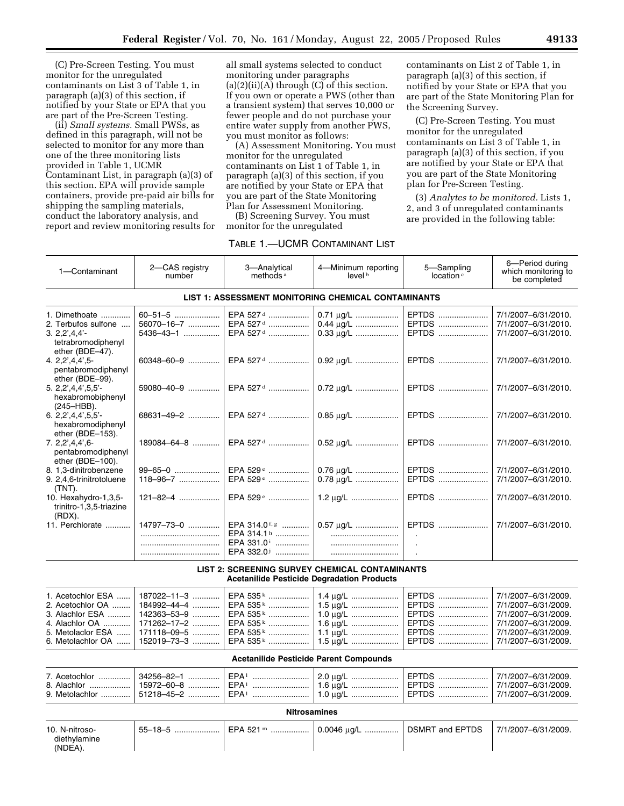(C) Pre-Screen Testing. You must monitor for the unregulated contaminants on List 3 of Table 1, in paragraph (a)(3) of this section, if notified by your State or EPA that you are part of the Pre-Screen Testing.

(ii) *Small systems.* Small PWSs, as defined in this paragraph, will not be selected to monitor for any more than one of the three monitoring lists provided in Table 1, UCMR Contaminant List, in paragraph (a)(3) of this section. EPA will provide sample containers, provide pre-paid air bills for shipping the sampling materials, conduct the laboratory analysis, and report and review monitoring results for

10. N-nitrosodiethylamine (NDEA).

all small systems selected to conduct monitoring under paragraphs  $(a)(2)(ii)(A)$  through  $(C)$  of this section. If you own or operate a PWS (other than a transient system) that serves 10,000 or fewer people and do not purchase your entire water supply from another PWS, you must monitor as follows:

(A) Assessment Monitoring. You must monitor for the unregulated contaminants on List 1 of Table 1, in paragraph (a)(3) of this section, if you are notified by your State or EPA that you are part of the State Monitoring Plan for Assessment Monitoring.

(B) Screening Survey. You must monitor for the unregulated

### TABLE 1.—UCMR CONTAMINANT LIST

contaminants on List 2 of Table 1, in paragraph (a)(3) of this section, if notified by your State or EPA that you are part of the State Monitoring Plan for the Screening Survey.

(C) Pre-Screen Testing. You must monitor for the unregulated contaminants on List 3 of Table 1, in paragraph (a)(3) of this section, if you are notified by your State or EPA that you are part of the State Monitoring plan for Pre-Screen Testing.

(3) *Analytes to be monitored.* Lists 1, 2, and 3 of unregulated contaminants are provided in the following table:

| 1-Contaminant                                                                                                        | 2-CAS registry<br>number                                                                     | 3-Analytical<br>methods <sup>a</sup>                                                                                     | 4-Minimum reporting<br>level <sup>b</sup>                                                     | 5-Sampling<br>location <sup>c</sup>                | 6-Period during<br>which monitoring to<br>be completed                                                                                 |  |
|----------------------------------------------------------------------------------------------------------------------|----------------------------------------------------------------------------------------------|--------------------------------------------------------------------------------------------------------------------------|-----------------------------------------------------------------------------------------------|----------------------------------------------------|----------------------------------------------------------------------------------------------------------------------------------------|--|
|                                                                                                                      |                                                                                              |                                                                                                                          | LIST 1: ASSESSMENT MONITORING CHEMICAL CONTAMINANTS                                           |                                                    |                                                                                                                                        |  |
| 1. Dimethoate<br>2. Terbufos sulfone<br>$3.2,2',4,4'-$<br>tetrabromodiphenyl                                         | 60-51-5<br>56070-16-7<br>5436-43-1                                                           | EPA 527 <sup>d</sup><br>EPA 527 <sup>d</sup><br>EPA 527 <sup>d</sup>                                                     | 0.71 µg/L<br>0.44 µg/L<br>0.33 µg/L                                                           | EPTDS<br>EPTDS<br>EPTDS                            | 7/1/2007-6/31/2010.<br>7/1/2007-6/31/2010.<br>7/1/2007-6/31/2010.                                                                      |  |
| ether (BDE-47).<br>4.2,2',4,4',5<br>pentabromodiphenyl                                                               | 60348-60-9                                                                                   | EPA 527 <sup>d</sup>                                                                                                     | 0.92 ug/L                                                                                     | EPTDS                                              | 7/1/2007-6/31/2010.                                                                                                                    |  |
| ether (BDE-99).<br>5.2,2',4,4',5,5'<br>hexabromobiphenyl<br>(245–HBB).                                               | 59080-40-9                                                                                   | EPA 527 <sup>d</sup>                                                                                                     | $0.72 \mu g/L$                                                                                | EPTDS                                              | 7/1/2007-6/31/2010.                                                                                                                    |  |
| 6. $2,2',4,4',5,5'$<br>hexabromodiphenyl<br>ether (BDE-153).                                                         | 68631-49-2                                                                                   | EPA 527 <sup>d</sup>                                                                                                     | 0.85 µg/L                                                                                     | EPTDS                                              | 7/1/2007-6/31/2010.                                                                                                                    |  |
| 7.22,4.4,6<br>pentabromodiphenyl<br>ether (BDE-100).                                                                 | $189084 - 64 - 8$                                                                            |                                                                                                                          |                                                                                               | EPTDS                                              | 7/1/2007-6/31/2010.                                                                                                                    |  |
| 8. 1,3-dinitrobenzene<br>9. 2,4,6-trinitrotoluene<br>(TNT).                                                          | 99-65-0<br>$118 - 96 - 7$                                                                    | EPA 529 <sup>e</sup><br>EPA 529 <sup>e</sup>                                                                             | $0.76 \mu g/L$<br>0.78 µg/L                                                                   | EPTDS<br>EPTDS                                     | 7/1/2007-6/31/2010.<br>7/1/2007-6/31/2010.                                                                                             |  |
| 10. Hexahydro-1,3,5-<br>trinitro-1,3,5-triazine<br>(RDX).                                                            | 121-82-4                                                                                     | EPA 529 <sup>e</sup>                                                                                                     | 1.2 $\mu$ g/L                                                                                 | EPTDS                                              | 7/1/2007-6/31/2010.                                                                                                                    |  |
| 11. Perchlorate                                                                                                      | $14797 - 73 - 0$                                                                             | EPA 314.0 $f, g$<br>EPA 314.1 <sup>h</sup><br>EPA 331.0 <sup>i</sup>                                                     | 0.57 ug/L                                                                                     | EPTDS                                              | 7/1/2007-6/31/2010.                                                                                                                    |  |
|                                                                                                                      |                                                                                              | EPA 332.0 <sup>j</sup>                                                                                                   |                                                                                               |                                                    |                                                                                                                                        |  |
|                                                                                                                      |                                                                                              | <b>Acetanilide Pesticide Degradation Products</b>                                                                        | <b>LIST 2: SCREENING SURVEY CHEMICAL CONTAMINANTS</b>                                         |                                                    |                                                                                                                                        |  |
| 1. Acetochlor ESA<br>2. Acetochlor OA<br>3. Alachlor ESA<br>4. Alachlor OA<br>5. Metolaclor ESA<br>6. Metolachlor OA | $187022 - 11 - 3$<br>184992-44-4<br>142363-53-9<br>171262-17-2<br>171118-09-5<br>152019-73-3 | EPA 535 <sup>k</sup><br>EPA 535 <sup>k</sup><br>EPA 535 k<br>EPA $535^k$<br>EPA 535 <sup>k</sup><br>EPA 535 <sup>k</sup> | 1.4 ug/L<br>$1.5 \mu q/L$<br>1.0 $\mu$ g/L<br>1.6 $\mu$ g/L<br>1.1 $\mu$ g/L<br>$1.5 \mu g/L$ | EPTDS<br>EPTDS<br>EPTDS<br>EPTDS<br>EPTDS<br>EPTDS | 7/1/2007-6/31/2009.<br>7/1/2007-6/31/2009.<br>7/1/2007-6/31/2009.<br>7/1/2007-6/31/2009.<br>7/1/2007-6/31/2009.<br>7/1/2007-6/31/2009. |  |
|                                                                                                                      |                                                                                              | <b>Acetanilide Pesticide Parent Compounds</b>                                                                            |                                                                                               |                                                    |                                                                                                                                        |  |
| 7. Acetochlor<br>8. Alachlor<br>9. Metolachlor                                                                       | 34256-82-1<br>$15972 - 60 - 8$<br>51218-45-2                                                 | EPA <sup>1</sup><br>$EPA1$<br>EPA <sub>1</sub>                                                                           | 2.0 µg/L<br>1.6 $\mu$ g/L<br>1.0 $\mu$ g/L                                                    | EPTDS<br>EPTDS<br>EPTDS                            | 7/1/2007-6/31/2009.<br>7/1/2007-6/31/2009.<br>7/1/2007-6/31/2009.                                                                      |  |
|                                                                                                                      | <b>Nitrosamines</b>                                                                          |                                                                                                                          |                                                                                               |                                                    |                                                                                                                                        |  |

55–18–5 .................... EPA 521 m ................. 0.0046 µg/L ............... DSMRT and EPTDS 7/1/2007–6/31/2009.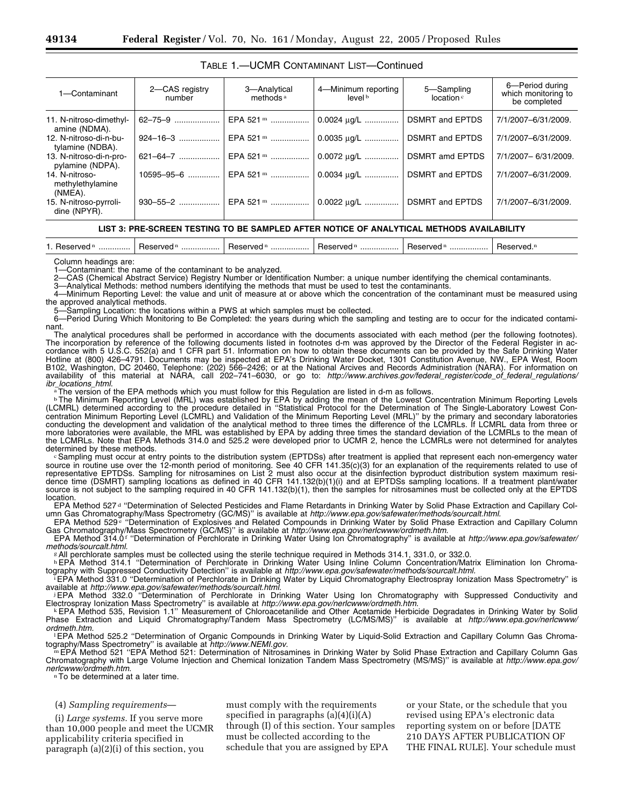# TABLE 1.—UCMR CONTAMINANT LIST—Continued

| 1-Contaminant                                 | 2-CAS registry<br>number | 3-Analytical<br>methods <sup>a</sup> | 4-Minimum reporting<br>level b | 5-Sampling<br>location c | 6-Period during<br>which monitoring to<br>be completed |
|-----------------------------------------------|--------------------------|--------------------------------------|--------------------------------|--------------------------|--------------------------------------------------------|
| 11. N-nitroso-dimethyl-<br>amine (NDMA).      | 62-75-9                  |                                      |                                | <b>DSMRT and EPTDS</b>   | 7/1/2007-6/31/2009.                                    |
| 12. N-nitroso-di-n-bu-<br>tylamine (NDBA).    | $924 - 16 - 3$           | EPA 521 m                            | 0.0035 ug/L                    | <b>DSMRT and EPTDS</b>   | 7/1/2007-6/31/2009.                                    |
| 13. N-nitroso-di-n-pro-<br>pylamine (NDPA).   | $621 - 64 - 7$           | EPA 521 m                            | $0.0072 \mu g/L$               | <b>DSMRT amd EPTDS</b>   | 7/1/2007-6/31/2009.                                    |
| 14. N-nitroso-<br>methylethylamine<br>(NMEA). | $10595 - 95 - 6$         | EPA 521 m                            | 0.0034 $\mu$ g/L               | <b>DSMRT and EPTDS</b>   | 7/1/2007-6/31/2009.                                    |
| 15. N-nitroso-pyrroli-<br>dine (NPYR).        | $930 - 55 - 2$           | EPA 521 m                            | $0.0022 \mu q/L$               | <b>DSMRT and EPTDS</b>   | 7/1/2007-6/31/2009.                                    |

#### **LIST 3: PRE-SCREEN TESTING TO BE SAMPLED AFTER NOTICE OF ANALYTICAL METHODS AVAILABILITY**

| Reserved <sup>n</sup><br>Reserved <sup>n</sup><br>Reserved <sup>n</sup><br>Reserved. <sup>n</sup><br>Reserved <sup>n</sup><br>Heserved <sup>n</sup><br>.<br><br>. |  |
|-------------------------------------------------------------------------------------------------------------------------------------------------------------------|--|
|-------------------------------------------------------------------------------------------------------------------------------------------------------------------|--|

Column headings are:

1—Contaminant: the name of the contaminant to be analyzed.<br>2—CAS (Chemical Abstract Service) Begistry Number or Ident

2—CAS (Chemical Abstract Service) Registry Number or Identification Number: a unique number identifying the chemical contaminants.

3—Analytical Methods: method numbers identifying the methods that must be used to test the contaminants.

4—Minimum Reporting Level: the value and unit of measure at or above which the concentration of the contaminant must be measured using the approved analytical methods.

-Sampling Location: the locations within a PWS at which samples must be collected.

6—Period During Which Monitoring to Be Completed: the years during which the sampling and testing are to occur for the indicated contaminant.

The analytical procedures shall be performed in accordance with the documents associated with each method (per the following footnotes). The incorporation by reference of the following documents listed in footnotes d-m was approved by the Director of the Federal Register in accordance with 5 U.S.C. 552(a) and 1 CFR part 51. Information on how to obtain these documents can be provided by the Safe Drinking Water Hotline at (800) 426–4791. Documents may be inspected at EPA's Drinking Water Docket, 1301 Constitution Avenue, NW., EPA West, Room B102, Washington, DC 20460, Telephone: (202) 566–2426; or at the National Arcives and Records Administration (NARA). For information on availability of this material at NARA, call 202–741–6030, or go to: *http://www.archives.gov/federal*\_*register/code*\_*of*\_*federal*\_*regulations/*

*i*The version of the EPA methods which you must follow for this Regulation are listed in d-m as follows.

<sup>b</sup>The Minimum Reporting Level (MRL) was established by EPA by adding the mean of the Lowest Concentration Minimum Reporting Levels (LCMRL) determined according to the procedure detailed in ''Statistical Protocol for the Determination of The Single-Laboratory Lowest Concentration Minimum Reporting Level (LCMRL) and Validation of the Minimum Reporting Level (MRL)'' by the primary and secondary laboratories conducting the development and validation of the analytical method to three times the difference of the LCMRLs. If LCMRL data from three or more laboratories were available, the MRL was established by EPA by adding three times the standard deviation of the LCMRLs to the mean of the LCMRLs. Note that EPA Methods 314.0 and 525.2 were developed prior to UCMR 2, hence the LCMRLs were not determined for analytes determined by these methods.

determined by these methods.<br>©Sampling must occur at entry points to the distribution system (EPTDSs) after treatment is applied that represent each non-emergency water source in routine use over the 12-month period of monitoring. See 40 CFR 141.35(c)(3) for an explanation of the requirements related to use of representative EPTDSs. Sampling for nitrosamines on List 2 must also occur at the disinfection byproduct distribution system maximum residence time (DSMRT) sampling locations as defined in 40 CFR 141.132(b)(1)(i) and at EPTDSs sampling locations. If a treatment plant/water source is not subject to the sampling required in 40 CFR 141.132(b)(1), then the samples for nitrosamines must be collected only at the EPTDS location.

EPA Method 527<sup>d</sup> "Determination of Selected Pesticides and Flame Retardants in Drinking Water by Solid Phase Extraction and Capillary Column Gas Chromatography/Mass Spectrometry (GC/MS)'' is available at *http://www.epa.gov/safewater/methods/sourcalt.html.*

EPA Method 529<sup>®</sup> "Determination of Explosives and Related Compounds in Drinking Water by Solid Phase Extraction and Capillary Column Gas Chromatography/Mass Spectrometry (GC/MS)" is available at *http://www.epa.gov/nerlcwww/ordmeth.htm.*<br>EPA Method 314.01 "Determination of Perchlorate in Drinking Water Using lon Chromatography" is available at *http://w* 

methods/sourcalt.html.<br>All perchlorate samples must be collected using the sterile technique required in Methods 314.1, 331.0, or 332.0.<br>EPA Method 314.1 "Determination of Perchlorate in Drinking Water Using Inline Column

tography with Suppressed Conductivity Detection" is available at *http://www.epa.gov/safewater/methods/sourcalt.html.*<br>EPA Method 331.0 "Determination of Perchlorate in Drinking Water by Liquid Chromatography Electrospray

available at *http://www.epa.gov/safewater/methods/sourcalt.html.*<br>JEPA Method 332.0 "Determination of Perchlorate in Drinking Water Using Ion Chromatography with Suppressed Conductivity and

Electrospray Ionization Mass Spectrometry" is available at *http://www.epa.gov/nerlcwww/ordmeth.htm.*<br>EPA Method 535, Revision 1.1" Measurement of Chloroacetanilide and Other Acetamide Herbicide Degradates in Drinking Wate

Phase Extraction and Liquid Chromatography/Tandem Mass Spectrometry (LC/MS/MS)'' is available at *http://www.epa.gov/nerlcwww/*

ordmeth.htm.<br><sup>1</sup> EPA Method 525.2 "Determination of Organic Compounds in Drinking Water by Liquid-Solid Extraction and Capillary Column Gas Chroma-<br>tography/Mass Spectrometry" is available at *http://www.NEMI.gov.* 

EPA Method 521 "EPA Method 521: Determination of Nitrosamines in Drinking Water by Solid Phase Extraction and Capillary Column Gas Chromatography with Large Volume Injection and Chemical Ionization Tandem Mass Spectrometry (MS/MS)" is available at *http://www.epa.gov/*<br>nerlcwww/ordmeth.htm.

<sup>n</sup>To be determined at a later time.

# (4) *Sampling requirements*—

(i) *Large systems.* If you serve more than 10,000 people and meet the UCMR applicability criteria specified in paragraph (a)(2)(i) of this section, you

must comply with the requirements specified in paragraphs  $(a)(4)(i)(A)$ through (I) of this section. Your samples must be collected according to the schedule that you are assigned by EPA

or your State, or the schedule that you revised using EPA's electronic data reporting system on or before [DATE 210 DAYS AFTER PUBLICATION OF THE FINAL RULE]. Your schedule must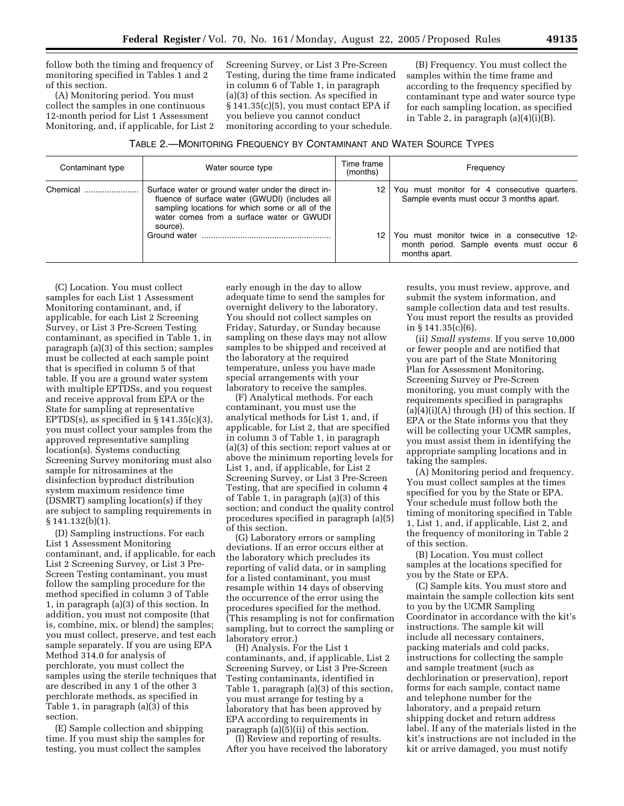follow both the timing and frequency of monitoring specified in Tables 1 and 2 of this section.

(A) Monitoring period. You must collect the samples in one continuous 12-month period for List 1 Assessment Monitoring, and, if applicable, for List 2 Screening Survey, or List 3 Pre-Screen Testing, during the time frame indicated in column 6 of Table 1, in paragraph (a)(3) of this section. As specified in § 141.35(c)(5), you must contact EPA if you believe you cannot conduct monitoring according to your schedule.

(B) Frequency. You must collect the samples within the time frame and according to the frequency specified by contaminant type and water source type for each sampling location, as specified in Table 2, in paragraph (a)(4)(i)(B).

| Contaminant type | Water source type                                                                                                                                                                                                                | Time frame<br>(months) | Frequency                                                                                                                               |
|------------------|----------------------------------------------------------------------------------------------------------------------------------------------------------------------------------------------------------------------------------|------------------------|-----------------------------------------------------------------------------------------------------------------------------------------|
| Chemical         | Surface water or ground water under the direct in-<br>fluence of surface water (GWUDI) (includes all<br>sampling locations for which some or all of the<br>water comes from a surface water or GWUDI<br>source).<br>Ground water | 12 I                   | You must monitor for 4 consecutive quarters.<br>Sample events must occur 3 months apart.<br>You must monitor twice in a consecutive 12- |
|                  |                                                                                                                                                                                                                                  |                        | month period. Sample events must occur 6<br>months apart.                                                                               |

(C) Location. You must collect samples for each List 1 Assessment Monitoring contaminant, and, if applicable, for each List 2 Screening Survey, or List 3 Pre-Screen Testing contaminant, as specified in Table 1, in paragraph (a)(3) of this section; samples must be collected at each sample point that is specified in column 5 of that table. If you are a ground water system with multiple EPTDSs, and you request and receive approval from EPA or the State for sampling at representative EPTDS(s), as specified in  $\S 141.35(c)(3)$ , you must collect your samples from the approved representative sampling location(s). Systems conducting Screening Survey monitoring must also sample for nitrosamines at the disinfection byproduct distribution system maximum residence time (DSMRT) sampling location(s) if they are subject to sampling requirements in § 141.132(b)(1).

(D) Sampling instructions. For each List 1 Assessment Monitoring contaminant, and, if applicable, for each List 2 Screening Survey, or List 3 Pre-Screen Testing contaminant, you must follow the sampling procedure for the method specified in column 3 of Table 1, in paragraph (a)(3) of this section. In addition, you must not composite (that is, combine, mix, or blend) the samples; you must collect, preserve, and test each sample separately. If you are using EPA Method 314.0 for analysis of perchlorate, you must collect the samples using the sterile techniques that are described in any 1 of the other 3 perchlorate methods, as specified in Table 1, in paragraph (a)(3) of this section.

(E) Sample collection and shipping time. If you must ship the samples for testing, you must collect the samples

early enough in the day to allow adequate time to send the samples for overnight delivery to the laboratory. You should not collect samples on Friday, Saturday, or Sunday because sampling on these days may not allow samples to be shipped and received at the laboratory at the required temperature, unless you have made special arrangements with your laboratory to receive the samples.

(F) Analytical methods. For each contaminant, you must use the analytical methods for List 1, and, if applicable, for List 2, that are specified in column 3 of Table 1, in paragraph (a)(3) of this section; report values at or above the minimum reporting levels for List 1, and, if applicable, for List 2 Screening Survey, or List 3 Pre-Screen Testing, that are specified in column 4 of Table 1, in paragraph (a)(3) of this section; and conduct the quality control procedures specified in paragraph (a)(5) of this section.

(G) Laboratory errors or sampling deviations. If an error occurs either at the laboratory which precludes its reporting of valid data, or in sampling for a listed contaminant, you must resample within 14 days of observing the occurrence of the error using the procedures specified for the method. (This resampling is not for confirmation sampling, but to correct the sampling or laboratory error.)

(H) Analysis. For the List 1 contaminants, and, if applicable, List 2 Screening Survey, or List 3 Pre-Screen Testing contaminants, identified in Table 1, paragraph (a)(3) of this section, you must arrange for testing by a laboratory that has been approved by EPA according to requirements in paragraph (a)(5)(ii) of this section.

(I) Review and reporting of results. After you have received the laboratory results, you must review, approve, and submit the system information, and sample collection data and test results. You must report the results as provided in § 141.35(c)(6).

(ii) *Small systems.* If you serve 10,000 or fewer people and are notified that you are part of the State Monitoring Plan for Assessment Monitoring, Screening Survey or Pre-Screen monitoring, you must comply with the requirements specified in paragraphs  $(a)(4)(i)(A)$  through  $(H)$  of this section. If EPA or the State informs you that they will be collecting your UCMR samples, you must assist them in identifying the appropriate sampling locations and in taking the samples.

(A) Monitoring period and frequency. You must collect samples at the times specified for you by the State or EPA. Your schedule must follow both the timing of monitoring specified in Table 1, List 1, and, if applicable, List 2, and the frequency of monitoring in Table 2 of this section.

(B) Location. You must collect samples at the locations specified for you by the State or EPA.

(C) Sample kits. You must store and maintain the sample collection kits sent to you by the UCMR Sampling Coordinator in accordance with the kit's instructions. The sample kit will include all necessary containers, packing materials and cold packs, instructions for collecting the sample and sample treatment (such as dechlorination or preservation), report forms for each sample, contact name and telephone number for the laboratory, and a prepaid return shipping docket and return address label. If any of the materials listed in the kit's instructions are not included in the kit or arrive damaged, you must notify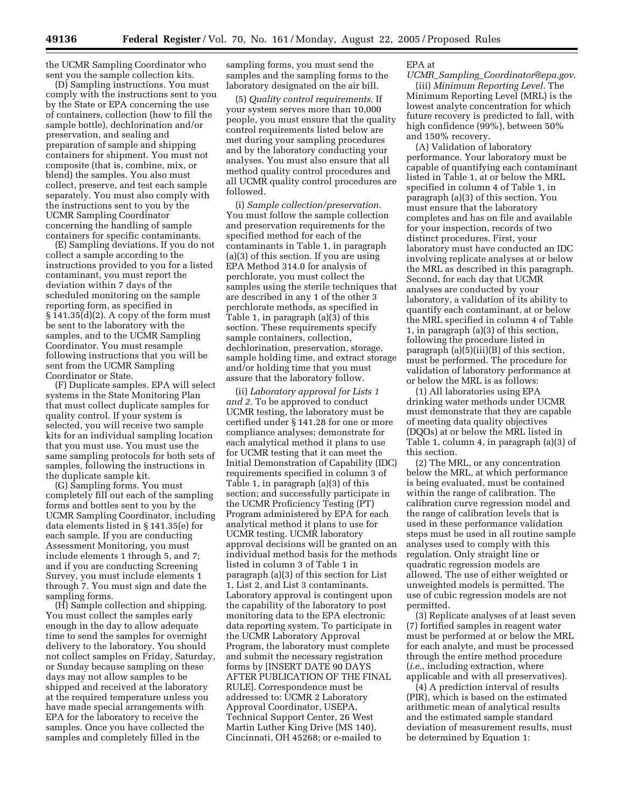the UCMR Sampling Coordinator who sent you the sample collection kits.

(D) Sampling instructions. You must comply with the instructions sent to you by the State or EPA concerning the use of containers, collection (how to fill the sample bottle), dechlorination and/or preservation, and sealing and preparation of sample and shipping containers for shipment. You must not composite (that is, combine, mix, or blend) the samples. You also must collect, preserve, and test each sample separately. You must also comply with the instructions sent to you by the UCMR Sampling Coordinator concerning the handling of sample containers for specific contaminants.

(E) Sampling deviations. If you do not collect a sample according to the instructions provided to you for a listed contaminant, you must report the deviation within 7 days of the scheduled monitoring on the sample reporting form, as specified in  $\S 141.35(d)(2)$ . A copy of the form must be sent to the laboratory with the samples, and to the UCMR Sampling Coordinator. You must resample following instructions that you will be sent from the UCMR Sampling Coordinator or State.

(F) Duplicate samples. EPA will select systems in the State Monitoring Plan that must collect duplicate samples for quality control. If your system is selected, you will receive two sample kits for an individual sampling location that you must use. You must use the same sampling protocols for both sets of samples, following the instructions in the duplicate sample kit.

(G) Sampling forms. You must completely fill out each of the sampling forms and bottles sent to you by the UCMR Sampling Coordinator, including data elements listed in § 141.35(e) for each sample. If you are conducting Assessment Monitoring, you must include elements 1 through 5, and 7; and if you are conducting Screening Survey, you must include elements 1 through 7. You must sign and date the sampling forms.

(H) Sample collection and shipping. You must collect the samples early enough in the day to allow adequate time to send the samples for overnight delivery to the laboratory. You should not collect samples on Friday, Saturday, or Sunday because sampling on these days may not allow samples to be shipped and received at the laboratory at the required temperature unless you have made special arrangements with EPA for the laboratory to receive the samples. Once you have collected the samples and completely filled in the

sampling forms, you must send the samples and the sampling forms to the laboratory designated on the air bill.

(5) *Quality control requirements.* If your system serves more than 10,000 people, you must ensure that the quality control requirements listed below are met during your sampling procedures and by the laboratory conducting your analyses. You must also ensure that all method quality control procedures and all UCMR quality control procedures are followed.

(i) *Sample collection/preservation.* You must follow the sample collection and preservation requirements for the specified method for each of the contaminants in Table 1, in paragraph (a)(3) of this section. If you are using EPA Method 314.0 for analysis of perchlorate, you must collect the samples using the sterile techniques that are described in any 1 of the other 3 perchlorate methods, as specified in Table 1, in paragraph (a)(3) of this section. These requirements specify sample containers, collection, dechlorination, preservation, storage, sample holding time, and extract storage and/or holding time that you must assure that the laboratory follow.

(ii) *Laboratory approval for Lists 1 and 2.* To be approved to conduct UCMR testing, the laboratory must be certified under § 141.28 for one or more compliance analyses; demonstrate for each analytical method it plans to use for UCMR testing that it can meet the Initial Demonstration of Capability (IDC) requirements specified in column 3 of Table 1, in paragraph (a)(3) of this section; and successfully participate in the UCMR Proficiency Testing (PT) Program administered by EPA for each analytical method it plans to use for UCMR testing. UCMR laboratory approval decisions will be granted on an individual method basis for the methods listed in column 3 of Table 1 in paragraph (a)(3) of this section for List 1, List 2, and List 3 contaminants. Laboratory approval is contingent upon the capability of the laboratory to post monitoring data to the EPA electronic data reporting system. To participate in the UCMR Laboratory Approval Program, the laboratory must complete and submit the necessary registration forms by [INSERT DATE 90 DAYS AFTER PUBLICATION OF THE FINAL RULE]. Correspondence must be addressed to: UCMR 2 Laboratory Approval Coordinator, USEPA, Technical Support Center, 26 West Martin Luther King Drive (MS 140), Cincinnati, OH 45268; or e-mailed to

EPA at

*UCMR*\_*Sampling*\_*Coordinator@epa.gov*. (iii) *Minimum Reporting Level.* The Minimum Reporting Level (MRL) is the lowest analyte concentration for which future recovery is predicted to fall, with high confidence (99%), between 50% and 150% recovery.

(A) Validation of laboratory performance. Your laboratory must be capable of quantifying each contaminant listed in Table 1, at or below the MRL specified in column 4 of Table 1, in paragraph (a)(3) of this section. You must ensure that the laboratory completes and has on file and available for your inspection, records of two distinct procedures. First, your laboratory must have conducted an IDC involving replicate analyses at or below the MRL as described in this paragraph. Second, for each day that UCMR analyses are conducted by your laboratory, a validation of its ability to quantify each contaminant, at or below the MRL specified in column 4 of Table 1, in paragraph (a)(3) of this section, following the procedure listed in paragraph (a)(5)(iii)(B) of this section, must be performed. The procedure for validation of laboratory performance at or below the MRL is as follows:

(1) All laboratories using EPA drinking water methods under UCMR must demonstrate that they are capable of meeting data quality objectives (DQOs) at or below the MRL listed in Table 1, column 4, in paragraph (a)(3) of this section.

(2) The MRL, or any concentration below the MRL, at which performance is being evaluated, must be contained within the range of calibration. The calibration curve regression model and the range of calibration levels that is used in these performance validation steps must be used in all routine sample analyses used to comply with this regulation. Only straight line or quadratic regression models are allowed. The use of either weighted or unweighted models is permitted. The use of cubic regression models are not permitted.

(3) Replicate analyses of at least seven (7) fortified samples in reagent water must be performed at or below the MRL for each analyte, and must be processed through the entire method procedure (*i.e.*, including extraction, where applicable and with all preservatives).

(4) A prediction interval of results (PIR), which is based on the estimated arithmetic mean of analytical results and the estimated sample standard deviation of measurement results, must be determined by Equation 1: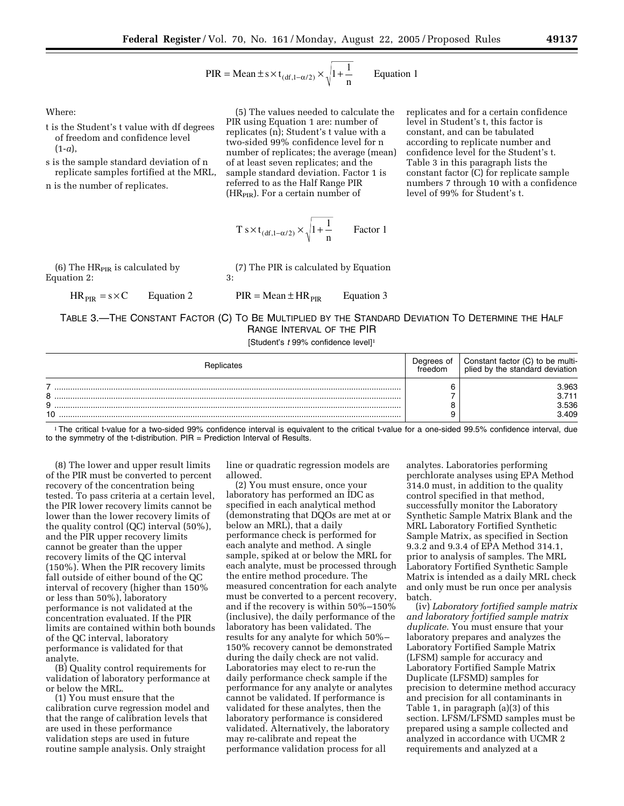PIR = Mean 
$$
\pm
$$
 s × t<sub>(df,1- $\alpha$ /2)</sub> ×  $\sqrt{1 + \frac{1}{n}}$  Equation 1

Where:

- t is the Student's t value with df degrees of freedom and confidence level (1-*a*),
- s is the sample standard deviation of n replicate samples fortified at the MRL,

n is the number of replicates.

(5) The values needed to calculate the PIR using Equation 1 are: number of replicates (n); Student's t value with a two-sided 99% confidence level for n number of replicates; the average (mean) of at least seven replicates; and the sample standard deviation. Factor 1 is referred to as the Half Range PIR (HR<sub>PIR</sub>). For a certain number of

$$
T s \times t_{(df, 1-\alpha/2)} \times \sqrt{1 + \frac{1}{n}}
$$
 Factor 1

(6) The  $HR_{PIR}$  is calculated by Equation 2:

 $HR_{PIR} = s \times C$  Equation 2

(7) The PIR is calculated by Equation

 $PIR = Mean \pm HR_{PIR}$  Equation 3

3:

# TABLE 3.—THE CONSTANT FACTOR (C) TO BE MULTIPLIED BY THE STANDARD DEVIATION TO DETERMINE THE HALF RANGE INTERVAL OF THE PIR

[Student's *t* 99% confidence level]1

| Replicates   | Degrees of<br>treedom | Constant factor (C) to be multi-<br>plied by the standard deviation |
|--------------|-----------------------|---------------------------------------------------------------------|
| я<br>a<br>10 |                       | 8.963<br>3.536<br>3.409                                             |

1The critical t-value for a two-sided 99% confidence interval is equivalent to the critical t-value for a one-sided 99.5% confidence interval, due to the symmetry of the t-distribution.  $PIR =$  Prediction Interval of Results.

(8) The lower and upper result limits of the PIR must be converted to percent recovery of the concentration being tested. To pass criteria at a certain level, the PIR lower recovery limits cannot be lower than the lower recovery limits of the quality control (QC) interval (50%), and the PIR upper recovery limits cannot be greater than the upper recovery limits of the QC interval (150%). When the PIR recovery limits fall outside of either bound of the QC interval of recovery (higher than 150% or less than 50%), laboratory performance is not validated at the concentration evaluated. If the PIR limits are contained within both bounds of the QC interval, laboratory performance is validated for that analyte.

(B) Quality control requirements for validation of laboratory performance at or below the MRL.

(1) You must ensure that the calibration curve regression model and that the range of calibration levels that are used in these performance validation steps are used in future routine sample analysis. Only straight

line or quadratic regression models are allowed.

(2) You must ensure, once your laboratory has performed an IDC as specified in each analytical method (demonstrating that DQOs are met at or below an MRL), that a daily performance check is performed for each analyte and method. A single sample, spiked at or below the MRL for each analyte, must be processed through the entire method procedure. The measured concentration for each analyte must be converted to a percent recovery, and if the recovery is within 50%–150% (inclusive), the daily performance of the laboratory has been validated. The results for any analyte for which 50%– 150% recovery cannot be demonstrated during the daily check are not valid. Laboratories may elect to re-run the daily performance check sample if the performance for any analyte or analytes cannot be validated. If performance is validated for these analytes, then the laboratory performance is considered validated. Alternatively, the laboratory may re-calibrate and repeat the performance validation process for all

analytes. Laboratories performing perchlorate analyses using EPA Method 314.0 must, in addition to the quality control specified in that method, successfully monitor the Laboratory Synthetic Sample Matrix Blank and the MRL Laboratory Fortified Synthetic Sample Matrix, as specified in Section 9.3.2 and 9.3.4 of EPA Method 314.1, prior to analysis of samples. The MRL Laboratory Fortified Synthetic Sample Matrix is intended as a daily MRL check and only must be run once per analysis batch.

replicates and for a certain confidence level in Student's t, this factor is constant, and can be tabulated according to replicate number and confidence level for the Student's t. Table 3 in this paragraph lists the constant factor (C) for replicate sample numbers 7 through 10 with a confidence

level of 99% for Student's t.

(iv) *Laboratory fortified sample matrix and laboratory fortified sample matrix duplicate.* You must ensure that your laboratory prepares and analyzes the Laboratory Fortified Sample Matrix (LFSM) sample for accuracy and Laboratory Fortified Sample Matrix Duplicate (LFSMD) samples for precision to determine method accuracy and precision for all contaminants in Table 1, in paragraph (a)(3) of this section. LFSM/LFSMD samples must be prepared using a sample collected and analyzed in accordance with UCMR 2 requirements and analyzed at a